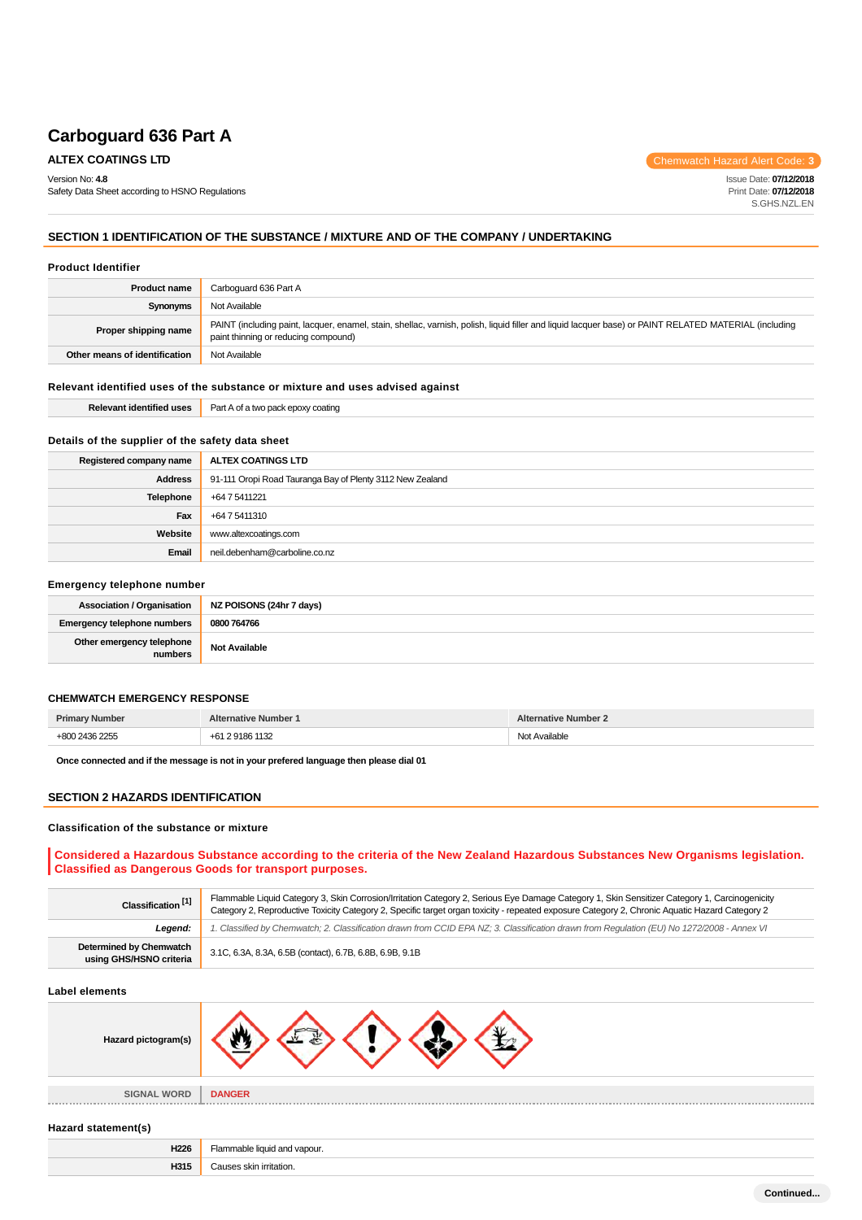Version No: **4.8**

Safety Data Sheet according to HSNO Regulations

**ALTEX COATINGS LTD** Chemwatch Hazard Alert Code: **3** 

Issue Date: **07/12/2018** Print Date: **07/12/2018** S.GHS.NZL.EN

### **SECTION 1 IDENTIFICATION OF THE SUBSTANCE / MIXTURE AND OF THE COMPANY / UNDERTAKING**

#### **Product Identifier**

| <b>Product name</b>           | Carboquard 636 Part A                                                                                                                                                                         |
|-------------------------------|-----------------------------------------------------------------------------------------------------------------------------------------------------------------------------------------------|
| Synonyms                      | Not Available                                                                                                                                                                                 |
| Proper shipping name          | PAINT (including paint, lacquer, enamel, stain, shellac, varnish, polish, liquid filler and liquid lacquer base) or PAINT RELATED MATERIAL (including<br>paint thinning or reducing compound) |
| Other means of identification | Not Available                                                                                                                                                                                 |

### **Relevant identified uses of the substance or mixture and uses advised against**

| <b><i><u>ALCO</u></i></b><br><b>Relevant</b><br>ldenti<br>.<br>eo uses | Par<br>oatino<br>.<br>- 177 |
|------------------------------------------------------------------------|-----------------------------|
|                                                                        |                             |

### **Details of the supplier of the safety data sheet**

| Registered company name | ALTEX COATINGS LTD                                        |
|-------------------------|-----------------------------------------------------------|
| <b>Address</b>          | 91-111 Oropi Road Tauranga Bay of Plenty 3112 New Zealand |
| Telephone               | +64 7 5411221                                             |
| Fax                     | +64 7 5411310                                             |
| Website                 | www.altexcoatings.com                                     |
| Email                   | neil.debenham@carboline.co.nz                             |

#### **Emergency telephone number**

| <b>Association / Organisation</b>    | NZ POISONS (24hr 7 days) |
|--------------------------------------|--------------------------|
| <b>Emergency telephone numbers</b>   | 0800 764766              |
| Other emergency telephone<br>numbers | <b>Not Available</b>     |

#### **CHEMWATCH EMERGENCY RESPONSE**

| <b>Primary Number</b> | <b>Alternative Number 1</b>        | <b>Alternative Number 2</b> |
|-----------------------|------------------------------------|-----------------------------|
| 121362255<br>$+907$   | 291861132<br>$+64$<br>، د ۳۰<br>__ | Not Available<br>.          |

**Once connected and if the message is not in your prefered language then please dial 01**

**H315** Causes skin irritation.

#### **SECTION 2 HAZARDS IDENTIFICATION**

#### **Classification of the substance or mixture**

### **Considered a Hazardous Substance according to the criteria of the New Zealand Hazardous Substances New Organisms legislation. Classified as Dangerous Goods for transport purposes.**

| Classification <sup>[1]</sup>                                                                                                                         | Flammable Liquid Category 3, Skin Corrosion/Irritation Category 2, Serious Eye Damage Category 1, Skin Sensitizer Category 1, Carcinogenicity<br>Category 2, Reproductive Toxicity Category 2, Specific target organ toxicity - repeated exposure Category 2, Chronic Aquatic Hazard Category 2 |
|-------------------------------------------------------------------------------------------------------------------------------------------------------|-------------------------------------------------------------------------------------------------------------------------------------------------------------------------------------------------------------------------------------------------------------------------------------------------|
| 1. Classified by Chemwatch; 2. Classification drawn from CCID EPA NZ; 3. Classification drawn from Requlation (EU) No 1272/2008 - Annex VI<br>Leaend: |                                                                                                                                                                                                                                                                                                 |
| Determined by Chemwatch<br>3.1C, 6.3A, 8.3A, 6.5B (contact), 6.7B, 6.8B, 6.9B, 9.1B<br>using GHS/HSNO criteria                                        |                                                                                                                                                                                                                                                                                                 |

#### **Label elements**

| Hazard pictogram(s) |                              |
|---------------------|------------------------------|
| <b>SIGNAL WORD</b>  | <b>DANGER</b>                |
| Hazard statement(s) |                              |
| H226                | Flammable liquid and vapour. |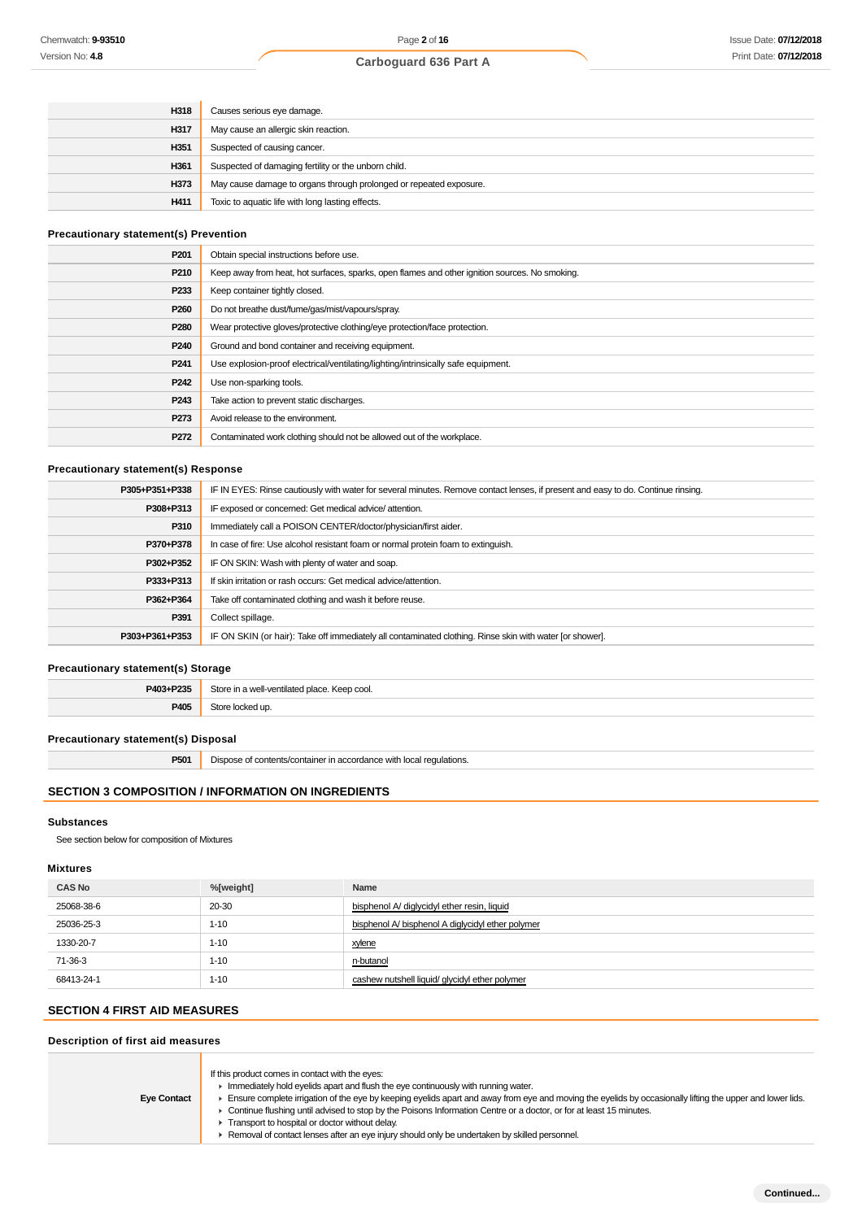| H318 | Causes serious eye damage.                                         |
|------|--------------------------------------------------------------------|
| H317 | May cause an allergic skin reaction.                               |
| H351 | Suspected of causing cancer.                                       |
| H361 | Suspected of damaging fertility or the unborn child.               |
| H373 | May cause damage to organs through prolonged or repeated exposure. |
| H411 | Toxic to aquatic life with long lasting effects.                   |

### **Precautionary statement(s) Prevention**

| P <sub>201</sub> | Obtain special instructions before use.                                                        |
|------------------|------------------------------------------------------------------------------------------------|
| P210             | Keep away from heat, hot surfaces, sparks, open flames and other ignition sources. No smoking. |
| P <sub>233</sub> | Keep container tightly closed.                                                                 |
| P <sub>260</sub> | Do not breathe dust/fume/gas/mist/vapours/spray.                                               |
| P <sub>280</sub> | Wear protective gloves/protective clothing/eye protection/face protection.                     |
| P <sub>240</sub> | Ground and bond container and receiving equipment.                                             |
| P <sub>241</sub> | Use explosion-proof electrical/ventilating/lighting/intrinsically safe equipment.              |
| P <sub>242</sub> | Use non-sparking tools.                                                                        |
| P <sub>243</sub> | Take action to prevent static discharges.                                                      |
| P273             | Avoid release to the environment.                                                              |
| P272             | Contaminated work clothing should not be allowed out of the workplace.                         |

### **Precautionary statement(s) Response**

| P305+P351+P338 | IF IN EYES: Rinse cautiously with water for several minutes. Remove contact lenses, if present and easy to do. Continue rinsing. |
|----------------|----------------------------------------------------------------------------------------------------------------------------------|
| P308+P313      | IF exposed or concerned: Get medical advice/attention.                                                                           |
| P310           | Immediately call a POISON CENTER/doctor/physician/first aider.                                                                   |
| P370+P378      | In case of fire: Use alcohol resistant foam or normal protein foam to extinguish.                                                |
| P302+P352      | IF ON SKIN: Wash with plenty of water and soap.                                                                                  |
| P333+P313      | If skin irritation or rash occurs: Get medical advice/attention.                                                                 |
| P362+P364      | Take off contaminated clothing and wash it before reuse.                                                                         |
| P391           | Collect spillage.                                                                                                                |
| P303+P361+P353 | IF ON SKIN (or hair): Take off immediately all contaminated clothing. Rinse skin with water [or shower].                         |
|                |                                                                                                                                  |

### **Precautionary statement(s) Storage**

| <b>D403+</b><br>- הפפט | e in a well<br>. Keep cool.<br>I-ventilated place.<br>$+0.55$<br>. |
|------------------------|--------------------------------------------------------------------|
| <b>DANS</b>            | un                                                                 |
| $. -\infty$            |                                                                    |

### **Precautionary statement(s) Disposal**

| P501 | Dispose of contents/container in accordance with local regulations. |
|------|---------------------------------------------------------------------|
|------|---------------------------------------------------------------------|

### **SECTION 3 COMPOSITION / INFORMATION ON INGREDIENTS**

### **Substances**

See section below for composition of Mixtures

### **Mixtures**

| <b>CAS No</b> | %[weight] | Name                                              |
|---------------|-----------|---------------------------------------------------|
| 25068-38-6    | 20-30     | bisphenol A/ diglycidyl ether resin, liquid       |
| 25036-25-3    | $1 - 10$  | bisphenol A/ bisphenol A diglycidyl ether polymer |
| 1330-20-7     | $1 - 10$  | xylene                                            |
| 71-36-3       | $1 - 10$  | n-butanol                                         |
| 68413-24-1    | $1 - 10$  | cashew nutshell liquid/ glycidyl ether polymer    |

# **SECTION 4 FIRST AID MEASURES**

### **Description of first aid measures**

| <b>Eye Contact</b> | If this product comes in contact with the eyes:<br>$\blacktriangleright$ Immediately hold eyelids apart and flush the eye continuously with running water.<br>Ensure complete irrigation of the eye by keeping eyelids apart and away from eye and moving the eyelids by occasionally lifting the upper and lower lids.<br>► Continue flushing until advised to stop by the Poisons Information Centre or a doctor, or for at least 15 minutes.<br>Transport to hospital or doctor without delay.<br>Removal of contact lenses after an eye injury should only be undertaken by skilled personnel. |
|--------------------|----------------------------------------------------------------------------------------------------------------------------------------------------------------------------------------------------------------------------------------------------------------------------------------------------------------------------------------------------------------------------------------------------------------------------------------------------------------------------------------------------------------------------------------------------------------------------------------------------|
|--------------------|----------------------------------------------------------------------------------------------------------------------------------------------------------------------------------------------------------------------------------------------------------------------------------------------------------------------------------------------------------------------------------------------------------------------------------------------------------------------------------------------------------------------------------------------------------------------------------------------------|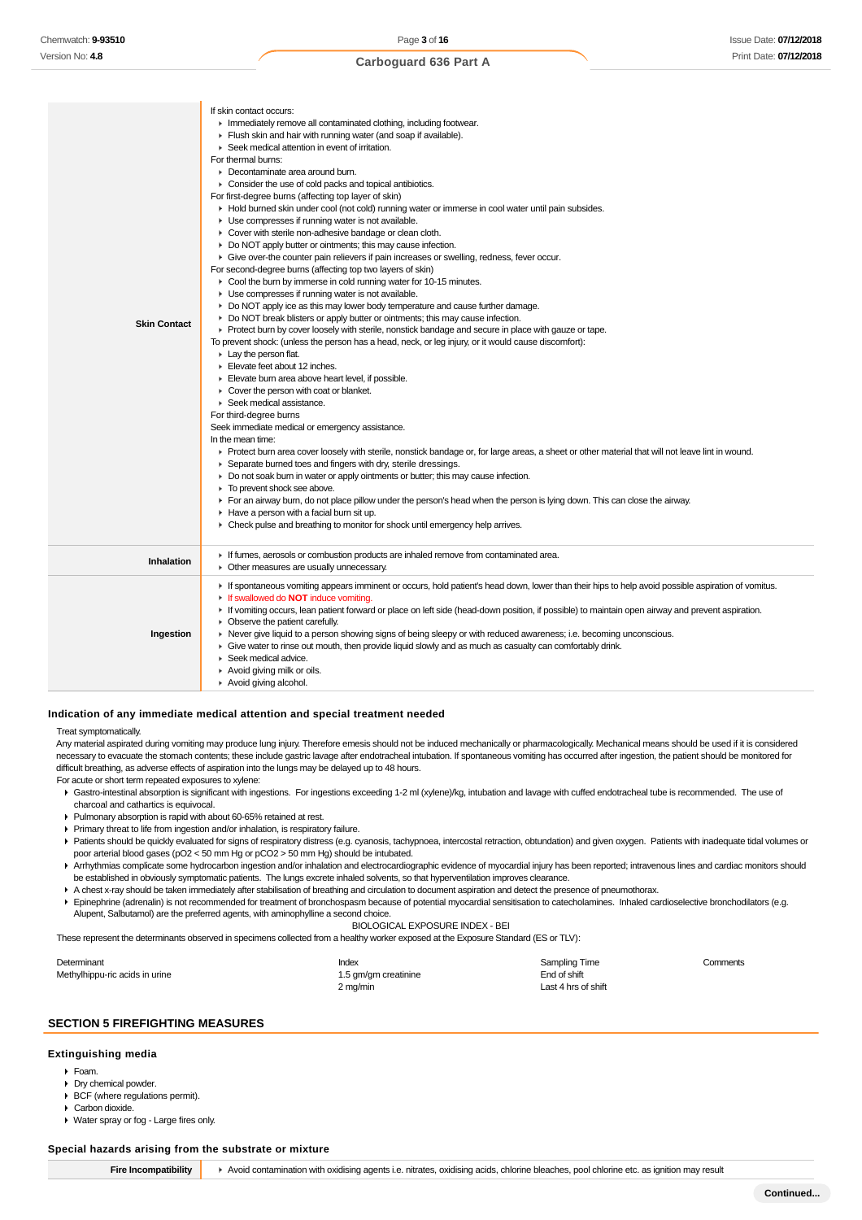| <b>Skin Contact</b> | If skin contact occurs:<br>In Immediately remove all contaminated clothing, including footwear.<br>Flush skin and hair with running water (and soap if available).<br>▶ Seek medical attention in event of irritation.<br>For thermal burns:<br>• Decontaminate area around burn.<br>• Consider the use of cold packs and topical antibiotics.<br>For first-degree burns (affecting top layer of skin)<br>► Hold burned skin under cool (not cold) running water or immerse in cool water until pain subsides.<br>Use compresses if running water is not available.<br>Cover with sterile non-adhesive bandage or clean cloth.<br>▶ Do NOT apply butter or ointments; this may cause infection.<br>► Give over-the counter pain relievers if pain increases or swelling, redness, fever occur.<br>For second-degree burns (affecting top two layers of skin)<br>▶ Cool the burn by immerse in cold running water for 10-15 minutes.<br>• Use compresses if running water is not available.<br>$\triangleright$ Do NOT apply ice as this may lower body temperature and cause further damage.<br>Do NOT break blisters or apply butter or ointments; this may cause infection.<br>• Protect burn by cover loosely with sterile, nonstick bandage and secure in place with gauze or tape.<br>To prevent shock: (unless the person has a head, neck, or leg injury, or it would cause discomfort):<br>$\blacktriangleright$ Lay the person flat.<br>Elevate feet about 12 inches.<br>Elevate burn area above heart level, if possible.<br>• Cover the person with coat or blanket.<br>▶ Seek medical assistance.<br>For third-degree burns<br>Seek immediate medical or emergency assistance.<br>In the mean time:<br>► Protect burn area cover loosely with sterile, nonstick bandage or, for large areas, a sheet or other material that will not leave lint in wound.<br>▶ Separate burned toes and fingers with dry, sterile dressings.<br>► Do not soak burn in water or apply ointments or butter; this may cause infection.<br>To prevent shock see above.<br>► For an airway burn, do not place pillow under the person's head when the person is lying down. This can close the airway.<br>Have a person with a facial burn sit up.<br>• Check pulse and breathing to monitor for shock until emergency help arrives. |
|---------------------|-----------------------------------------------------------------------------------------------------------------------------------------------------------------------------------------------------------------------------------------------------------------------------------------------------------------------------------------------------------------------------------------------------------------------------------------------------------------------------------------------------------------------------------------------------------------------------------------------------------------------------------------------------------------------------------------------------------------------------------------------------------------------------------------------------------------------------------------------------------------------------------------------------------------------------------------------------------------------------------------------------------------------------------------------------------------------------------------------------------------------------------------------------------------------------------------------------------------------------------------------------------------------------------------------------------------------------------------------------------------------------------------------------------------------------------------------------------------------------------------------------------------------------------------------------------------------------------------------------------------------------------------------------------------------------------------------------------------------------------------------------------------------------------------------------------------------------------------------------------------------------------------------------------------------------------------------------------------------------------------------------------------------------------------------------------------------------------------------------------------------------------------------------------------------------------------------------------------------------------------------------------------------------------------------------------------------------|
| Inhalation          | If fumes, aerosols or combustion products are inhaled remove from contaminated area.<br>• Other measures are usually unnecessary.                                                                                                                                                                                                                                                                                                                                                                                                                                                                                                                                                                                                                                                                                                                                                                                                                                                                                                                                                                                                                                                                                                                                                                                                                                                                                                                                                                                                                                                                                                                                                                                                                                                                                                                                                                                                                                                                                                                                                                                                                                                                                                                                                                                           |
| Ingestion           | If spontaneous vomiting appears imminent or occurs, hold patient's head down, lower than their hips to help avoid possible aspiration of vomitus.<br>If swallowed do <b>NOT</b> induce vomiting.<br>If vomiting occurs, lean patient forward or place on left side (head-down position, if possible) to maintain open airway and prevent aspiration.<br>• Observe the patient carefully.<br>► Never give liquid to a person showing signs of being sleepy or with reduced awareness; i.e. becoming unconscious.<br>Give water to rinse out mouth, then provide liquid slowly and as much as casualty can comfortably drink.<br>Seek medical advice.<br>Avoid giving milk or oils.<br>Avoid giving alcohol.                                                                                                                                                                                                                                                                                                                                                                                                                                                                                                                                                                                                                                                                                                                                                                                                                                                                                                                                                                                                                                                                                                                                                                                                                                                                                                                                                                                                                                                                                                                                                                                                                  |

#### **Indication of any immediate medical attention and special treatment needed**

#### Treat symptomatically.

Any material aspirated during vomiting may produce lung injury. Therefore emesis should not be induced mechanically or pharmacologically. Mechanical means should be used if it is considered necessary to evacuate the stomach contents; these include gastric lavage after endotracheal intubation. If spontaneous vomiting has occurred after ingestion, the patient should be monitored for difficult breathing, as adverse effects of aspiration into the lungs may be delayed up to 48 hours.

For acute or short term repeated exposures to xylene:

- Gastro-intestinal absorption is significant with ingestions. For ingestions exceeding 1-2 ml (xylene)/kg, intubation and lavage with cuffed endotracheal tube is recommended. The use of charcoal and cathartics is equivocal.
- Pulmonary absorption is rapid with about 60-65% retained at rest.
- Primary threat to life from ingestion and/or inhalation, is respiratory failure.
- Patients should be quickly evaluated for signs of respiratory distress (e.g. cyanosis, tachypnoea, intercostal retraction, obtundation) and given oxygen. Patients with inadequate tidal volumes or poor arterial blood gases (pO2 < 50 mm Hg or pCO2 > 50 mm Hg) should be intubated.
- Arrhythmias complicate some hydrocarbon ingestion and/or inhalation and electrocardiographic evidence of myocardial injury has been reported; intravenous lines and cardiac monitors should be established in obviously symptomatic patients. The lungs excrete inhaled solvents, so that hyperventilation improves clearance.
- A chest x-ray should be taken immediately after stabilisation of breathing and circulation to document aspiration and detect the presence of pneumothorax.
- Epinephrine (adrenalin) is not recommended for treatment of bronchospasm because of potential myocardial sensitisation to catecholamines. Inhaled cardioselective bronchodilators (e.g. Alupent, Salbutamol) are the preferred agents, with aminophylline a second choice.

#### BIOLOGICAL EXPOSURE INDEX - BEI

These represent the determinants observed in specimens collected from a healthy worker exposed at the Exposure Standard (ES or TLV):

| Determinant                    | Index                | Sampling Time       | Comments |
|--------------------------------|----------------------|---------------------|----------|
| Methylhippu-ric acids in urine | 1.5 gm/gm creatinine | End of shift        |          |
|                                | 2 mg/min             | Last 4 hrs of shift |          |

#### **SECTION 5 FIREFIGHTING MEASURES**

### **Extinguishing media**

- Foam.
- Dry chemical powder
- BCF (where regulations permit). Carbon dioxide.
- Water spray or fog Large fires only.

#### **Special hazards arising from the substrate or mixture**

| Fire Incompati |
|----------------|
|----------------|

**bility A**void contamination with oxidising agents i.e. nitrates, oxidising acids, chlorine bleaches, pool chlorine etc. as ignition may result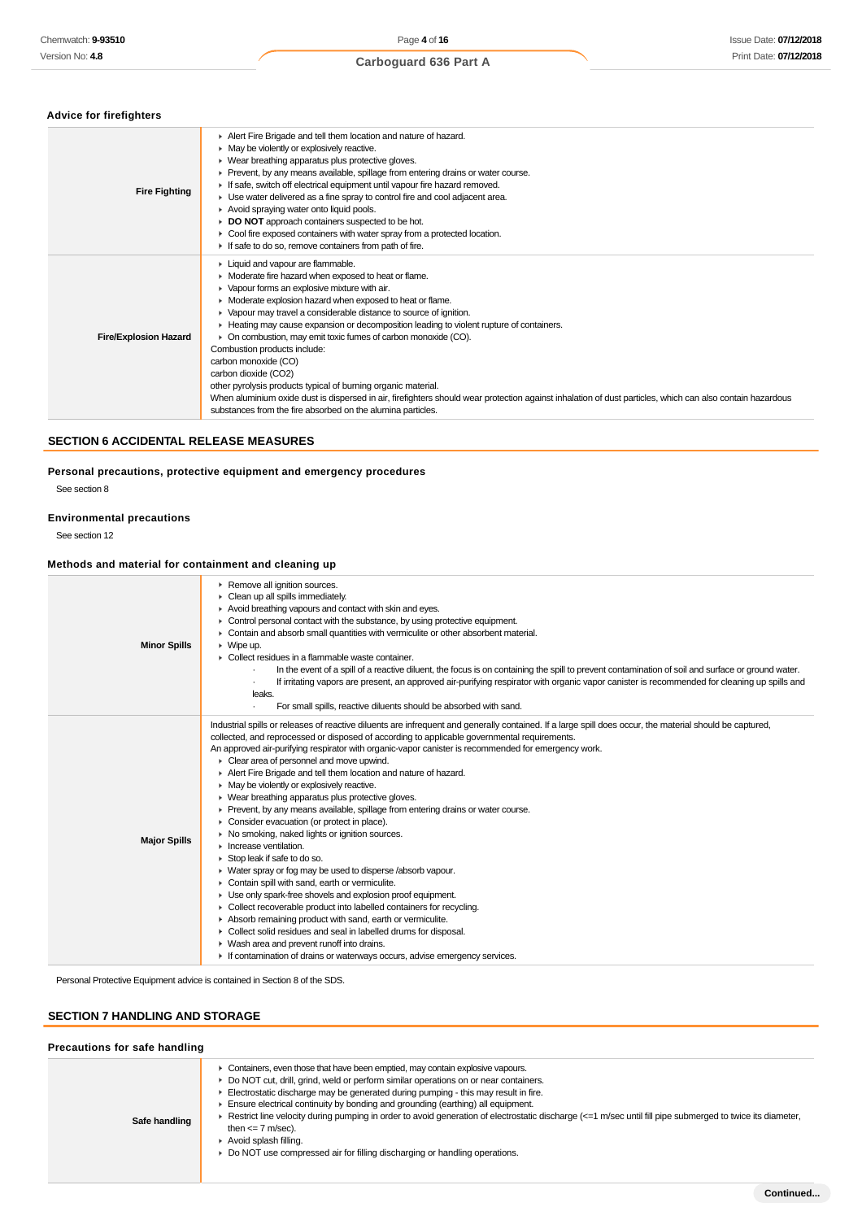### **Advice for firefighters**

| <b>Fire Fighting</b>         | Alert Fire Brigade and tell them location and nature of hazard.<br>• May be violently or explosively reactive.<br>▶ Wear breathing apparatus plus protective gloves.<br>► Prevent, by any means available, spillage from entering drains or water course.<br>If safe, switch off electrical equipment until vapour fire hazard removed.<br>• Use water delivered as a fine spray to control fire and cool adjacent area.<br>Avoid spraying water onto liquid pools.<br>DO NOT approach containers suspected to be hot.<br>• Cool fire exposed containers with water spray from a protected location.<br>If safe to do so, remove containers from path of fire.                                                                                                                                                              |
|------------------------------|-----------------------------------------------------------------------------------------------------------------------------------------------------------------------------------------------------------------------------------------------------------------------------------------------------------------------------------------------------------------------------------------------------------------------------------------------------------------------------------------------------------------------------------------------------------------------------------------------------------------------------------------------------------------------------------------------------------------------------------------------------------------------------------------------------------------------------|
| <b>Fire/Explosion Hazard</b> | • Liquid and vapour are flammable.<br>• Moderate fire hazard when exposed to heat or flame.<br>• Vapour forms an explosive mixture with air.<br>• Moderate explosion hazard when exposed to heat or flame.<br>• Vapour may travel a considerable distance to source of ignition.<br>► Heating may cause expansion or decomposition leading to violent rupture of containers.<br>• On combustion, may emit toxic fumes of carbon monoxide (CO).<br>Combustion products include:<br>carbon monoxide (CO)<br>carbon dioxide (CO2)<br>other pyrolysis products typical of burning organic material.<br>When aluminium oxide dust is dispersed in air, firefighters should wear protection against inhalation of dust particles, which can also contain hazardous<br>substances from the fire absorbed on the alumina particles. |

### **SECTION 6 ACCIDENTAL RELEASE MEASURES**

### **Personal precautions, protective equipment and emergency procedures**

See section 8

### **Environmental precautions**

See section 12

### **Methods and material for containment and cleaning up**

| <b>Minor Spills</b> | Remove all ignition sources.<br>Clean up all spills immediately.<br>Avoid breathing vapours and contact with skin and eyes.<br>• Control personal contact with the substance, by using protective equipment.<br>• Contain and absorb small quantities with vermiculite or other absorbent material.<br>$\triangleright$ Wipe up.<br>$\blacktriangleright$ Collect residues in a flammable waste container.<br>In the event of a spill of a reactive diluent, the focus is on containing the spill to prevent contamination of soil and surface or ground water.<br>If irritating vapors are present, an approved air-purifying respirator with organic vapor canister is recommended for cleaning up spills and<br>leaks.<br>For small spills, reactive diluents should be absorbed with sand.                                                                                                                                                                                                                                                                                                                                                                                                                                                                                                                                                                                                       |
|---------------------|------------------------------------------------------------------------------------------------------------------------------------------------------------------------------------------------------------------------------------------------------------------------------------------------------------------------------------------------------------------------------------------------------------------------------------------------------------------------------------------------------------------------------------------------------------------------------------------------------------------------------------------------------------------------------------------------------------------------------------------------------------------------------------------------------------------------------------------------------------------------------------------------------------------------------------------------------------------------------------------------------------------------------------------------------------------------------------------------------------------------------------------------------------------------------------------------------------------------------------------------------------------------------------------------------------------------------------------------------------------------------------------------------|
| <b>Major Spills</b> | Industrial spills or releases of reactive diluents are infrequent and generally contained. If a large spill does occur, the material should be captured,<br>collected, and reprocessed or disposed of according to applicable governmental requirements.<br>An approved air-purifying respirator with organic-vapor canister is recommended for emergency work.<br>• Clear area of personnel and move upwind.<br>Alert Fire Brigade and tell them location and nature of hazard.<br>$\triangleright$ May be violently or explosively reactive.<br>• Wear breathing apparatus plus protective gloves.<br>► Prevent, by any means available, spillage from entering drains or water course.<br>• Consider evacuation (or protect in place).<br>▶ No smoking, naked lights or ignition sources.<br>$\blacktriangleright$ Increase ventilation.<br>Stop leak if safe to do so.<br>• Water spray or fog may be used to disperse /absorb vapour.<br>Contain spill with sand, earth or vermiculite.<br>• Use only spark-free shovels and explosion proof equipment.<br>• Collect recoverable product into labelled containers for recycling.<br>Absorb remaining product with sand, earth or vermiculite.<br>• Collect solid residues and seal in labelled drums for disposal.<br>• Wash area and prevent runoff into drains.<br>If contamination of drains or waterways occurs, advise emergency services. |

Personal Protective Equipment advice is contained in Section 8 of the SDS.

### **SECTION 7 HANDLING AND STORAGE**

| Precautions for safe handling |                                                                                                                                                                                                                                                                                                                                                                                                                                                                                                                                                                                                                                                                   |
|-------------------------------|-------------------------------------------------------------------------------------------------------------------------------------------------------------------------------------------------------------------------------------------------------------------------------------------------------------------------------------------------------------------------------------------------------------------------------------------------------------------------------------------------------------------------------------------------------------------------------------------------------------------------------------------------------------------|
| Safe handling                 | • Containers, even those that have been emptied, may contain explosive vapours.<br>Do NOT cut, drill, grind, weld or perform similar operations on or near containers.<br>$\blacktriangleright$ Electrostatic discharge may be generated during pumping - this may result in fire.<br>Ensure electrical continuity by bonding and grounding (earthing) all equipment.<br>Exerct line velocity during pumping in order to avoid generation of electrostatic discharge (<=1 m/sec until fill pipe submerged to twice its diameter,<br>then $\leq$ 7 m/sec).<br>Avoid splash filling.<br>▶ Do NOT use compressed air for filling discharging or handling operations. |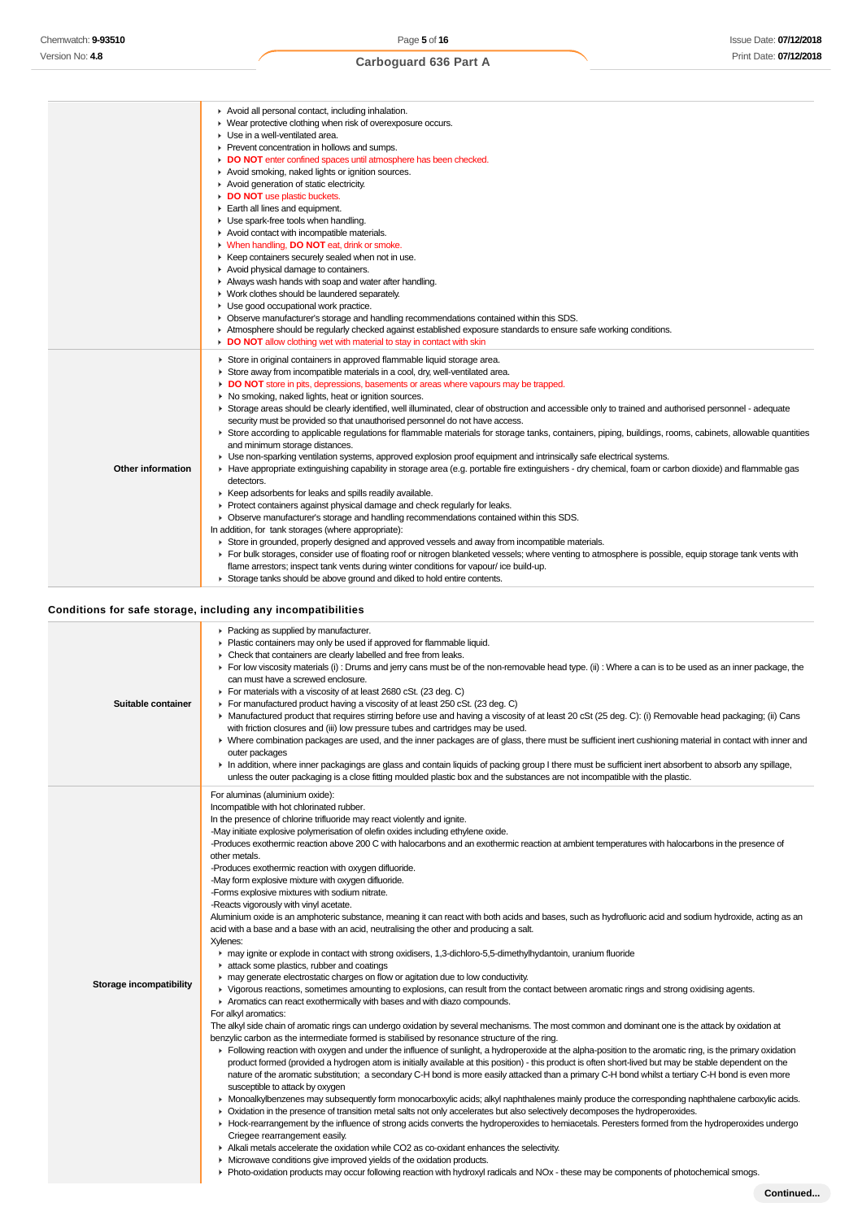|                   | Avoid all personal contact, including inhalation.<br>• Wear protective clothing when risk of overexposure occurs.<br>▶ Use in a well-ventilated area.<br>Prevent concentration in hollows and sumps.<br>DO NOT enter confined spaces until atmosphere has been checked.<br>Avoid smoking, naked lights or ignition sources.<br>Avoid generation of static electricity.<br>DO NOT use plastic buckets.<br>Earth all lines and equipment.<br>Use spark-free tools when handling.<br>Avoid contact with incompatible materials.<br>V When handling, DO NOT eat, drink or smoke.<br>▶ Keep containers securely sealed when not in use.<br>Avoid physical damage to containers.<br>Always wash hands with soap and water after handling.<br>• Work clothes should be laundered separately.<br>Use good occupational work practice.                                                                                                                                                                                                                                                                                                                                                                                                                                                                                                                                                                                                                                                                                                                                                                                                                                                                                                                                                       |
|-------------------|-------------------------------------------------------------------------------------------------------------------------------------------------------------------------------------------------------------------------------------------------------------------------------------------------------------------------------------------------------------------------------------------------------------------------------------------------------------------------------------------------------------------------------------------------------------------------------------------------------------------------------------------------------------------------------------------------------------------------------------------------------------------------------------------------------------------------------------------------------------------------------------------------------------------------------------------------------------------------------------------------------------------------------------------------------------------------------------------------------------------------------------------------------------------------------------------------------------------------------------------------------------------------------------------------------------------------------------------------------------------------------------------------------------------------------------------------------------------------------------------------------------------------------------------------------------------------------------------------------------------------------------------------------------------------------------------------------------------------------------------------------------------------------------|
|                   | • Observe manufacturer's storage and handling recommendations contained within this SDS.<br>Atmosphere should be regularly checked against established exposure standards to ensure safe working conditions.<br>DO NOT allow clothing wet with material to stay in contact with skin                                                                                                                                                                                                                                                                                                                                                                                                                                                                                                                                                                                                                                                                                                                                                                                                                                                                                                                                                                                                                                                                                                                                                                                                                                                                                                                                                                                                                                                                                                |
| Other information | Store in original containers in approved flammable liquid storage area.<br>Store away from incompatible materials in a cool, dry, well-ventilated area.<br>DO NOT store in pits, depressions, basements or areas where vapours may be trapped.<br>• No smoking, naked lights, heat or ignition sources.<br>> Storage areas should be clearly identified, well illuminated, clear of obstruction and accessible only to trained and authorised personnel - adequate<br>security must be provided so that unauthorised personnel do not have access.<br>Store according to applicable regulations for flammable materials for storage tanks, containers, piping, buildings, rooms, cabinets, allowable quantities<br>and minimum storage distances.<br>• Use non-sparking ventilation systems, approved explosion proof equipment and intrinsically safe electrical systems.<br>Have appropriate extinguishing capability in storage area (e.g. portable fire extinguishers - dry chemical, foam or carbon dioxide) and flammable gas<br>detectors.<br>▶ Keep adsorbents for leaks and spills readily available.<br>▶ Protect containers against physical damage and check regularly for leaks.<br>• Observe manufacturer's storage and handling recommendations contained within this SDS.<br>In addition, for tank storages (where appropriate):<br>► Store in grounded, properly designed and approved vessels and away from incompatible materials.<br>For bulk storages, consider use of floating roof or nitrogen blanketed vessels; where venting to atmosphere is possible, equip storage tank vents with<br>flame arrestors; inspect tank vents during winter conditions for vapour/ice build-up.<br>Storage tanks should be above ground and diked to hold entire contents. |

## **Conditions for safe storage, including any incompatibilities**

|                         | Conditions for safe storage, including any incompatibilities                                                                                                                                                                                                                                                                                                                                                                                                                                                                                                                                                                                                                                                                                                                                                                                                                                                                                                                                                                                                                                                                                                                                                                                                                                                                                                                                                                                                                                                                                                                                                                                                                                                                                                                                                                                                                                                                                                                                                                                                                                                                                                                                                                                                                                                                                                                                                                                                                                                                                                                                                                                                                                                                                                                                                                                                                                                                                                           |
|-------------------------|------------------------------------------------------------------------------------------------------------------------------------------------------------------------------------------------------------------------------------------------------------------------------------------------------------------------------------------------------------------------------------------------------------------------------------------------------------------------------------------------------------------------------------------------------------------------------------------------------------------------------------------------------------------------------------------------------------------------------------------------------------------------------------------------------------------------------------------------------------------------------------------------------------------------------------------------------------------------------------------------------------------------------------------------------------------------------------------------------------------------------------------------------------------------------------------------------------------------------------------------------------------------------------------------------------------------------------------------------------------------------------------------------------------------------------------------------------------------------------------------------------------------------------------------------------------------------------------------------------------------------------------------------------------------------------------------------------------------------------------------------------------------------------------------------------------------------------------------------------------------------------------------------------------------------------------------------------------------------------------------------------------------------------------------------------------------------------------------------------------------------------------------------------------------------------------------------------------------------------------------------------------------------------------------------------------------------------------------------------------------------------------------------------------------------------------------------------------------------------------------------------------------------------------------------------------------------------------------------------------------------------------------------------------------------------------------------------------------------------------------------------------------------------------------------------------------------------------------------------------------------------------------------------------------------------------------------------------------|
| Suitable container      | • Packing as supplied by manufacturer.<br>• Plastic containers may only be used if approved for flammable liquid.<br>• Check that containers are clearly labelled and free from leaks.<br>For low viscosity materials (i): Drums and jerry cans must be of the non-removable head type. (ii): Where a can is to be used as an inner package, the<br>can must have a screwed enclosure.<br>For materials with a viscosity of at least 2680 cSt. (23 deg. C)<br>For manufactured product having a viscosity of at least 250 cSt. (23 deg. C)<br>► Manufactured product that requires stirring before use and having a viscosity of at least 20 cSt (25 deg. C): (i) Removable head packaging; (ii) Cans<br>with friction closures and (iii) low pressure tubes and cartridges may be used.<br>▶ Where combination packages are used, and the inner packages are of glass, there must be sufficient inert cushioning material in contact with inner and<br>outer packages<br>In addition, where inner packagings are glass and contain liquids of packing group I there must be sufficient inert absorbent to absorb any spillage,<br>unless the outer packaging is a close fitting moulded plastic box and the substances are not incompatible with the plastic.                                                                                                                                                                                                                                                                                                                                                                                                                                                                                                                                                                                                                                                                                                                                                                                                                                                                                                                                                                                                                                                                                                                                                                                                                                                                                                                                                                                                                                                                                                                                                                                                                                                                                                         |
| Storage incompatibility | For aluminas (aluminium oxide):<br>Incompatible with hot chlorinated rubber.<br>In the presence of chlorine trifluoride may react violently and ignite.<br>-May initiate explosive polymerisation of olefin oxides including ethylene oxide.<br>-Produces exothermic reaction above 200 C with halocarbons and an exothermic reaction at ambient temperatures with halocarbons in the presence of<br>other metals.<br>-Produces exothermic reaction with oxygen difluoride.<br>-May form explosive mixture with oxygen difluoride.<br>-Forms explosive mixtures with sodium nitrate.<br>-Reacts vigorously with vinyl acetate.<br>Aluminium oxide is an amphoteric substance, meaning it can react with both acids and bases, such as hydrofluoric acid and sodium hydroxide, acting as an<br>acid with a base and a base with an acid, neutralising the other and producing a salt.<br>Xylenes:<br>may ignite or explode in contact with strong oxidisers, 1,3-dichloro-5,5-dimethylhydantoin, uranium fluoride<br>attack some plastics, rubber and coatings<br>may generate electrostatic charges on flow or agitation due to low conductivity.<br>▶ Vigorous reactions, sometimes amounting to explosions, can result from the contact between aromatic rings and strong oxidising agents.<br>Aromatics can react exothermically with bases and with diazo compounds.<br>For alkyl aromatics:<br>The alkyl side chain of aromatic rings can undergo oxidation by several mechanisms. The most common and dominant one is the attack by oxidation at<br>benzylic carbon as the intermediate formed is stabilised by resonance structure of the ring.<br>Following reaction with oxygen and under the influence of sunlight, a hydroperoxide at the alpha-position to the aromatic ring, is the primary oxidation<br>product formed (provided a hydrogen atom is initially available at this position) - this product is often short-lived but may be stable dependent on the<br>nature of the aromatic substitution; a secondary C-H bond is more easily attacked than a primary C-H bond whilst a tertiary C-H bond is even more<br>susceptible to attack by oxygen<br>• Monoalkylbenzenes may subsequently form monocarboxylic acids; alkyl naphthalenes mainly produce the corresponding naphthalene carboxylic acids.<br>• Oxidation in the presence of transition metal salts not only accelerates but also selectively decomposes the hydroperoxides.<br>► Hock-rearrangement by the influence of strong acids converts the hydroperoxides to hemiacetals. Peresters formed from the hydroperoxides undergo<br>Criegee rearrangement easily.<br>Alkali metals accelerate the oxidation while CO2 as co-oxidant enhances the selectivity.<br>• Microwave conditions give improved yields of the oxidation products.<br>• Photo-oxidation products may occur following reaction with hydroxyl radicals and NOx - these may be components of photochemical smogs. |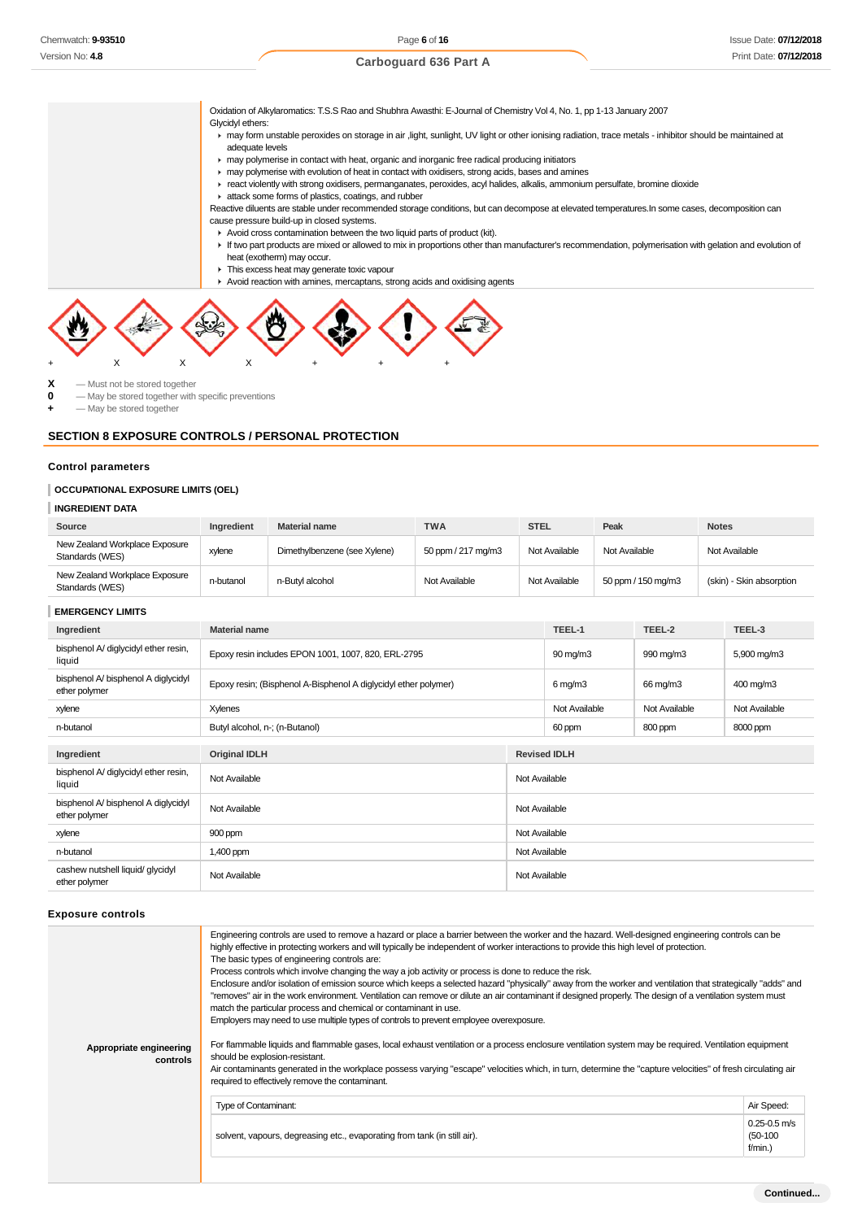Oxidation of Alkylaromatics: T.S.S Rao and Shubhra Awasthi: E-Journal of Chemistry Vol 4, No. 1, pp 1-13 January 2007

### Glycidyl ethers:

may form unstable peroxides on storage in air ,light, sunlight, UV light or other ionising radiation, trace metals - inhibitor should be maintained at adequate levels

may polymerise in contact with heat, organic and inorganic free radical producing initiators

may polymerise with evolution of heat in contact with oxidisers, strong acids, bases and amines

react violently with strong oxidisers, permanganates, peroxides, acyl halides, alkalis, ammonium persulfate, bromine dioxide

attack some forms of plastics, coatings, and rubber

Reactive diluents are stable under recommended storage conditions, but can decompose at elevated temperatures.In some cases, decomposition can cause pressure build-up in closed systems.

- Avoid cross contamination between the two liquid parts of product (kit).
- If two part products are mixed or allowed to mix in proportions other than manufacturer's recommendation, polymerisation with gelation and evolution of heat (exotherm) may occur.
- $\blacksquare$  This excess heat may generate toxic vapour
- ► Avoid reaction with amines, mercaptans, strong acids and oxidising agents



 $\begin{array}{ccc} \mathbf{X} & -\text{Must not be stored together} \\ \mathbf{0} & -\text{Max be stored together with} \end{array}$ 

**0** — May be stored together with specific preventions

**+** — May be stored together

### **SECTION 8 EXPOSURE CONTROLS / PERSONAL PROTECTION**

### **Control parameters**

### **OCCUPATIONAL EXPOSURE LIMITS (OEL)**

#### **INGREDIENT DATA**

| Source                                            | Ingredient | <b>Material name</b>         | <b>TWA</b>         | <b>STEL</b>   | Peak               | <b>Notes</b>             |
|---------------------------------------------------|------------|------------------------------|--------------------|---------------|--------------------|--------------------------|
| New Zealand Workplace Exposure<br>Standards (WES) | xylene     | Dimethylbenzene (see Xylene) | 50 ppm / 217 mg/m3 | Not Available | Not Available      | Not Available            |
| New Zealand Workplace Exposure<br>Standards (WES) | n-butanol  | n-Butvl alcohol              | Not Available      | Not Available | 50 ppm / 150 mg/m3 | (skin) - Skin absorption |

#### **EMERGENCY LIMITS**

| Ingredient                                           | <b>Material name</b>                                            |               | TEEL-1              | TEEL-2        | TEEL-3        |  |  |
|------------------------------------------------------|-----------------------------------------------------------------|---------------|---------------------|---------------|---------------|--|--|
| bisphenol A/ diglycidyl ether resin,<br>liquid       | Epoxy resin includes EPON 1001, 1007, 820, ERL-2795             |               | 90 mg/m3            | 990 mg/m3     | 5,900 mg/m3   |  |  |
| bisphenol A/ bisphenol A diglycidyl<br>ether polymer | Epoxy resin; (Bisphenol A-Bisphenol A diglycidyl ether polymer) |               | $6$ mg/m $3$        | 66 mg/m3      | 400 mg/m3     |  |  |
| xylene                                               | Xylenes                                                         |               | Not Available       | Not Available | Not Available |  |  |
| n-butanol                                            | Butyl alcohol, n-; (n-Butanol)                                  |               | 60 ppm              | 800 ppm       | 8000 ppm      |  |  |
|                                                      |                                                                 |               |                     |               |               |  |  |
| Ingredient                                           | <b>Original IDLH</b>                                            |               | <b>Revised IDLH</b> |               |               |  |  |
| bisphenol A/ diglycidyl ether resin,<br>liquid       | Not Available                                                   | Not Available |                     |               |               |  |  |
| bisphenol A/ bisphenol A diglycidyl<br>ether polymer | Not Available                                                   | Not Available |                     |               |               |  |  |
| xylene                                               | 900 ppm                                                         | Not Available |                     |               |               |  |  |
| n-butanol                                            | 1,400 ppm                                                       | Not Available |                     |               |               |  |  |
| cashew nutshell liquid/ glycidyl<br>ether polymer    | Not Available                                                   | Not Available |                     |               |               |  |  |

#### **Exposure controls**

| Appropriate engineering<br>controls | Engineering controls are used to remove a hazard or place a barrier between the worker and the hazard. Well-designed engineering controls can be<br>highly effective in protecting workers and will typically be independent of worker interactions to provide this high level of protection.<br>The basic types of engineering controls are:<br>Process controls which involve changing the way a job activity or process is done to reduce the risk.<br>Enclosure and/or isolation of emission source which keeps a selected hazard "physically" away from the worker and ventilation that strategically "adds" and<br>"removes" air in the work environment. Ventilation can remove or dilute an air contaminant if designed properly. The design of a ventilation system must<br>match the particular process and chemical or contaminant in use.<br>Employers may need to use multiple types of controls to prevent employee overexposure.<br>For flammable liquids and flammable gases, local exhaust ventilation or a process enclosure ventilation system may be required. Ventilation equipment<br>should be explosion-resistant.<br>Air contaminants generated in the workplace possess varying "escape" velocities which, in turn, determine the "capture velocities" of fresh circulating air<br>required to effectively remove the contaminant. |                                           |
|-------------------------------------|--------------------------------------------------------------------------------------------------------------------------------------------------------------------------------------------------------------------------------------------------------------------------------------------------------------------------------------------------------------------------------------------------------------------------------------------------------------------------------------------------------------------------------------------------------------------------------------------------------------------------------------------------------------------------------------------------------------------------------------------------------------------------------------------------------------------------------------------------------------------------------------------------------------------------------------------------------------------------------------------------------------------------------------------------------------------------------------------------------------------------------------------------------------------------------------------------------------------------------------------------------------------------------------------------------------------------------------------------------------|-------------------------------------------|
|                                     | Type of Contaminant:                                                                                                                                                                                                                                                                                                                                                                                                                                                                                                                                                                                                                                                                                                                                                                                                                                                                                                                                                                                                                                                                                                                                                                                                                                                                                                                                         | Air Speed:                                |
|                                     | solvent, vapours, degreasing etc., evaporating from tank (in still air).                                                                                                                                                                                                                                                                                                                                                                                                                                                                                                                                                                                                                                                                                                                                                                                                                                                                                                                                                                                                                                                                                                                                                                                                                                                                                     | $0.25 - 0.5$ m/s<br>$(50-100)$<br>f/min.) |
|                                     |                                                                                                                                                                                                                                                                                                                                                                                                                                                                                                                                                                                                                                                                                                                                                                                                                                                                                                                                                                                                                                                                                                                                                                                                                                                                                                                                                              |                                           |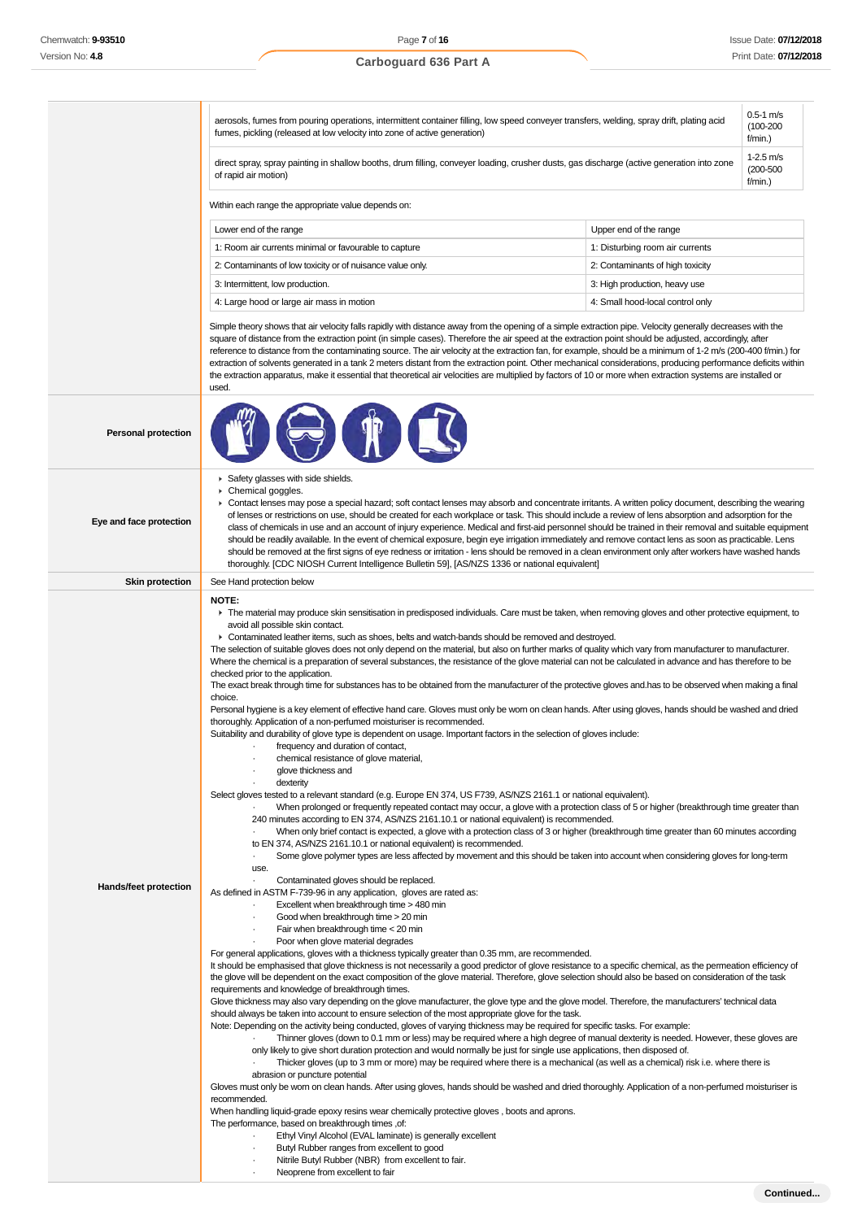#### aerosols, fumes from pouring operations, intermittent container filling, low speed conveyer transfers, welding, spray drift, plating acid fumes, pickling (released at low velocity into zone of active generation) 0.5-1 m/s (100-200 f/min.) direct spray, spray painting in shallow booths, drum filling, conveyer loading, crusher dusts, gas discharge (active generation into zone of rapid air motion) 1-2.5 m/s (200-500 f/min.) Within each range the appropriate value depends on: Lower end of the range **Lower end of the range** Upper end of the range 1: Room air currents minimal or favourable to capture 1: Disturbing room air currents 2: Contaminants of low toxicity or of nuisance value only. 2: Contaminants of high toxicity 3: Intermittent, low production. 3: High production, heavy use 4: Large hood or large air mass in motion 4: Small hood-local control only Simple theory shows that air velocity falls rapidly with distance away from the opening of a simple extraction pipe. Velocity generally decreases with the square of distance from the extraction point (in simple cases). Therefore the air speed at the extraction point should be adjusted, accordingly, after reference to distance from the contaminating source. The air velocity at the extraction fan, for example, should be a minimum of 1-2 m/s (200-400 f/min.) for extraction of solvents generated in a tank 2 meters distant from the extraction point. Other mechanical considerations, producing performance deficits within the extraction apparatus, make it essential that theoretical air velocities are multiplied by factors of 10 or more when extraction systems are installed or used. **Personal protection Eye and face protection** Safety glasses with side shields. Chemical goggles. ▶ Contact lenses may pose a special hazard; soft contact lenses may absorb and concentrate irritants. A written policy document, describing the wearing of lenses or restrictions on use, should be created for each workplace or task. This should include a review of lens absorption and adsorption for the class of chemicals in use and an account of injury experience. Medical and first-aid personnel should be trained in their removal and suitable equipment should be readily available. In the event of chemical exposure, begin eye irrigation immediately and remove contact lens as soon as practicable. Lens should be removed at the first signs of eye redness or irritation - lens should be removed in a clean environment only after workers have washed hands thoroughly. [CDC NIOSH Current Intelligence Bulletin 59], [AS/NZS 1336 or national equivalent] **Skin protection** See Hand protection below **Hands/feet protection NOTE:** The material may produce skin sensitisation in predisposed individuals. Care must be taken, when removing gloves and other protective equipment, to avoid all possible skin contact. ► Contaminated leather items, such as shoes, belts and watch-bands should be removed and destroyed. The selection of suitable gloves does not only depend on the material, but also on further marks of quality which vary from manufacturer to manufacturer. Where the chemical is a preparation of several substances, the resistance of the glove material can not be calculated in advance and has therefore to be checked prior to the application. The exact break through time for substances has to be obtained from the manufacturer of the protective gloves and.has to be observed when making a final choice. Personal hygiene is a key element of effective hand care. Gloves must only be worn on clean hands. After using gloves, hands should be washed and dried thoroughly. Application of a non-perfumed moisturiser is recommended. Suitability and durability of glove type is dependent on usage. Important factors in the selection of gloves include: frequency and duration of contact, · chemical resistance of glove material, glove thickness and dexterity Select gloves tested to a relevant standard (e.g. Europe EN 374, US F739, AS/NZS 2161.1 or national equivalent). · When prolonged or frequently repeated contact may occur, a glove with a protection class of 5 or higher (breakthrough time greater than 240 minutes according to EN 374, AS/NZS 2161.10.1 or national equivalent) is recommended. When only brief contact is expected, a glove with a protection class of 3 or higher (breakthrough time greater than 60 minutes according to EN 374, AS/NZS 2161.10.1 or national equivalent) is recommended. Some glove polymer types are less affected by movement and this should be taken into account when considering gloves for long-term use. · Contaminated gloves should be replaced. As defined in ASTM F-739-96 in any application, gloves are rated as: Excellent when breakthrough time > 480 min Good when breakthrough time > 20 min Fair when breakthrough time  $<$  20 min Poor when glove material degrades For general applications, gloves with a thickness typically greater than 0.35 mm, are recommended. It should be emphasised that glove thickness is not necessarily a good predictor of glove resistance to a specific chemical, as the permeation efficiency of the glove will be dependent on the exact composition of the glove material. Therefore, glove selection should also be based on consideration of the task requirements and knowledge of breakthrough times. Glove thickness may also vary depending on the glove manufacturer, the glove type and the glove model. Therefore, the manufacturers' technical data should always be taken into account to ensure selection of the most appropriate glove for the task. Note: Depending on the activity being conducted, gloves of varying thickness may be required for specific tasks. For example: · Thinner gloves (down to 0.1 mm or less) may be required where a high degree of manual dexterity is needed. However, these gloves are only likely to give short duration protection and would normally be just for single use applications, then disposed of. Thicker gloves (up to 3 mm or more) may be required where there is a mechanical (as well as a chemical) risk i.e. where there is abrasion or puncture potential Gloves must only be worn on clean hands. After using gloves, hands should be washed and dried thoroughly. Application of a non-perfumed moisturiser is recommended. When handling liquid-grade epoxy resins wear chemically protective gloves , boots and aprons. The performance, based on breakthrough times ,of: · Ethyl Vinyl Alcohol (EVAL laminate) is generally excellent Butyl Rubber ranges from excellent to good

- Nitrile Butyl Rubber (NBR) from excellent to fair.
- Neoprene from excellent to fair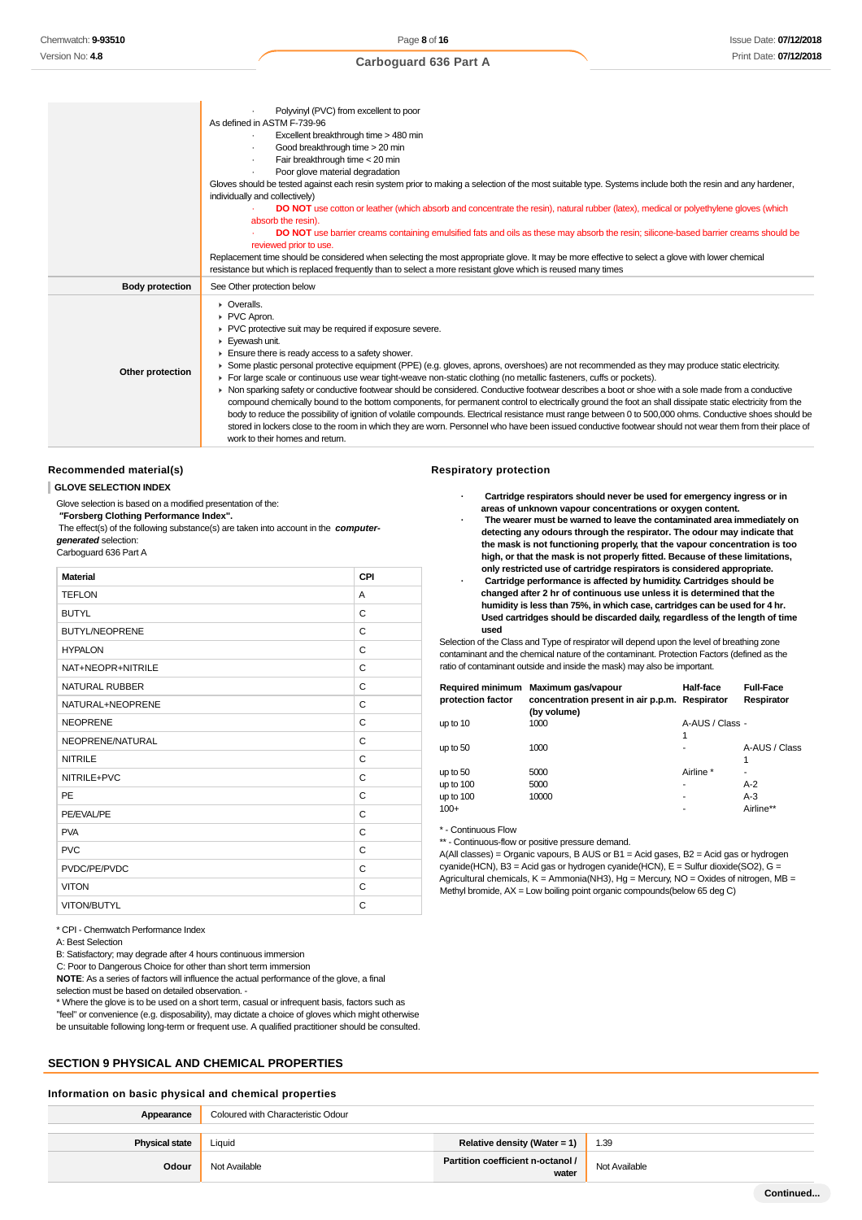|                        | Polyvinyl (PVC) from excellent to poor<br>As defined in ASTM F-739-96<br>Excellent breakthrough time > 480 min<br>Good breakthrough time > 20 min<br>Fair breakthrough time < 20 min<br>Poor glove material degradation<br>Gloves should be tested against each resin system prior to making a selection of the most suitable type. Systems include both the resin and any hardener,<br>individually and collectively)<br><b>DO NOT</b> use cotton or leather (which absorb and concentrate the resin), natural rubber (latex), medical or polyethylene gloves (which<br>absorb the resin).<br>DO NOT use barrier creams containing emulsified fats and oils as these may absorb the resin; silicone-based barrier creams should be<br>reviewed prior to use.<br>Replacement time should be considered when selecting the most appropriate glove. It may be more effective to select a glove with lower chemical<br>resistance but which is replaced frequently than to select a more resistant glove which is reused many times                                                                                                      |
|------------------------|---------------------------------------------------------------------------------------------------------------------------------------------------------------------------------------------------------------------------------------------------------------------------------------------------------------------------------------------------------------------------------------------------------------------------------------------------------------------------------------------------------------------------------------------------------------------------------------------------------------------------------------------------------------------------------------------------------------------------------------------------------------------------------------------------------------------------------------------------------------------------------------------------------------------------------------------------------------------------------------------------------------------------------------------------------------------------------------------------------------------------------------|
| <b>Body protection</b> | See Other protection below                                                                                                                                                                                                                                                                                                                                                                                                                                                                                                                                                                                                                                                                                                                                                                                                                                                                                                                                                                                                                                                                                                            |
| Other protection       | • Overalls.<br>PVC Apron.<br>▶ PVC protective suit may be required if exposure severe.<br>Eyewash unit.<br>$\blacktriangleright$ Ensure there is ready access to a safety shower.<br>▶ Some plastic personal protective equipment (PPE) (e.g. gloves, aprons, overshoes) are not recommended as they may produce static electricity.<br>For large scale or continuous use wear tight-weave non-static clothing (no metallic fasteners, cuffs or pockets).<br>• Non sparking safety or conductive footwear should be considered. Conductive footwear describes a boot or shoe with a sole made from a conductive<br>compound chemically bound to the bottom components, for permanent control to electrically ground the foot an shall dissipate static electricity from the<br>body to reduce the possibility of ignition of volatile compounds. Electrical resistance must range between 0 to 500,000 ohms. Conductive shoes should be<br>stored in lockers close to the room in which they are worn. Personnel who have been issued conductive footwear should not wear them from their place of<br>work to their homes and return. |

#### **Recommended material(s)**

#### **GLOVE SELECTION INDEX**

Glove selection is based on a modified presentation of the:  **"Forsberg Clothing Performance Index".**

 The effect(s) of the following substance(s) are taken into account in the **computergenerated** selection:

Carboguard 636 Part A

| <b>Material</b>       | CPI |
|-----------------------|-----|
| <b>TEFLON</b>         | A   |
| <b>BUTYL</b>          | C   |
| <b>BUTYL/NEOPRENE</b> | C   |
| <b>HYPALON</b>        | C   |
| NAT+NEOPR+NITRILE     | C   |
| <b>NATURAL RUBBER</b> | C   |
| NATURAL+NEOPRENE      | C   |
| <b>NEOPRENE</b>       | C   |
| NEOPRENE/NATURAL      | C   |
| <b>NITRILE</b>        | C   |
| NITRILE+PVC           | C   |
| PE                    | C   |
| PE/EVAL/PE            | C   |
| <b>PVA</b>            | C   |
| <b>PVC</b>            | C   |
| PVDC/PE/PVDC          | C   |
| <b>VITON</b>          | C   |
| <b>VITON/BUTYL</b>    | С   |

#### **Respiratory protection**

- **· Cartridge respirators should never be used for emergency ingress or in areas of unknown vapour concentrations or oxygen content.**
- **· The wearer must be warned to leave the contaminated area immediately on detecting any odours through the respirator. The odour may indicate that the mask is not functioning properly, that the vapour concentration is too high, or that the mask is not properly fitted. Because of these limitations,**
- **only restricted use of cartridge respirators is considered appropriate. · Cartridge performance is affected by humidity. Cartridges should be changed after 2 hr of continuous use unless it is determined that the humidity is less than 75%, in which case, cartridges can be used for 4 hr. Used cartridges should be discarded daily, regardless of the length of time used**

Selection of the Class and Type of respirator will depend upon the level of breathing zone contaminant and the chemical nature of the contaminant. Protection Factors (defined as the ratio of contaminant outside and inside the mask) may also be important.

| protection factor | Required minimum Maximum gas/vapour<br>concentration present in air p.p.m. Respirator<br>(by volume) | Half-face            | <b>Full-Face</b><br>Respirator |
|-------------------|------------------------------------------------------------------------------------------------------|----------------------|--------------------------------|
| up to 10          | 1000                                                                                                 | A-AUS / Class -<br>1 |                                |
| up to 50          | 1000                                                                                                 |                      | A-AUS / Class<br>1             |
| up to 50          | 5000                                                                                                 | Airline *            |                                |
| up to 100         | 5000                                                                                                 | -                    | $A-2$                          |
| up to 100         | 10000                                                                                                |                      | $A-3$                          |
| $100+$            |                                                                                                      |                      | Airline**                      |

\* - Continuous Flow

\*\* - Continuous-flow or positive pressure demand.

A(All classes) = Organic vapours, B AUS or B1 = Acid gases, B2 = Acid gas or hydrogen  $c$ yanide(HCN), B3 = Acid gas or hydrogen cyanide(HCN), E = Sulfur dioxide(SO2), G = Agricultural chemicals,  $K =$  Ammonia(NH3), Hg = Mercury, NO = Oxides of nitrogen, MB = Methyl bromide, AX = Low boiling point organic compounds(below 65 deg C)

\* CPI - Chemwatch Performance Index

A: Best Selection

B: Satisfactory; may degrade after 4 hours continuous immersion

C: Poor to Dangerous Choice for other than short term immersion

**NOTE**: As a series of factors will influence the actual performance of the glove, a final

selection must be based on detailed observation. -

\* Where the glove is to be used on a short term, casual or infrequent basis, factors such as

"feel" or convenience (e.g. disposability), may dictate a choice of gloves which might otherwise

be unsuitable following long-term or frequent use. A qualified practitioner should be consulted.

### **SECTION 9 PHYSICAL AND CHEMICAL PROPERTIES**

#### **Information on basic physical and chemical properties**

| Appearance            | Coloured with Characteristic Odour |                                            |               |
|-----------------------|------------------------------------|--------------------------------------------|---------------|
| <b>Physical state</b> | Liauid                             | Relative density (Water = 1)               | 1.39          |
| Odour                 | Not Available                      | Partition coefficient n-octanol /<br>water | Not Available |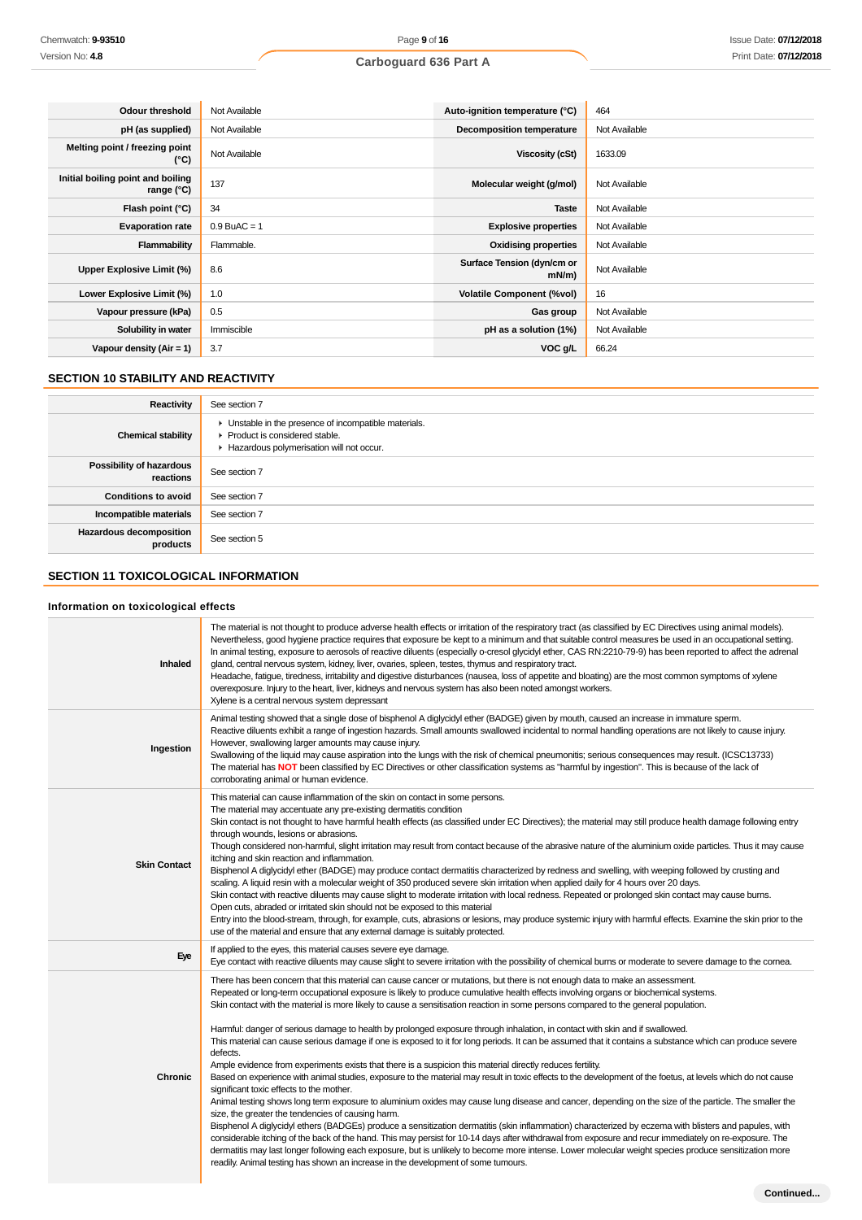| <b>Odour threshold</b>                            | Not Available  | Auto-ignition temperature (°C)         | 464           |
|---------------------------------------------------|----------------|----------------------------------------|---------------|
| pH (as supplied)                                  | Not Available  | <b>Decomposition temperature</b>       | Not Available |
| Melting point / freezing point<br>(°C)            | Not Available  | <b>Viscosity (cSt)</b>                 | 1633.09       |
| Initial boiling point and boiling<br>range $(°C)$ | 137            | Molecular weight (g/mol)               | Not Available |
| Flash point (°C)                                  | 34             | <b>Taste</b>                           | Not Available |
| <b>Evaporation rate</b>                           | $0.9$ BuAC = 1 | <b>Explosive properties</b>            | Not Available |
| Flammability                                      | Flammable.     | <b>Oxidising properties</b>            | Not Available |
| Upper Explosive Limit (%)                         | 8.6            | Surface Tension (dyn/cm or<br>$mN/m$ ) | Not Available |
| Lower Explosive Limit (%)                         | 1.0            | <b>Volatile Component (%vol)</b>       | 16            |
| Vapour pressure (kPa)                             | 0.5            | Gas group                              | Not Available |
| Solubility in water                               | Immiscible     | pH as a solution (1%)                  | Not Available |
| Vapour density $(Air = 1)$                        | 3.7            | VOC g/L                                | 66.24         |

## **SECTION 10 STABILITY AND REACTIVITY**

| Reactivity                            | See section 7                                                                                                                      |
|---------------------------------------|------------------------------------------------------------------------------------------------------------------------------------|
| <b>Chemical stability</b>             | • Unstable in the presence of incompatible materials.<br>Product is considered stable.<br>Hazardous polymerisation will not occur. |
| Possibility of hazardous<br>reactions | See section 7                                                                                                                      |
| <b>Conditions to avoid</b>            | See section 7                                                                                                                      |
| Incompatible materials                | See section 7                                                                                                                      |
| Hazardous decomposition<br>products   | See section 5                                                                                                                      |

### **SECTION 11 TOXICOLOGICAL INFORMATION**

### **Information on toxicological effects**

| <b>Inhaled</b>      | The material is not thought to produce adverse health effects or irritation of the respiratory tract (as classified by EC Directives using animal models).<br>Nevertheless, good hygiene practice requires that exposure be kept to a minimum and that suitable control measures be used in an occupational setting.<br>In animal testing, exposure to aerosols of reactive diluents (especially o-cresol glycidyl ether, CAS RN:2210-79-9) has been reported to affect the adrenal<br>gland, central nervous system, kidney, liver, ovaries, spleen, testes, thymus and respiratory tract.<br>Headache, fatigue, tiredness, irritability and digestive disturbances (nausea, loss of appetite and bloating) are the most common symptoms of xylene<br>overexposure. Injury to the heart, liver, kidneys and nervous system has also been noted amongst workers.<br>Xylene is a central nervous system depressant                                                                                                                                                                                                                                                                                                                                                                                                                                                                                                                                                                                                                                                                                                                                                                                                                                                                                                           |
|---------------------|-----------------------------------------------------------------------------------------------------------------------------------------------------------------------------------------------------------------------------------------------------------------------------------------------------------------------------------------------------------------------------------------------------------------------------------------------------------------------------------------------------------------------------------------------------------------------------------------------------------------------------------------------------------------------------------------------------------------------------------------------------------------------------------------------------------------------------------------------------------------------------------------------------------------------------------------------------------------------------------------------------------------------------------------------------------------------------------------------------------------------------------------------------------------------------------------------------------------------------------------------------------------------------------------------------------------------------------------------------------------------------------------------------------------------------------------------------------------------------------------------------------------------------------------------------------------------------------------------------------------------------------------------------------------------------------------------------------------------------------------------------------------------------------------------------------------------------|
| Ingestion           | Animal testing showed that a single dose of bisphenol A diglycidyl ether (BADGE) given by mouth, caused an increase in immature sperm.<br>Reactive diluents exhibit a range of ingestion hazards. Small amounts swallowed incidental to normal handling operations are not likely to cause injury.<br>However, swallowing larger amounts may cause injury.<br>Swallowing of the liquid may cause aspiration into the lungs with the risk of chemical pneumonitis; serious consequences may result. (ICSC13733)<br>The material has NOT been classified by EC Directives or other classification systems as "harmful by ingestion". This is because of the lack of<br>corroborating animal or human evidence.                                                                                                                                                                                                                                                                                                                                                                                                                                                                                                                                                                                                                                                                                                                                                                                                                                                                                                                                                                                                                                                                                                                |
| <b>Skin Contact</b> | This material can cause inflammation of the skin on contact in some persons.<br>The material may accentuate any pre-existing dermatitis condition<br>Skin contact is not thought to have harmful health effects (as classified under EC Directives); the material may still produce health damage following entry<br>through wounds, lesions or abrasions.<br>Though considered non-harmful, slight irritation may result from contact because of the abrasive nature of the aluminium oxide particles. Thus it may cause<br>itching and skin reaction and inflammation.<br>Bisphenol A diglycidyl ether (BADGE) may produce contact dermatitis characterized by redness and swelling, with weeping followed by crusting and<br>scaling. A liquid resin with a molecular weight of 350 produced severe skin irritation when applied daily for 4 hours over 20 days.<br>Skin contact with reactive diluents may cause slight to moderate irritation with local redness. Repeated or prolonged skin contact may cause burns.<br>Open cuts, abraded or irritated skin should not be exposed to this material<br>Entry into the blood-stream, through, for example, cuts, abrasions or lesions, may produce systemic injury with harmful effects. Examine the skin prior to the<br>use of the material and ensure that any external damage is suitably protected.                                                                                                                                                                                                                                                                                                                                                                                                                                                               |
| Eye                 | If applied to the eyes, this material causes severe eye damage.<br>Eye contact with reactive diluents may cause slight to severe irritation with the possibility of chemical burns or moderate to severe damage to the comea.                                                                                                                                                                                                                                                                                                                                                                                                                                                                                                                                                                                                                                                                                                                                                                                                                                                                                                                                                                                                                                                                                                                                                                                                                                                                                                                                                                                                                                                                                                                                                                                               |
| <b>Chronic</b>      | There has been concern that this material can cause cancer or mutations, but there is not enough data to make an assessment.<br>Repeated or long-term occupational exposure is likely to produce cumulative health effects involving organs or biochemical systems.<br>Skin contact with the material is more likely to cause a sensitisation reaction in some persons compared to the general population.<br>Harmful: danger of serious damage to health by prolonged exposure through inhalation, in contact with skin and if swallowed.<br>This material can cause serious damage if one is exposed to it for long periods. It can be assumed that it contains a substance which can produce severe<br>defects.<br>Ample evidence from experiments exists that there is a suspicion this material directly reduces fertility.<br>Based on experience with animal studies, exposure to the material may result in toxic effects to the development of the foetus, at levels which do not cause<br>significant toxic effects to the mother.<br>Animal testing shows long term exposure to aluminium oxides may cause lung disease and cancer, depending on the size of the particle. The smaller the<br>size, the greater the tendencies of causing harm.<br>Bisphenol A diglycidyl ethers (BADGEs) produce a sensitization dermatitis (skin inflammation) characterized by eczema with blisters and papules, with<br>considerable itching of the back of the hand. This may persist for 10-14 days after withdrawal from exposure and recur immediately on re-exposure. The<br>dermatitis may last longer following each exposure, but is unlikely to become more intense. Lower molecular weight species produce sensitization more<br>readily. Animal testing has shown an increase in the development of some tumours. |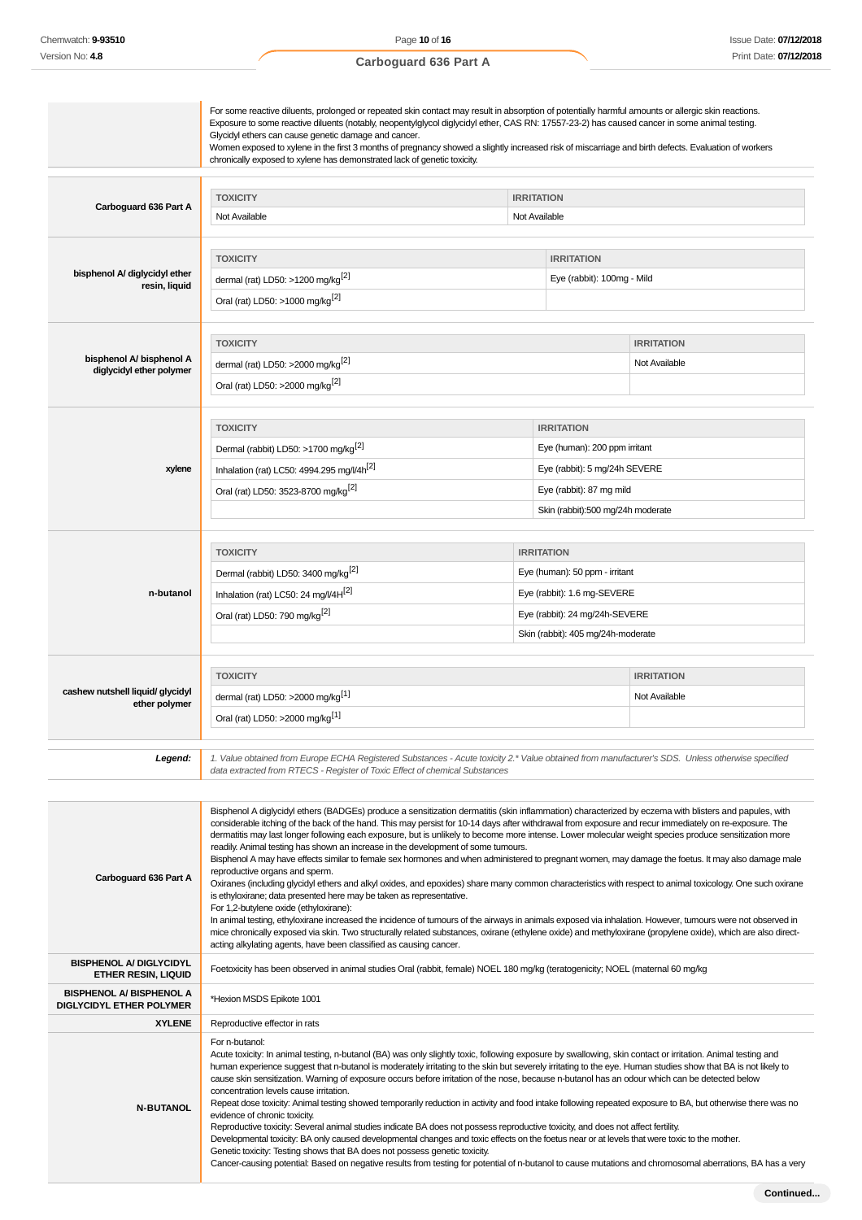|                                                              | For some reactive diluents, prolonged or repeated skin contact may result in absorption of potentially harmful amounts or allergic skin reactions.<br>Exposure to some reactive diluents (notably, neopentylglycol diglycidyl ether, CAS RN: 17557-23-2) has caused cancer in some animal testing.<br>Glycidyl ethers can cause genetic damage and cancer.<br>Women exposed to xylene in the first 3 months of pregnancy showed a slightly increased risk of miscarriage and birth defects. Evaluation of workers<br>chronically exposed to xylene has demonstrated lack of genetic toxicity.                                                                                                                                                                                                                                                                                                                                                                                                                                                                                                                                                                                                                                                                                                                                                                                                                                            |                                                                                                                                                            |                                                                                                                                                      |                                    |
|--------------------------------------------------------------|------------------------------------------------------------------------------------------------------------------------------------------------------------------------------------------------------------------------------------------------------------------------------------------------------------------------------------------------------------------------------------------------------------------------------------------------------------------------------------------------------------------------------------------------------------------------------------------------------------------------------------------------------------------------------------------------------------------------------------------------------------------------------------------------------------------------------------------------------------------------------------------------------------------------------------------------------------------------------------------------------------------------------------------------------------------------------------------------------------------------------------------------------------------------------------------------------------------------------------------------------------------------------------------------------------------------------------------------------------------------------------------------------------------------------------------|------------------------------------------------------------------------------------------------------------------------------------------------------------|------------------------------------------------------------------------------------------------------------------------------------------------------|------------------------------------|
| Carboguard 636 Part A                                        | <b>TOXICITY</b><br>Not Available                                                                                                                                                                                                                                                                                                                                                                                                                                                                                                                                                                                                                                                                                                                                                                                                                                                                                                                                                                                                                                                                                                                                                                                                                                                                                                                                                                                                         | <b>IRRITATION</b><br>Not Available                                                                                                                         |                                                                                                                                                      |                                    |
| bisphenol A/ diglycidyl ether<br>resin, liquid               | <b>TOXICITY</b><br>dermal (rat) LD50: >1200 mg/kg <sup>[2]</sup><br>Oral (rat) LD50: >1000 mg/kg <sup>[2]</sup>                                                                                                                                                                                                                                                                                                                                                                                                                                                                                                                                                                                                                                                                                                                                                                                                                                                                                                                                                                                                                                                                                                                                                                                                                                                                                                                          |                                                                                                                                                            | <b>IRRITATION</b><br>Eye (rabbit): 100mg - Mild                                                                                                      |                                    |
| bisphenol A/ bisphenol A<br>diglycidyl ether polymer         | <b>TOXICITY</b><br>dermal (rat) LD50: >2000 mg/kg <sup>[2]</sup><br>Oral (rat) LD50: >2000 mg/kg <sup>[2]</sup>                                                                                                                                                                                                                                                                                                                                                                                                                                                                                                                                                                                                                                                                                                                                                                                                                                                                                                                                                                                                                                                                                                                                                                                                                                                                                                                          |                                                                                                                                                            |                                                                                                                                                      | <b>IRRITATION</b><br>Not Available |
| xylene                                                       | <b>TOXICITY</b><br>Dermal (rabbit) LD50: >1700 mg/kg <sup>[2]</sup><br>Inhalation (rat) LC50: 4994.295 mg/l/4h <sup>[2]</sup><br>Oral (rat) LD50: 3523-8700 mg/kg <sup>[2]</sup>                                                                                                                                                                                                                                                                                                                                                                                                                                                                                                                                                                                                                                                                                                                                                                                                                                                                                                                                                                                                                                                                                                                                                                                                                                                         |                                                                                                                                                            | <b>IRRITATION</b><br>Eye (human): 200 ppm irritant<br>Eye (rabbit): 5 mg/24h SEVERE<br>Eye (rabbit): 87 mg mild<br>Skin (rabbit):500 mg/24h moderate |                                    |
| n-butanol                                                    | <b>TOXICITY</b><br>Dermal (rabbit) LD50: 3400 mg/kg <sup>[2]</sup><br>Inhalation (rat) LC50: 24 mg/l/4H[2]<br>Oral (rat) LD50: 790 mg/kg <sup>[2]</sup>                                                                                                                                                                                                                                                                                                                                                                                                                                                                                                                                                                                                                                                                                                                                                                                                                                                                                                                                                                                                                                                                                                                                                                                                                                                                                  | <b>IRRITATION</b><br>Eye (human): 50 ppm - irritant<br>Eye (rabbit): 1.6 mg-SEVERE<br>Eye (rabbit): 24 mg/24h-SEVERE<br>Skin (rabbit): 405 mg/24h-moderate |                                                                                                                                                      |                                    |
| cashew nutshell liquid/ glycidyl<br>ether polymer            | <b>TOXICITY</b><br><b>IRRITATION</b><br>dermal (rat) LD50: >2000 mg/kg <sup>[1]</sup><br>Not Available<br>Oral (rat) LD50: >2000 mg/kg <sup>[1]</sup>                                                                                                                                                                                                                                                                                                                                                                                                                                                                                                                                                                                                                                                                                                                                                                                                                                                                                                                                                                                                                                                                                                                                                                                                                                                                                    |                                                                                                                                                            |                                                                                                                                                      |                                    |
| Legend:                                                      | 1. Value obtained from Europe ECHA Registered Substances - Acute toxicity 2.* Value obtained from manufacturer's SDS. Unless otherwise specified<br>data extracted from RTECS - Register of Toxic Effect of chemical Substances                                                                                                                                                                                                                                                                                                                                                                                                                                                                                                                                                                                                                                                                                                                                                                                                                                                                                                                                                                                                                                                                                                                                                                                                          |                                                                                                                                                            |                                                                                                                                                      |                                    |
| Carboguard 636 Part A                                        | Bisphenol A diglycidyl ethers (BADGEs) produce a sensitization dermatitis (skin inflammation) characterized by eczema with blisters and papules, with<br>considerable itching of the back of the hand. This may persist for 10-14 days after withdrawal from exposure and recur immediately on re-exposure. The<br>dermatitis may last longer following each exposure, but is unlikely to become more intense. Lower molecular weight species produce sensitization more<br>readily. Animal testing has shown an increase in the development of some tumours.<br>Bisphenol A may have effects similar to female sex hormones and when administered to pregnant women, may damage the foetus. It may also damage male<br>reproductive organs and sperm.<br>Oxiranes (including glycidyl ethers and alkyl oxides, and epoxides) share many common characteristics with respect to animal toxicology. One such oxirane<br>is ethyloxirane; data presented here may be taken as representative.<br>For 1,2-butylene oxide (ethyloxirane):<br>In animal testing, ethyloxirane increased the incidence of tumours of the airways in animals exposed via inhalation. However, tumours were not observed in<br>mice chronically exposed via skin. Two structurally related substances, oxirane (ethylene oxide) and methyloxirane (propylene oxide), which are also direct-<br>acting alkylating agents, have been classified as causing cancer. |                                                                                                                                                            |                                                                                                                                                      |                                    |
| <b>BISPHENOL A/ DIGLYCIDYL</b><br><b>ETHER RESIN, LIQUID</b> | Foetoxicity has been observed in animal studies Oral (rabbit, female) NOEL 180 mg/kg (teratogenicity; NOEL (maternal 60 mg/kg)                                                                                                                                                                                                                                                                                                                                                                                                                                                                                                                                                                                                                                                                                                                                                                                                                                                                                                                                                                                                                                                                                                                                                                                                                                                                                                           |                                                                                                                                                            |                                                                                                                                                      |                                    |
| <b>BISPHENOL A/ BISPHENOL A</b><br>DIGLYCIDYL ETHER POLYMER  | *Hexion MSDS Epikote 1001                                                                                                                                                                                                                                                                                                                                                                                                                                                                                                                                                                                                                                                                                                                                                                                                                                                                                                                                                                                                                                                                                                                                                                                                                                                                                                                                                                                                                |                                                                                                                                                            |                                                                                                                                                      |                                    |
| <b>XYLENE</b><br><b>N-BUTANOL</b>                            | Reproductive effector in rats<br>For n-butanol:<br>Acute toxicity: In animal testing, n-butanol (BA) was only slightly toxic, following exposure by swallowing, skin contact or irritation. Animal testing and<br>human experience suggest that n-butanol is moderately irritating to the skin but severely irritating to the eye. Human studies show that BA is not likely to<br>cause skin sensitization. Warning of exposure occurs before irritation of the nose, because n-butanol has an odour which can be detected below<br>concentration levels cause irritation.<br>Repeat dose toxicity: Animal testing showed temporarily reduction in activity and food intake following repeated exposure to BA, but otherwise there was no<br>evidence of chronic toxicity.<br>Reproductive toxicity: Several animal studies indicate BA does not possess reproductive toxicity, and does not affect fertility.<br>Developmental toxicity: BA only caused developmental changes and toxic effects on the foetus near or at levels that were toxic to the mother.<br>Genetic toxicity: Testing shows that BA does not possess genetic toxicity.<br>Cancer-causing potential: Based on negative results from testing for potential of n-butanol to cause mutations and chromosomal aberrations, BA has a very                                                                                                                               |                                                                                                                                                            |                                                                                                                                                      |                                    |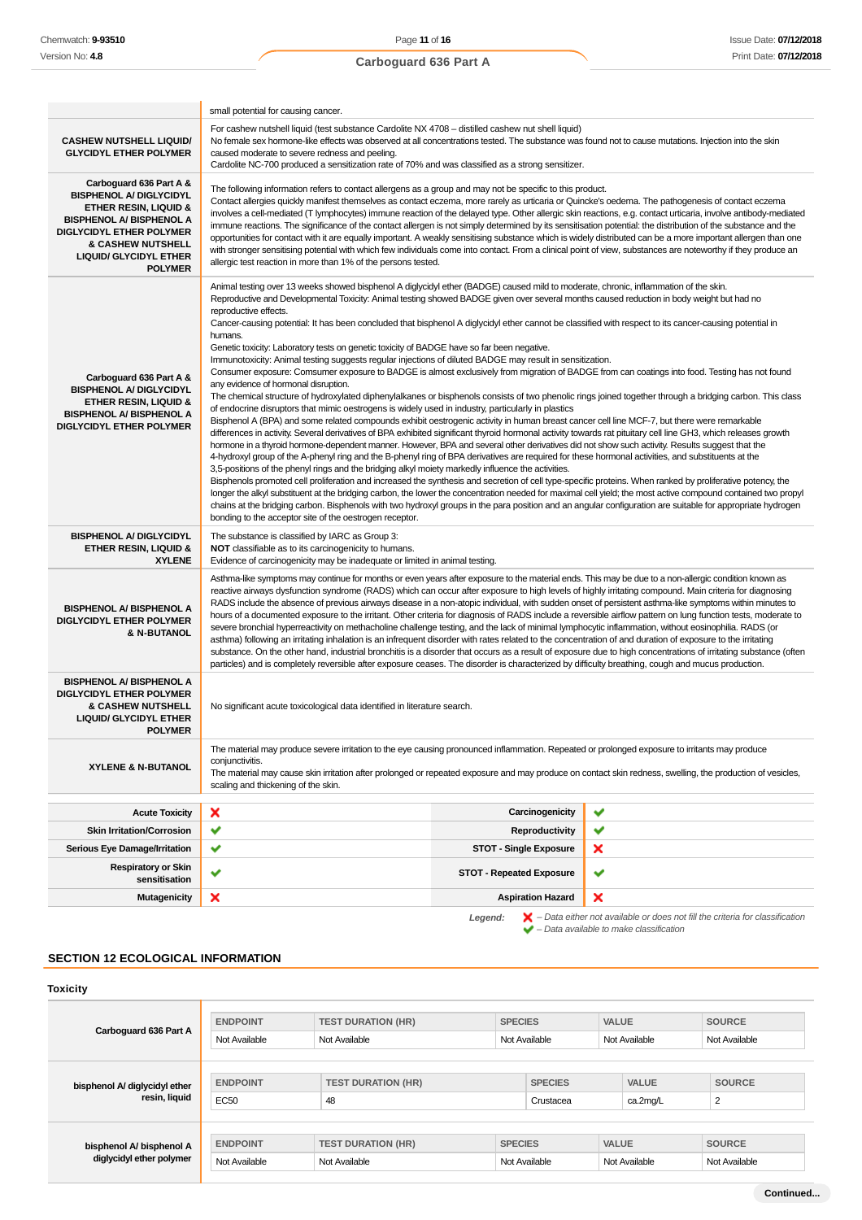|                                                                                                                                                                                                                                                        | small potential for causing cancer.                                                                                                                                                                                                                                                                                                                                                                                                                                                                                                                                                                                                                                                                                                                                                                                                                                                                                                                                                                                                                                                                                                                                                                                                                                                                                                                                                                                                                                                                                                                                                                                                                                                                                                                                                                                                                                                                                                                                                                                                                                                                                                                                                                                                                                                                                                                                                                                                           |                                 |   |
|--------------------------------------------------------------------------------------------------------------------------------------------------------------------------------------------------------------------------------------------------------|-----------------------------------------------------------------------------------------------------------------------------------------------------------------------------------------------------------------------------------------------------------------------------------------------------------------------------------------------------------------------------------------------------------------------------------------------------------------------------------------------------------------------------------------------------------------------------------------------------------------------------------------------------------------------------------------------------------------------------------------------------------------------------------------------------------------------------------------------------------------------------------------------------------------------------------------------------------------------------------------------------------------------------------------------------------------------------------------------------------------------------------------------------------------------------------------------------------------------------------------------------------------------------------------------------------------------------------------------------------------------------------------------------------------------------------------------------------------------------------------------------------------------------------------------------------------------------------------------------------------------------------------------------------------------------------------------------------------------------------------------------------------------------------------------------------------------------------------------------------------------------------------------------------------------------------------------------------------------------------------------------------------------------------------------------------------------------------------------------------------------------------------------------------------------------------------------------------------------------------------------------------------------------------------------------------------------------------------------------------------------------------------------------------------------------------------------|---------------------------------|---|
| <b>CASHEW NUTSHELL LIQUID/</b><br><b>GLYCIDYL ETHER POLYMER</b>                                                                                                                                                                                        | For cashew nutshell liquid (test substance Cardolite NX 4708 - distilled cashew nut shell liquid)<br>No female sex hormone-like effects was observed at all concentrations tested. The substance was found not to cause mutations. Injection into the skin<br>caused moderate to severe redness and peeling.<br>Cardolite NC-700 produced a sensitization rate of 70% and was classified as a strong sensitizer.                                                                                                                                                                                                                                                                                                                                                                                                                                                                                                                                                                                                                                                                                                                                                                                                                                                                                                                                                                                                                                                                                                                                                                                                                                                                                                                                                                                                                                                                                                                                                                                                                                                                                                                                                                                                                                                                                                                                                                                                                              |                                 |   |
| Carboguard 636 Part A &<br><b>BISPHENOL A/ DIGLYCIDYL</b><br><b>ETHER RESIN, LIQUID &amp;</b><br><b>BISPHENOL A/ BISPHENOL A</b><br><b>DIGLYCIDYL ETHER POLYMER</b><br><b>&amp; CASHEW NUTSHELL</b><br><b>LIQUID/ GLYCIDYL ETHER</b><br><b>POLYMER</b> | The following information refers to contact allergens as a group and may not be specific to this product.<br>Contact allergies quickly manifest themselves as contact eczema, more rarely as urticaria or Quincke's oedema. The pathogenesis of contact eczema<br>involves a cell-mediated (T lymphocytes) immune reaction of the delayed type. Other allergic skin reactions, e.g. contact urticaria, involve antibody-mediated<br>immune reactions. The significance of the contact allergen is not simply determined by its sensitisation potential: the distribution of the substance and the<br>opportunities for contact with it are equally important. A weakly sensitising substance which is widely distributed can be a more important allergen than one<br>with stronger sensitising potential with which few individuals come into contact. From a clinical point of view, substances are noteworthy if they produce an<br>allergic test reaction in more than 1% of the persons tested.                                                                                                                                                                                                                                                                                                                                                                                                                                                                                                                                                                                                                                                                                                                                                                                                                                                                                                                                                                                                                                                                                                                                                                                                                                                                                                                                                                                                                                          |                                 |   |
| Carboguard 636 Part A &<br><b>BISPHENOL A/ DIGLYCIDYL</b><br><b>ETHER RESIN, LIQUID &amp;</b><br><b>BISPHENOL A/ BISPHENOL A</b><br><b>DIGLYCIDYL ETHER POLYMER</b>                                                                                    | Animal testing over 13 weeks showed bisphenol A diglycidyl ether (BADGE) caused mild to moderate, chronic, inflammation of the skin.<br>Reproductive and Developmental Toxicity: Animal testing showed BADGE given over several months caused reduction in body weight but had no<br>reproductive effects.<br>Cancer-causing potential: It has been concluded that bisphenol A diglycidyl ether cannot be classified with respect to its cancer-causing potential in<br>humans.<br>Genetic toxicity: Laboratory tests on genetic toxicity of BADGE have so far been negative.<br>Immunotoxicity: Animal testing suggests regular injections of diluted BADGE may result in sensitization.<br>Consumer exposure: Comsumer exposure to BADGE is almost exclusively from migration of BADGE from can coatings into food. Testing has not found<br>any evidence of hormonal disruption.<br>The chemical structure of hydroxylated diphenylalkanes or bisphenols consists of two phenolic rings joined together through a bridging carbon. This class<br>of endocrine disruptors that mimic oestrogens is widely used in industry, particularly in plastics<br>Bisphenol A (BPA) and some related compounds exhibit oestrogenic activity in human breast cancer cell line MCF-7, but there were remarkable<br>differences in activity. Several derivatives of BPA exhibited significant thyroid hormonal activity towards rat pituitary cell line GH3, which releases growth<br>hormone in a thyroid hormone-dependent manner. However, BPA and several other derivatives did not show such activity. Results suggest that the<br>4-hydroxyl group of the A-phenyl ring and the B-phenyl ring of BPA derivatives are required for these hormonal activities, and substituents at the<br>3,5-positions of the phenyl rings and the bridging alkyl moiety markedly influence the activities.<br>Bisphenols promoted cell proliferation and increased the synthesis and secretion of cell type-specific proteins. When ranked by proliferative potency, the<br>longer the alkyl substituent at the bridging carbon, the lower the concentration needed for maximal cell yield; the most active compound contained two propyl<br>chains at the bridging carbon. Bisphenols with two hydroxyl groups in the para position and an angular configuration are suitable for appropriate hydrogen<br>bonding to the acceptor site of the oestrogen receptor. |                                 |   |
| <b>BISPHENOL A/ DIGLYCIDYL</b><br><b>ETHER RESIN, LIQUID &amp;</b><br><b>XYLENE</b>                                                                                                                                                                    | The substance is classified by IARC as Group 3:<br>NOT classifiable as to its carcinogenicity to humans.<br>Evidence of carcinogenicity may be inadequate or limited in animal testing.                                                                                                                                                                                                                                                                                                                                                                                                                                                                                                                                                                                                                                                                                                                                                                                                                                                                                                                                                                                                                                                                                                                                                                                                                                                                                                                                                                                                                                                                                                                                                                                                                                                                                                                                                                                                                                                                                                                                                                                                                                                                                                                                                                                                                                                       |                                 |   |
| <b>BISPHENOL A/ BISPHENOL A</b><br><b>DIGLYCIDYL ETHER POLYMER</b><br>& N-BUTANOL                                                                                                                                                                      | Asthma-like symptoms may continue for months or even years after exposure to the material ends. This may be due to a non-allergic condition known as<br>reactive airways dysfunction syndrome (RADS) which can occur after exposure to high levels of highly irritating compound. Main criteria for diagnosing<br>RADS include the absence of previous airways disease in a non-atopic individual, with sudden onset of persistent asthma-like symptoms within minutes to<br>hours of a documented exposure to the irritant. Other criteria for diagnosis of RADS include a reversible airflow pattern on lung function tests, moderate to<br>severe bronchial hyperreactivity on methacholine challenge testing, and the lack of minimal lymphocytic inflammation, without eosinophilia. RADS (or<br>asthma) following an irritating inhalation is an infrequent disorder with rates related to the concentration of and duration of exposure to the irritating<br>substance. On the other hand, industrial bronchitis is a disorder that occurs as a result of exposure due to high concentrations of irritating substance (often<br>particles) and is completely reversible after exposure ceases. The disorder is characterized by difficulty breathing, cough and mucus production.                                                                                                                                                                                                                                                                                                                                                                                                                                                                                                                                                                                                                                                                                                                                                                                                                                                                                                                                                                                                                                                                                                                                                      |                                 |   |
| <b>BISPHENOL A/ BISPHENOL A</b><br><b>DIGLYCIDYL ETHER POLYMER</b><br><b>&amp; CASHEW NUTSHELL</b><br><b>LIQUID/ GLYCIDYL ETHER</b><br><b>POLYMER</b>                                                                                                  | No significant acute toxicological data identified in literature search.                                                                                                                                                                                                                                                                                                                                                                                                                                                                                                                                                                                                                                                                                                                                                                                                                                                                                                                                                                                                                                                                                                                                                                                                                                                                                                                                                                                                                                                                                                                                                                                                                                                                                                                                                                                                                                                                                                                                                                                                                                                                                                                                                                                                                                                                                                                                                                      |                                 |   |
| <b>XYLENE &amp; N-BUTANOL</b>                                                                                                                                                                                                                          | The material may produce severe irritation to the eye causing pronounced inflammation. Repeated or prolonged exposure to irritants may produce<br>conjunctivitis.<br>The material may cause skin irritation after prolonged or repeated exposure and may produce on contact skin redness, swelling, the production of vesicles,<br>scaling and thickening of the skin.                                                                                                                                                                                                                                                                                                                                                                                                                                                                                                                                                                                                                                                                                                                                                                                                                                                                                                                                                                                                                                                                                                                                                                                                                                                                                                                                                                                                                                                                                                                                                                                                                                                                                                                                                                                                                                                                                                                                                                                                                                                                        |                                 |   |
| <b>Acute Toxicity</b>                                                                                                                                                                                                                                  | ×                                                                                                                                                                                                                                                                                                                                                                                                                                                                                                                                                                                                                                                                                                                                                                                                                                                                                                                                                                                                                                                                                                                                                                                                                                                                                                                                                                                                                                                                                                                                                                                                                                                                                                                                                                                                                                                                                                                                                                                                                                                                                                                                                                                                                                                                                                                                                                                                                                             | Carcinogenicity                 | ✔ |
| <b>Skin Irritation/Corrosion</b>                                                                                                                                                                                                                       | ✔                                                                                                                                                                                                                                                                                                                                                                                                                                                                                                                                                                                                                                                                                                                                                                                                                                                                                                                                                                                                                                                                                                                                                                                                                                                                                                                                                                                                                                                                                                                                                                                                                                                                                                                                                                                                                                                                                                                                                                                                                                                                                                                                                                                                                                                                                                                                                                                                                                             | Reproductivity                  | ✔ |
| Serious Eye Damage/Irritation                                                                                                                                                                                                                          | ✔                                                                                                                                                                                                                                                                                                                                                                                                                                                                                                                                                                                                                                                                                                                                                                                                                                                                                                                                                                                                                                                                                                                                                                                                                                                                                                                                                                                                                                                                                                                                                                                                                                                                                                                                                                                                                                                                                                                                                                                                                                                                                                                                                                                                                                                                                                                                                                                                                                             | <b>STOT - Single Exposure</b>   | × |
|                                                                                                                                                                                                                                                        |                                                                                                                                                                                                                                                                                                                                                                                                                                                                                                                                                                                                                                                                                                                                                                                                                                                                                                                                                                                                                                                                                                                                                                                                                                                                                                                                                                                                                                                                                                                                                                                                                                                                                                                                                                                                                                                                                                                                                                                                                                                                                                                                                                                                                                                                                                                                                                                                                                               |                                 |   |
| <b>Respiratory or Skin</b><br>sensitisation                                                                                                                                                                                                            | ✔                                                                                                                                                                                                                                                                                                                                                                                                                                                                                                                                                                                                                                                                                                                                                                                                                                                                                                                                                                                                                                                                                                                                                                                                                                                                                                                                                                                                                                                                                                                                                                                                                                                                                                                                                                                                                                                                                                                                                                                                                                                                                                                                                                                                                                                                                                                                                                                                                                             | <b>STOT - Repeated Exposure</b> | ✔ |

### **SECTION 12 ECOLOGICAL INFORMATION**

**Toxicity Carboguard 636 Part A ENDPOINT TEST DURATION (HR) SPECIES VALUE SOURCE** Not Available Not Available Not Available Not Available Not Available Not Available Not Available **bisphenol A/ diglycidyl ether resin, liquid ENDPOINT TEST DURATION (HR) SPECIES VALUE SOURCE** EC50 48 Assessment and the ca.2mg/L 2 **bisphenol A/ bisphenol A diglycidyl ether polymer ENDPOINT TEST DURATION (HR) SPECIES VALUE SOURCE** Not Available Not Available Not Available Not Available Not Available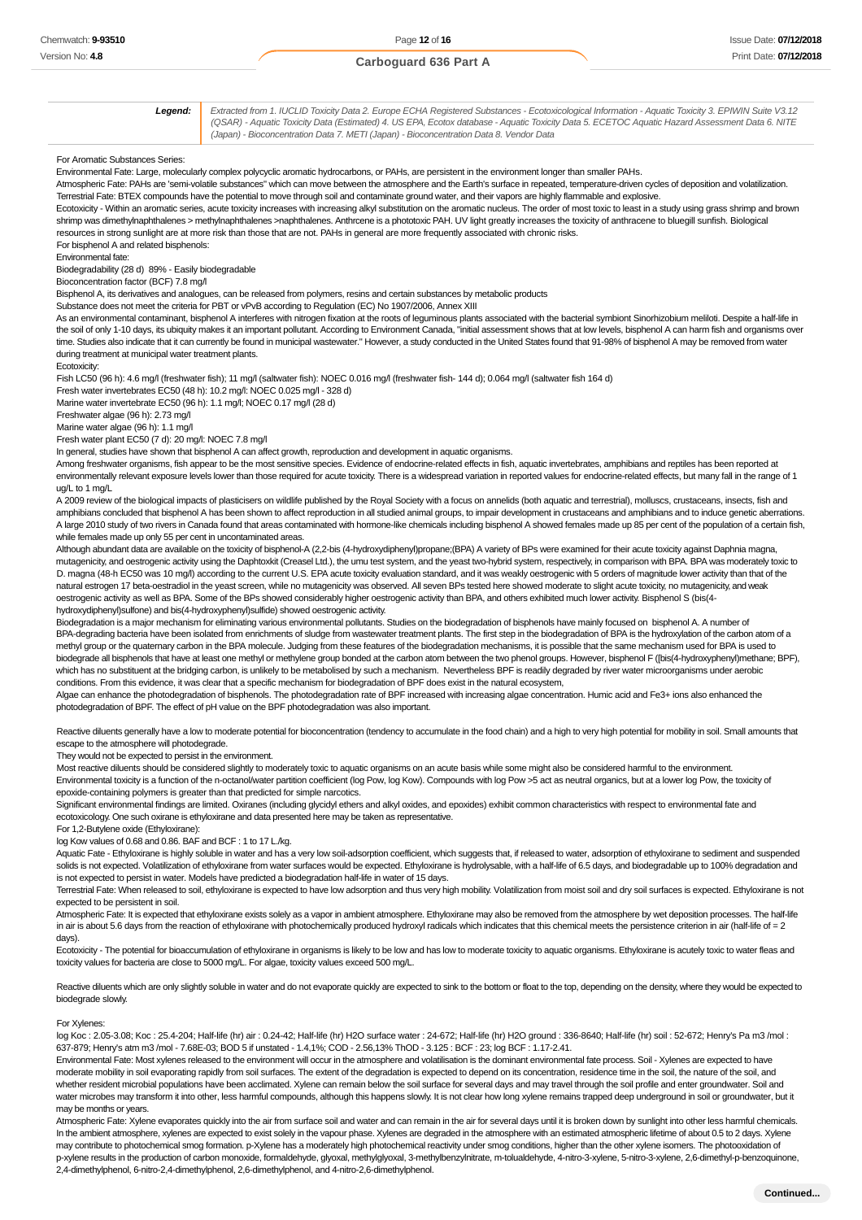**Legend:** Extracted from 1. IUCLID Toxicity Data 2. Europe ECHA Registered Substances - Ecotoxicological Information - Aquatic Toxicity 3. EPIWIN Suite V3.12 (QSAR) - Aquatic Toxicity Data (Estimated) 4. US EPA, Ecotox database - Aquatic Toxicity Data 5. ECETOC Aquatic Hazard Assessment Data 6. NITE (Japan) - Bioconcentration Data 7. METI (Japan) - Bioconcentration Data 8. Vendor Data For Aromatic Substances Series: Environmental Fate: Large, molecularly complex polycyclic aromatic hydrocarbons, or PAHs, are persistent in the environment longer than smaller PAHs. Atmospheric Fate: PAHs are 'semi-volatile substances" which can move between the atmosphere and the Earth's surface in repeated, temperature-driven cycles of deposition and volatilization. Terrestrial Fate: BTEX compounds have the potential to move through soil and contaminate ground water, and their vapors are highly flammable and explosive. Ecotoxicity - Within an aromatic series, acute toxicity increases with increasing alkyl substitution on the aromatic nucleus. The order of most toxic to least in a study using grass shrimp and brown shrimp was dimethylnaphthalenes > methylnaphthalenes >naphthalenes. Anthrcene is a phototoxic PAH. UV light greatly increases the toxicity of anthracene to bluegill sunfish. Biological resources in strong sunlight are at more risk than those that are not. PAHs in general are more frequently associated with chronic risks. For bisphenol A and related bisphenols: Environmental fate: Biodegradability (28 d) 89% - Easily biodegradable Bioconcentration factor (BCF) 7.8 mg/l Bisphenol A, its derivatives and analogues, can be released from polymers, resins and certain substances by metabolic products Substance does not meet the criteria for PBT or vPvB according to Regulation (EC) No 1907/2006, Annex XIII As an environmental contaminant, bisphenol A interferes with nitrogen fixation at the roots of leguminous plants associated with the bacterial symbiont Sinorhizobium meliloti. Despite a half-life in the soil of only 1-10 days, its ubiquity makes it an important pollutant. According to Environment Canada, "initial assessment shows that at low levels, bisphenol A can harm fish and organisms over time. Studies also indicate that it can currently be found in municipal wastewater." However, a study conducted in the United States found that 91-98% of bisphenol A may be removed from water during treatment at municipal water treatment plants. Ecotoxicity: Fish LC50 (96 h): 4.6 mg/l (freshwater fish); 11 mg/l (saltwater fish): NOEC 0.016 mg/l (freshwater fish- 144 d); 0.064 mg/l (saltwater fish 164 d) Fresh water invertebrates EC50 (48 h): 10.2 mg/l: NOEC 0.025 mg/l - 328 d) Marine water invertebrate EC50 (96 h): 1.1 mg/l; NOEC 0.17 mg/l (28 d) Freshwater algae (96 h): 2.73 mg/l Marine water algae (96 h): 1.1 mg/l Fresh water plant EC50 (7 d): 20 mg/l: NOEC 7.8 mg/l In general, studies have shown that bisphenol A can affect growth, reproduction and development in aquatic organisms. Among freshwater organisms, fish appear to be the most sensitive species. Evidence of endocrine-related effects in fish, aquatic invertebrates, amphibians and reptiles has been reported at environmentally relevant exposure levels lower than those required for acute toxicity. There is a widespread variation in reported values for endocrine-related effects, but many fall in the range of 1 ug/L to 1 mg/L A 2009 review of the biological impacts of plasticisers on wildlife published by the Royal Society with a focus on annelids (both aquatic and terrestrial), molluscs, crustaceans, insects, fish and amphibians concluded that bisphenol A has been shown to affect reproduction in all studied animal groups, to impair development in crustaceans and amphibians and to induce genetic aberrations. A large 2010 study of two rivers in Canada found that areas contaminated with hormone-like chemicals including bisphenol A showed females made up 85 per cent of the population of a certain fish, while females made up only 55 per cent in uncontaminated areas. Although abundant data are available on the toxicity of bisphenol-A (2,2-bis (4-hydroxydiphenyl)propane;(BPA) A variety of BPs were examined for their acute toxicity against Daphnia magna, mutagenicity, and oestrogenic activity using the Daphtoxkit (Creasel Ltd.), the umu test system, and the yeast two-hybrid system, respectively, in comparison with BPA. BPA was moderately toxic to D. magna (48-h EC50 was 10 mg/l) according to the current U.S. EPA acute toxicity evaluation standard, and it was weakly oestrogenic with 5 orders of magnitude lower activity than that of the natural estrogen 17 beta-oestradiol in the yeast screen, while no mutagenicity was observed. All seven BPs tested here showed moderate to slight acute toxicity, no mutagenicity, and weak oestrogenic activity as well as BPA. Some of the BPs showed considerably higher oestrogenic activity than BPA, and others exhibited much lower activity. Bisphenol S (bis(4 hydroxydiphenyl)sulfone) and bis(4-hydroxyphenyl)sulfide) showed oestrogenic activity. Biodegradation is a major mechanism for eliminating various environmental pollutants. Studies on the biodegradation of bisphenols have mainly focused on bisphenol A. A number of BPA-degrading bacteria have been isolated from enrichments of sludge from wastewater treatment plants. The first step in the biodegradation of BPA is the hydroxylation of the carbon atom of a

methyl group or the quaternary carbon in the BPA molecule. Judging from these features of the biodegradation mechanisms, it is possible that the same mechanism used for BPA is used to biodegrade all bisphenols that have at least one methyl or methylene group bonded at the carbon atom between the two phenol groups. However, bisphenol F ([bis(4-hydroxyphenyl)methane; BPF), which has no substituent at the bridging carbon, is unlikely to be metabolised by such a mechanism. Nevertheless BPF is readily degraded by river water microorganisms under aerobic conditions. From this evidence, it was clear that a specific mechanism for biodegradation of BPF does exist in the natural ecosystem,

Algae can enhance the photodegradation of bisphenols. The photodegradation rate of BPF increased with increasing algae concentration. Humic acid and Fe3+ ions also enhanced the photodegradation of BPF. The effect of pH value on the BPF photodegradation was also important.

Reactive diluents generally have a low to moderate potential for bioconcentration (tendency to accumulate in the food chain) and a high to very high potential for mobility in soil. Small amounts that escape to the atmosphere will photodegrade.

They would not be expected to persist in the environment.

Most reactive diluents should be considered slightly to moderately toxic to aquatic organisms on an acute basis while some might also be considered harmful to the environment. Environmental toxicity is a function of the n-octanol/water partition coefficient (log Pow, log Kow). Compounds with log Pow >5 act as neutral organics, but at a lower log Pow, the toxicity of epoxide-containing polymers is greater than that predicted for simple narcotics.

Significant environmental findings are limited. Oxiranes (including glycidyl ethers and alkyl oxides, and epoxides) exhibit common characteristics with respect to environmental fate and ecotoxicology. One such oxirane is ethyloxirane and data presented here may be taken as representative.

For 1,2-Butylene oxide (Ethyloxirane):

log Kow values of 0.68 and 0.86. BAF and BCF : 1 to 17 L./kg.

Aquatic Fate - Ethyloxirane is highly soluble in water and has a very low soil-adsorption coefficient, which suggests that, if released to water, adsorption of ethyloxirane to sediment and suspended solids is not expected. Volatilization of ethyloxirane from water surfaces would be expected. Ethyloxirane is hydrolysable, with a half-life of 6.5 days, and biodegradable up to 100% degradation and is not expected to persist in water. Models have predicted a biodegradation half-life in water of 15 days.

Terrestrial Fate: When released to soil, ethyloxirane is expected to have low adsorption and thus very high mobility. Volatilization from moist soil and dry soil surfaces is expected. Ethyloxirane is not expected to be persistent in soil.

Atmospheric Fate: It is expected that ethyloxirane exists solely as a vapor in ambient atmosphere. Ethyloxirane may also be removed from the atmosphere by wet deposition processes. The half-life in air is about 5.6 days from the reaction of ethyloxirane with photochemically produced hydroxyl radicals which indicates that this chemical meets the persistence criterion in air (half-life of = 2 days).

Ecotoxicity - The potential for bioaccumulation of ethyloxirane in organisms is likely to be low and has low to moderate toxicity to aquatic organisms. Ethyloxirane is acutely toxic to water fleas and toxicity values for bacteria are close to 5000 mg/L. For algae, toxicity values exceed 500 mg/L.

Reactive diluents which are only slightly soluble in water and do not evaporate quickly are expected to sink to the bottom or float to the top, depending on the density, where they would be expected to biodegrade slowly.

For Xylenes:

log Koc : 2.05-3.08; Koc : 25.4-204; Half-life (hr) air : 0.24-42; Half-life (hr) H2O surface water : 24-672; Half-life (hr) H2O ground : 336-8640; Half-life (hr) soil : 52-672; Henry's Pa m3 /mol : 637-879; Henry's atm m3 /mol - 7.68E-03; BOD 5 if unstated - 1.4,1%; COD - 2.56,13% ThOD - 3.125 : BCF : 23; log BCF : 1.17-2.41.

Environmental Fate: Most xylenes released to the environment will occur in the atmosphere and volatilisation is the dominant environmental fate process. Soil - Xylenes are expected to have moderate mobility in soil evaporating rapidly from soil surfaces. The extent of the degradation is expected to depend on its concentration, residence time in the soil, the nature of the soil, and whether resident microbial populations have been acclimated. Xylene can remain below the soil surface for several days and may travel through the soil profile and enter groundwater. Soil and water microbes may transform it into other, less harmful compounds, although this happens slowly. It is not clear how long xylene remains trapped deep underground in soil or groundwater, but it may be months or years.

Atmospheric Fate: Xylene evaporates quickly into the air from surface soil and water and can remain in the air for several days until it is broken down by sunlight into other less harmful chemicals. In the ambient atmosphere, xylenes are expected to exist solely in the vapour phase. Xylenes are degraded in the atmosphere with an estimated atmospheric lifetime of about 0.5 to 2 days. Xylene may contribute to photochemical smog formation. p-Xylene has a moderately high photochemical reactivity under smog conditions, higher than the other xylene isomers. The photooxidation of p-xylene results in the production of carbon monoxide, formaldehyde, glyoxal, methylglyoxal, 3-methylbenzylnitrate, m-tolualdehyde, 4-nitro-3-xylene, 5-nitro-3-xylene, 2,6-dimethyl-p-benzoquinone, 2,4-dimethylphenol, 6-nitro-2,4-dimethylphenol, 2,6-dimethylphenol, and 4-nitro-2,6-dimethylphenol.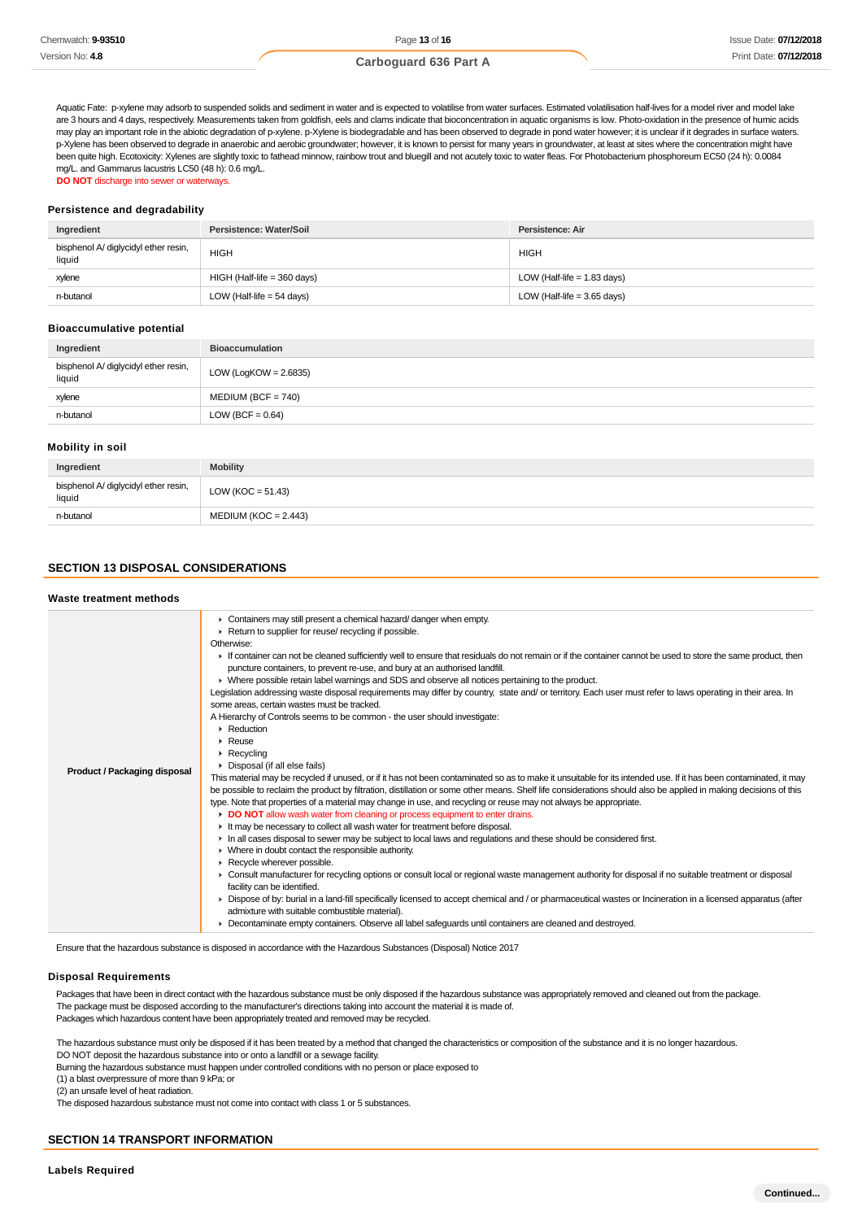Aquatic Fate: p-xylene may adsorb to suspended solids and sediment in water and is expected to volatilise from water surfaces. Estimated volatilisation half-lives for a model river and model lake are 3 hours and 4 days, respectively. Measurements taken from goldfish, eels and clams indicate that bioconcentration in aquatic organisms is low. Photo-oxidation in the presence of humic acids may play an important role in the abiotic degradation of p-xylene. p-Xylene is biodegradable and has been observed to degrade in pond water however; it is unclear if it degrades in surface waters. p-Xylene has been observed to degrade in anaerobic and aerobic groundwater; however, it is known to persist for many years in groundwater, at least at sites where the concentration might have been quite high. Ecotoxicity: Xylenes are slightly toxic to fathead minnow, rainbow trout and bluegill and not acutely toxic to water fleas. For Photobacterium phosphoreum EC50 (24 h): 0.0084 mg/L. and Gammarus lacustris LC50 (48 h): 0.6 mg/L. **DO NOT** discharge into sewer or waterways.

#### **Persistence and degradability**

| Ingredient                                     | Persistence: Water/Soil       | Persistence: Air              |
|------------------------------------------------|-------------------------------|-------------------------------|
| bisphenol A/ diglycidyl ether resin,<br>liquid | <b>HIGH</b>                   | <b>HIGH</b>                   |
| xylene                                         | $HIGH$ (Half-life = 360 days) | LOW (Half-life = $1.83$ days) |
| n-butanol                                      | LOW (Half-life $=$ 54 days)   | LOW (Half-life = $3.65$ days) |

#### **Bioaccumulative potential**

| Ingredient                                     | <b>Bioaccumulation</b>   |
|------------------------------------------------|--------------------------|
| bisphenol A/ diglycidyl ether resin,<br>liquid | LOW (LogKOW = $2.6835$ ) |
| xylene                                         | $MEDIUM (BCF = 740)$     |
| n-butanol                                      | LOW (BCF = $0.64$ )      |

#### **Mobility in soil**

| Ingredient                                     | <b>Mobility</b>        |
|------------------------------------------------|------------------------|
| bisphenol A/ diglycidyl ether resin,<br>liquid | LOW ( $KOC = 51.43$ )  |
| n-butanol                                      | $MEDIUM (KOC = 2.443)$ |

### **SECTION 13 DISPOSAL CONSIDERATIONS**

#### **Waste treatment methods**

| Product / Packaging disposal | • Containers may still present a chemical hazard/ danger when empty.<br>Return to supplier for reuse/ recycling if possible.<br>Otherwise:<br>If container can not be cleaned sufficiently well to ensure that residuals do not remain or if the container cannot be used to store the same product, then<br>puncture containers, to prevent re-use, and bury at an authorised landfill.<br>▶ Where possible retain label warnings and SDS and observe all notices pertaining to the product.<br>Legislation addressing waste disposal requirements may differ by country, state and/ or territory. Each user must refer to laws operating in their area. In<br>some areas, certain wastes must be tracked.<br>A Hierarchy of Controls seems to be common - the user should investigate:<br>$\blacktriangleright$ Reduction<br>$\blacktriangleright$ Reuse<br>$\triangleright$ Recycling<br>• Disposal (if all else fails)<br>This material may be recycled if unused, or if it has not been contaminated so as to make it unsuitable for its intended use. If it has been contaminated, it may<br>be possible to reclaim the product by filtration, distillation or some other means. Shelf life considerations should also be applied in making decisions of this<br>type. Note that properties of a material may change in use, and recycling or reuse may not always be appropriate.<br>DO NOT allow wash water from cleaning or process equipment to enter drains.<br>It may be necessary to collect all wash water for treatment before disposal.<br>In all cases disposal to sewer may be subject to local laws and regulations and these should be considered first.<br>$\blacktriangleright$ Where in doubt contact the responsible authority.<br>Recycle wherever possible.<br>▶ Consult manufacturer for recycling options or consult local or regional waste management authority for disposal if no suitable treatment or disposal<br>facility can be identified.<br>• Dispose of by: burial in a land-fill specifically licensed to accept chemical and / or pharmaceutical wastes or Incineration in a licensed apparatus (after<br>admixture with suitable combustible material).<br>• Decontaminate empty containers. Observe all label safeguards until containers are cleaned and destroyed. |
|------------------------------|-----------------------------------------------------------------------------------------------------------------------------------------------------------------------------------------------------------------------------------------------------------------------------------------------------------------------------------------------------------------------------------------------------------------------------------------------------------------------------------------------------------------------------------------------------------------------------------------------------------------------------------------------------------------------------------------------------------------------------------------------------------------------------------------------------------------------------------------------------------------------------------------------------------------------------------------------------------------------------------------------------------------------------------------------------------------------------------------------------------------------------------------------------------------------------------------------------------------------------------------------------------------------------------------------------------------------------------------------------------------------------------------------------------------------------------------------------------------------------------------------------------------------------------------------------------------------------------------------------------------------------------------------------------------------------------------------------------------------------------------------------------------------------------------------------------------------------------------------------------------------------------------------------------------------------------------------------------------------------------------------------------------------------------------------------------------------------------------------------------------------------------------------------------------------------------------------------------------------------------------------------------------------------------------------------------------|

Ensure that the hazardous substance is disposed in accordance with the Hazardous Substances (Disposal) Notice 2017

### **Disposal Requirements**

Packages that have been in direct contact with the hazardous substance must be only disposed if the hazardous substance was appropriately removed and cleaned out from the package. The package must be disposed according to the manufacturer's directions taking into account the material it is made of. Packages which hazardous content have been appropriately treated and removed may be recycled.

The hazardous substance must only be disposed if it has been treated by a method that changed the characteristics or composition of the substance and it is no longer hazardous. DO NOT deposit the hazardous substance into or onto a landfill or a sewage facility.

Burning the hazardous substance must happen under controlled conditions with no person or place exposed to

(1) a blast overpressure of more than 9 kPa; or

(2) an unsafe level of heat radiation.

The disposed hazardous substance must not come into contact with class 1 or 5 substances.

### **SECTION 14 TRANSPORT INFORMATION**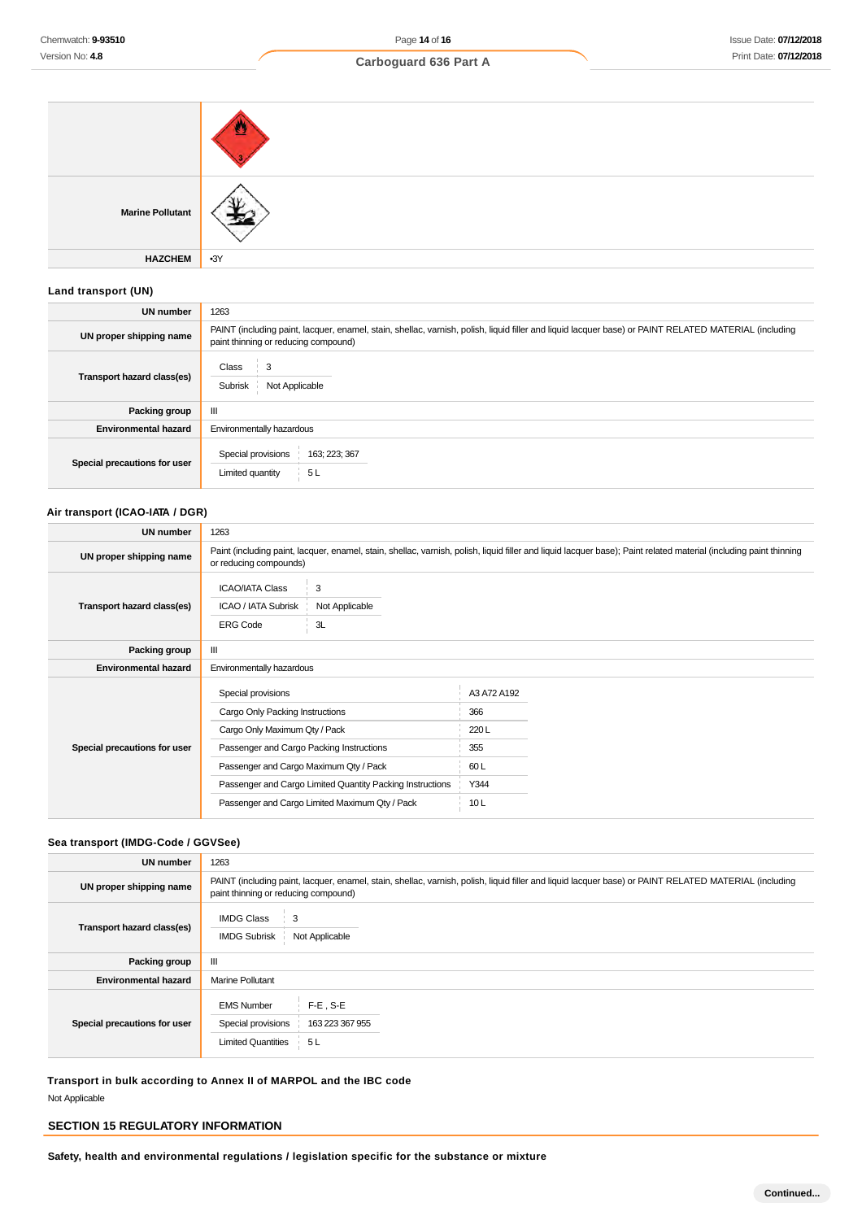| <b>Marine Pollutant</b> |       |
|-------------------------|-------|
| <b>HAZCHEM</b>          | $-3Y$ |

### **Land transport (UN)**

| <b>UN number</b>             | 1263                                                                                                                                                                                          |  |  |
|------------------------------|-----------------------------------------------------------------------------------------------------------------------------------------------------------------------------------------------|--|--|
| UN proper shipping name      | PAINT (including paint, lacquer, enamel, stain, shellac, varnish, polish, liquid filler and liquid lacquer base) or PAINT RELATED MATERIAL (including<br>paint thinning or reducing compound) |  |  |
| Transport hazard class(es)   | Class<br>3<br>Subrisk<br>Not Applicable                                                                                                                                                       |  |  |
| Packing group                | Ш                                                                                                                                                                                             |  |  |
| <b>Environmental hazard</b>  | Environmentally hazardous                                                                                                                                                                     |  |  |
| Special precautions for user | Special provisions<br>163; 223; 367<br>Limited quantity<br>5L                                                                                                                                 |  |  |

### **Air transport (ICAO-IATA / DGR)**

| <b>UN number</b>             | 1263                                                                                   |                                                                                                                                                                                              |                            |  |
|------------------------------|----------------------------------------------------------------------------------------|----------------------------------------------------------------------------------------------------------------------------------------------------------------------------------------------|----------------------------|--|
| UN proper shipping name      |                                                                                        | Paint (including paint, lacquer, enamel, stain, shellac, varnish, polish, liquid filler and liquid lacquer base); Paint related material (including paint thinning<br>or reducing compounds) |                            |  |
| Transport hazard class(es)   | <b>ICAO/IATA Class</b><br>ICAO / IATA Subrisk<br><b>ERG Code</b>                       | 3<br>Not Applicable<br>3L                                                                                                                                                                    |                            |  |
| Packing group                | Ш                                                                                      |                                                                                                                                                                                              |                            |  |
| <b>Environmental hazard</b>  | Environmentally hazardous                                                              |                                                                                                                                                                                              |                            |  |
|                              | Special provisions<br>Cargo Only Packing Instructions<br>Cargo Only Maximum Qty / Pack |                                                                                                                                                                                              | A3 A72 A192<br>366<br>220L |  |
| Special precautions for user | Passenger and Cargo Packing Instructions                                               |                                                                                                                                                                                              | 355                        |  |
|                              | Passenger and Cargo Maximum Qty / Pack                                                 |                                                                                                                                                                                              | 60L                        |  |
|                              | Passenger and Cargo Limited Quantity Packing Instructions                              |                                                                                                                                                                                              | Y344                       |  |
|                              | Passenger and Cargo Limited Maximum Qty / Pack                                         |                                                                                                                                                                                              | 10L                        |  |

### **Sea transport (IMDG-Code / GGVSee)**

| <b>UN number</b>             | 1263                                                                                                                                                                                          |  |  |
|------------------------------|-----------------------------------------------------------------------------------------------------------------------------------------------------------------------------------------------|--|--|
| UN proper shipping name      | PAINT (including paint, lacquer, enamel, stain, shellac, varnish, polish, liquid filler and liquid lacquer base) or PAINT RELATED MATERIAL (including<br>paint thinning or reducing compound) |  |  |
| Transport hazard class(es)   | <b>IMDG Class</b><br>3<br><b>IMDG Subrisk</b><br>Not Applicable                                                                                                                               |  |  |
| Packing group                | Ш                                                                                                                                                                                             |  |  |
| <b>Environmental hazard</b>  | <b>Marine Pollutant</b>                                                                                                                                                                       |  |  |
| Special precautions for user | $F-E$ , S-E<br><b>EMS Number</b><br>Special provisions<br>163 223 367 955<br><b>Limited Quantities</b><br>5 L                                                                                 |  |  |

**Transport in bulk according to Annex II of MARPOL and the IBC code** Not Applicable

### **SECTION 15 REGULATORY INFORMATION**

**Safety, health and environmental regulations / legislation specific for the substance or mixture**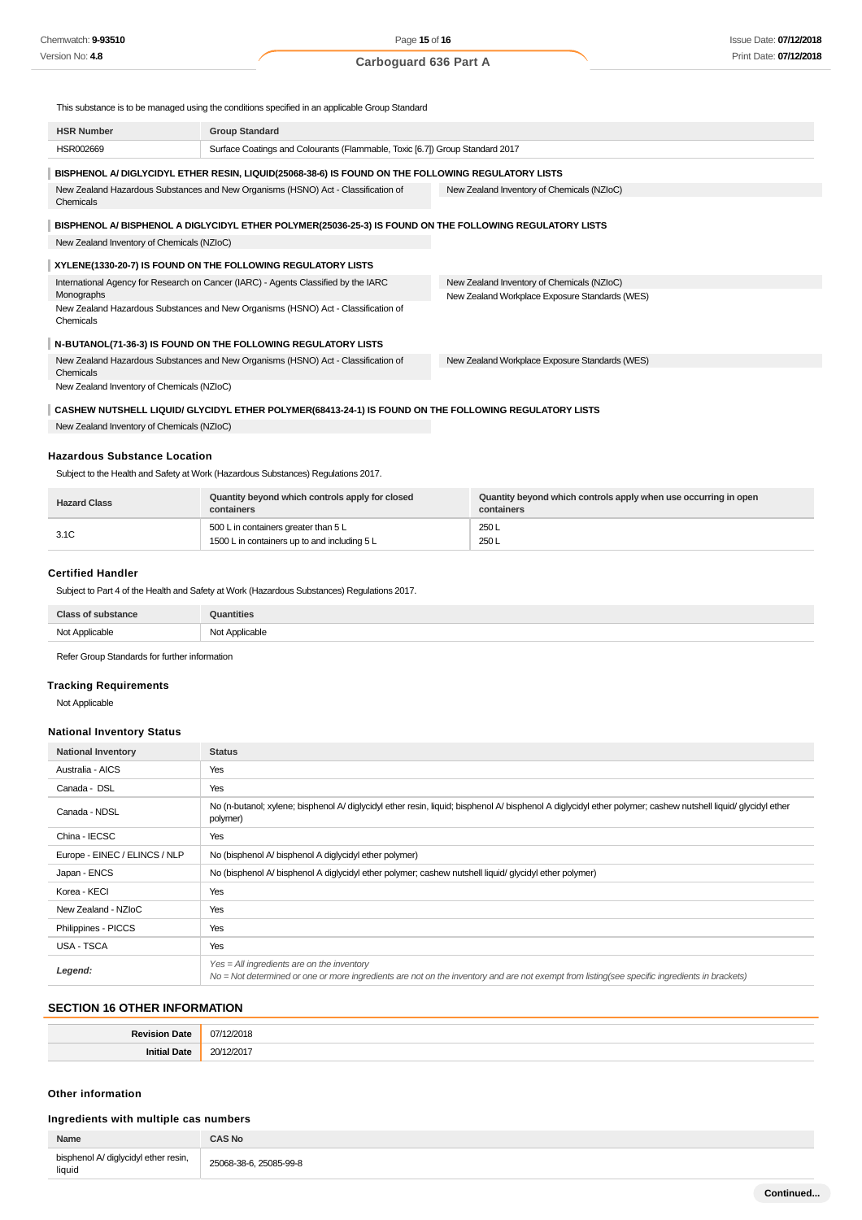This substance is to be managed using the conditions specified in an applicable Group Standard

| <b>HSR Number</b>                          | <b>Group Standard</b>                                                                                    |                                                |
|--------------------------------------------|----------------------------------------------------------------------------------------------------------|------------------------------------------------|
| HSR002669                                  | Surface Coatings and Colourants (Flammable, Toxic [6.7]) Group Standard 2017                             |                                                |
|                                            | BISPHENOL A/ DIGLYCIDYL ETHER RESIN, LIQUID(25068-38-6) IS FOUND ON THE FOLLOWING REGULATORY LISTS       |                                                |
| Chemicals                                  | New Zealand Hazardous Substances and New Organisms (HSNO) Act - Classification of                        | New Zealand Inventory of Chemicals (NZIoC)     |
|                                            |                                                                                                          |                                                |
|                                            | BISPHENOL A/ BISPHENOL A DIGLYCIDYL ETHER POLYMER(25036-25-3) IS FOUND ON THE FOLLOWING REGULATORY LISTS |                                                |
| New Zealand Inventory of Chemicals (NZIoC) |                                                                                                          |                                                |
|                                            | XYLENE(1330-20-7) IS FOUND ON THE FOLLOWING REGULATORY LISTS                                             |                                                |
|                                            | International Agency for Research on Cancer (IARC) - Agents Classified by the IARC                       | New Zealand Inventory of Chemicals (NZIoC)     |
| Monographs                                 |                                                                                                          | New Zealand Workplace Exposure Standards (WES) |
| Chemicals                                  | New Zealand Hazardous Substances and New Organisms (HSNO) Act - Classification of                        |                                                |
|                                            | N-BUTANOL(71-36-3) IS FOUND ON THE FOLLOWING REGULATORY LISTS                                            |                                                |
| Chemicals                                  | New Zealand Hazardous Substances and New Organisms (HSNO) Act - Classification of                        | New Zealand Workplace Exposure Standards (WES) |
| New Zealand Inventory of Chemicals (NZIoC) |                                                                                                          |                                                |
|                                            | CASHEW NUTSHELL LIQUID/ GLYCIDYL ETHER POLYMER (68413-24-1) IS FOUND ON THE FOLLOWING REGULATORY LISTS   |                                                |
| New Zealand Inventory of Chemicals (NZIoC) |                                                                                                          |                                                |

### **Hazardous Substance Location**

Subject to the Health and Safety at Work (Hazardous Substances) Regulations 2017.

| <b>Hazard Class</b> | Quantity beyond which controls apply for closed<br>containers                        | Quantity beyond which controls apply when use occurring in open<br>containers |
|---------------------|--------------------------------------------------------------------------------------|-------------------------------------------------------------------------------|
| 3.1C                | 500 L in containers greater than 5 L<br>1500 L in containers up to and including 5 L | 250 L<br>250 L                                                                |

#### **Certified Handler**

Subject to Part 4 of the Health and Safety at Work (Hazardous Substances) Regulations 2017.

| <b>Class of substance</b> | Quantities     |
|---------------------------|----------------|
| Not Applicable            | Not Applicable |

Refer Group Standards for further information

### **Tracking Requirements**

Not Applicable

### **National Inventory Status**

| <b>National Inventory</b>     | <b>Status</b>                                                                                                                                                                                 |  |
|-------------------------------|-----------------------------------------------------------------------------------------------------------------------------------------------------------------------------------------------|--|
| Australia - AICS              | Yes                                                                                                                                                                                           |  |
| Canada - DSL                  | Yes                                                                                                                                                                                           |  |
| Canada - NDSL                 | No (n-butanol; xylene; bisphenol A/ diglycidyl ether resin, liquid; bisphenol A/ bisphenol A diglycidyl ether polymer; cashew nutshell liquid/ glycidyl ether<br>polymer)                     |  |
| China - IECSC                 | Yes                                                                                                                                                                                           |  |
| Europe - EINEC / ELINCS / NLP | No (bisphenol A/ bisphenol A diglycidyl ether polymer)                                                                                                                                        |  |
| Japan - ENCS                  | No (bisphenol A/ bisphenol A diglycidyl ether polymer; cashew nutshell liquid/ glycidyl ether polymer)                                                                                        |  |
| Korea - KECI                  | Yes                                                                                                                                                                                           |  |
| New Zealand - NZIoC           | Yes                                                                                                                                                                                           |  |
| Philippines - PICCS           | Yes                                                                                                                                                                                           |  |
| USA - TSCA                    | Yes                                                                                                                                                                                           |  |
| Legend:                       | $Yes = All ingredients are on the inventory$<br>No = Not determined or one or more ingredients are not on the inventory and are not exempt from listing(see specific ingredients in brackets) |  |

### **SECTION 16 OTHER INFORMATION**

| Davi<br>าat⊾ | 201<br>07/<br>. |
|--------------|-----------------|
| 'Afr.        | 20/             |

### **Other information**

# **Ingredients with multiple cas numbers**

| Name                                           | <b>CAS No</b>          |
|------------------------------------------------|------------------------|
| bisphenol A/ diglycidyl ether resin,<br>liquid | 25068-38-6, 25085-99-8 |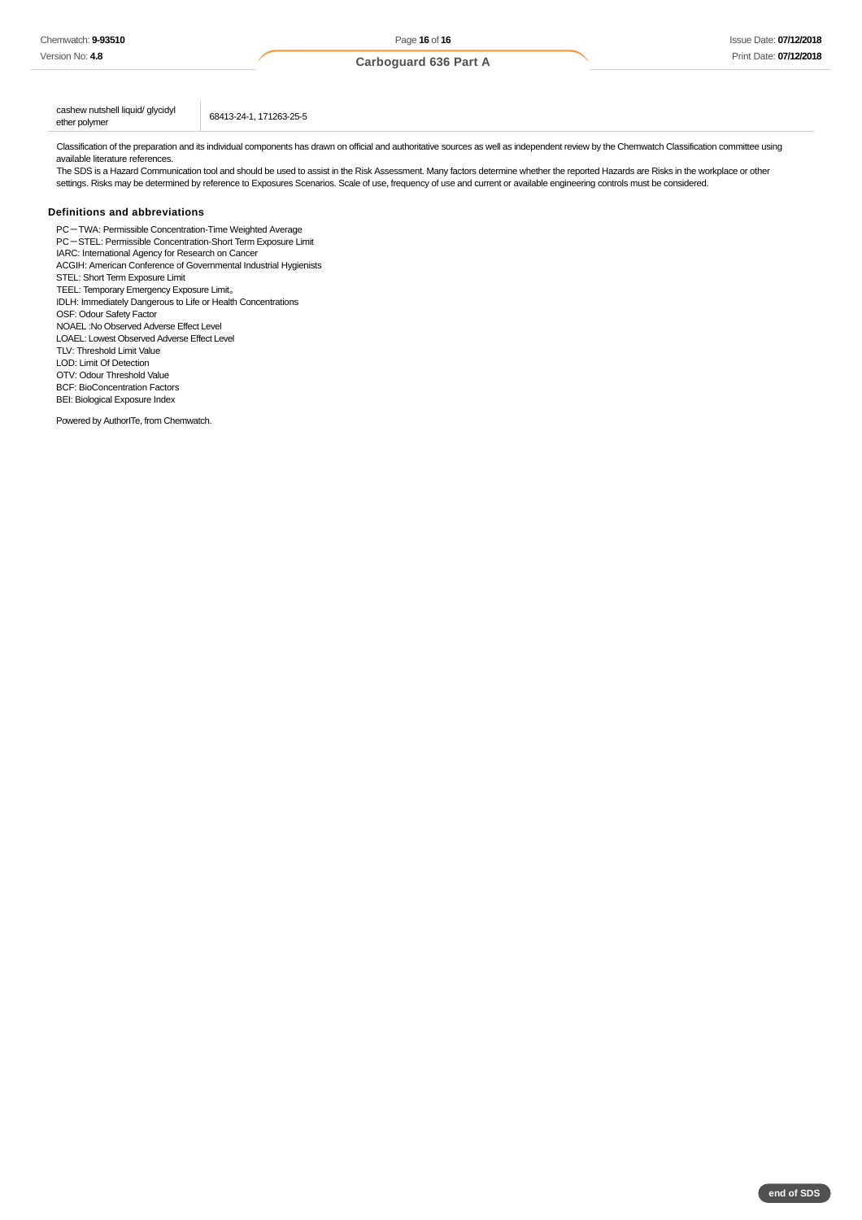cashew nutshell liquid/ glycidyl<br>ether polymer

Classification of the preparation and its individual components has drawn on official and authoritative sources as well as independent review by the Chemwatch Classification committee using available literature references.

The SDS is a Hazard Communication tool and should be used to assist in the Risk Assessment. Many factors determine whether the reported Hazards are Risks in the workplace or other settings. Risks may be determined by reference to Exposures Scenarios. Scale of use, frequency of use and current or available engineering controls must be considered.

### **Definitions and abbreviations**

PC-TWA: Permissible Concentration-Time Weighted Average PC-STEL: Permissible Concentration-Short Term Exposure Limit IARC: International Agency for Research on Cancer ACGIH: American Conference of Governmental Industrial Hygienists STEL: Short Term Exposure Limit TEEL: Temporary Emergency Exposure Limit。 IDLH: Immediately Dangerous to Life or Health Concentrations OSF: Odour Safety Factor NOAEL :No Observed Adverse Effect Level LOAEL: Lowest Observed Adverse Effect Level TLV: Threshold Limit Value LOD: Limit Of Detection OTV: Odour Threshold Value BCF: BioConcentration Factors BEI: Biological Exposure Index

ether polymer 68413-24-1, 171263-25-5

Powered by AuthorITe, from Chemwatch.

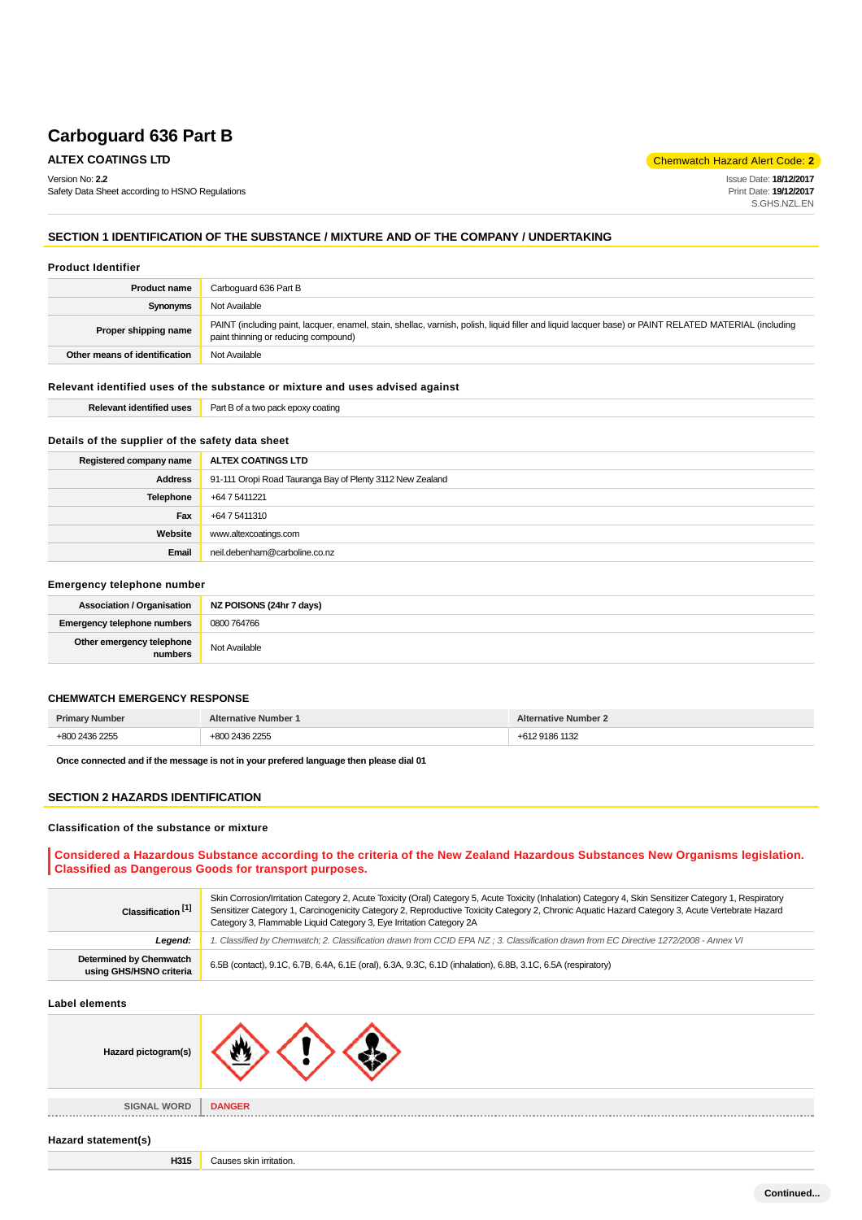**ALTEX COATINGS LTD Chemwatch Hazard Alert Code: 2** 

Version No: **2.2**

Safety Data Sheet according to HSNO Regulations

Issue Date: **18/12/2017** Print Date: **19/12/2017** S.GHS.NZL.EN

### **SECTION 1 IDENTIFICATION OF THE SUBSTANCE / MIXTURE AND OF THE COMPANY / UNDERTAKING**

#### **Product Identifier**

| <b>Product name</b>                                                                                                                                                                                                   | Carboquard 636 Part B |  |
|-----------------------------------------------------------------------------------------------------------------------------------------------------------------------------------------------------------------------|-----------------------|--|
| Synonyms                                                                                                                                                                                                              | Not Available         |  |
| PAINT (including paint, lacquer, enamel, stain, shellac, varnish, polish, liquid filler and liquid lacquer base) or PAINT RELATED MATERIAL (including<br>Proper shipping name<br>paint thinning or reducing compound) |                       |  |
| Other means of identification                                                                                                                                                                                         | Not Available         |  |

### **Relevant identified uses of the substance or mixture and uses advised against**

| <b><i><u>ALCO</u></i></b><br>Relevant<br>nent<br><br>eo uses | Par<br>oatını<br>. .<br>1Y 1 |
|--------------------------------------------------------------|------------------------------|
|                                                              |                              |

### **Details of the supplier of the safety data sheet**

| Registered company name | ALTEX COATINGS LTD                                        |
|-------------------------|-----------------------------------------------------------|
| <b>Address</b>          | 91-111 Oropi Road Tauranga Bay of Plenty 3112 New Zealand |
| Telephone               | +64 7 5411221                                             |
| Fax                     | +64 7 5411310                                             |
| Website                 | www.altexcoatings.com                                     |
| Email                   | neil.debenham@carboline.co.nz                             |

#### **Emergency telephone number**

|                                      | Association / Organisation   NZ POISONS (24hr 7 days) |
|--------------------------------------|-------------------------------------------------------|
| <b>Emergency telephone numbers</b>   | 0800 764766                                           |
| Other emergency telephone<br>numbers | Not Available                                         |

#### **CHEMWATCH EMERGENCY RESPONSE**

| <b>Primary Number</b> | <b>Alternative Number 1</b> | <b>Alternative Number 2</b> |
|-----------------------|-----------------------------|-----------------------------|
| +800 2436 2255        | +800 2436 2255              | 291861132                   |

**Once connected and if the message is not in your prefered language then please dial 01**

### **SECTION 2 HAZARDS IDENTIFICATION**

#### **Classification of the substance or mixture**

### **Considered a Hazardous Substance according to the criteria of the New Zealand Hazardous Substances New Organisms legislation. Classified as Dangerous Goods for transport purposes.**

| Classification <sup>[1]</sup>                      | Skin Corrosion/Irritation Category 2, Acute Toxicity (Oral) Category 5, Acute Toxicity (Inhalation) Category 4, Skin Sensitizer Category 1, Respiratory<br>Sensitizer Category 1, Carcinogenicity Category 2, Reproductive Toxicity Category 2, Chronic Aquatic Hazard Category 3, Acute Vertebrate Hazard<br>Category 3, Flammable Liquid Category 3, Eye Irritation Category 2A |  |
|----------------------------------------------------|-----------------------------------------------------------------------------------------------------------------------------------------------------------------------------------------------------------------------------------------------------------------------------------------------------------------------------------------------------------------------------------|--|
| Leaend:                                            | 1. Classified by Chemwatch; 2. Classification drawn from CCID EPA NZ; 3. Classification drawn from EC Directive 1272/2008 - Annex VI                                                                                                                                                                                                                                              |  |
| Determined by Chemwatch<br>using GHS/HSNO criteria | 6.5B (contact), 9.1C, 6.7B, 6.4A, 6.1E (oral), 6.3A, 9.3C, 6.1D (inhalation), 6.8B, 3.1C, 6.5A (respiratory)                                                                                                                                                                                                                                                                      |  |

#### **Label elements**

| Hazard pictogram(s) |                             |
|---------------------|-----------------------------|
| <b>SIGNAL WORD</b>  | <b>DANGER</b><br>2012/01/12 |

#### **Hazard statement(s)**

**H315** Causes skin irritation.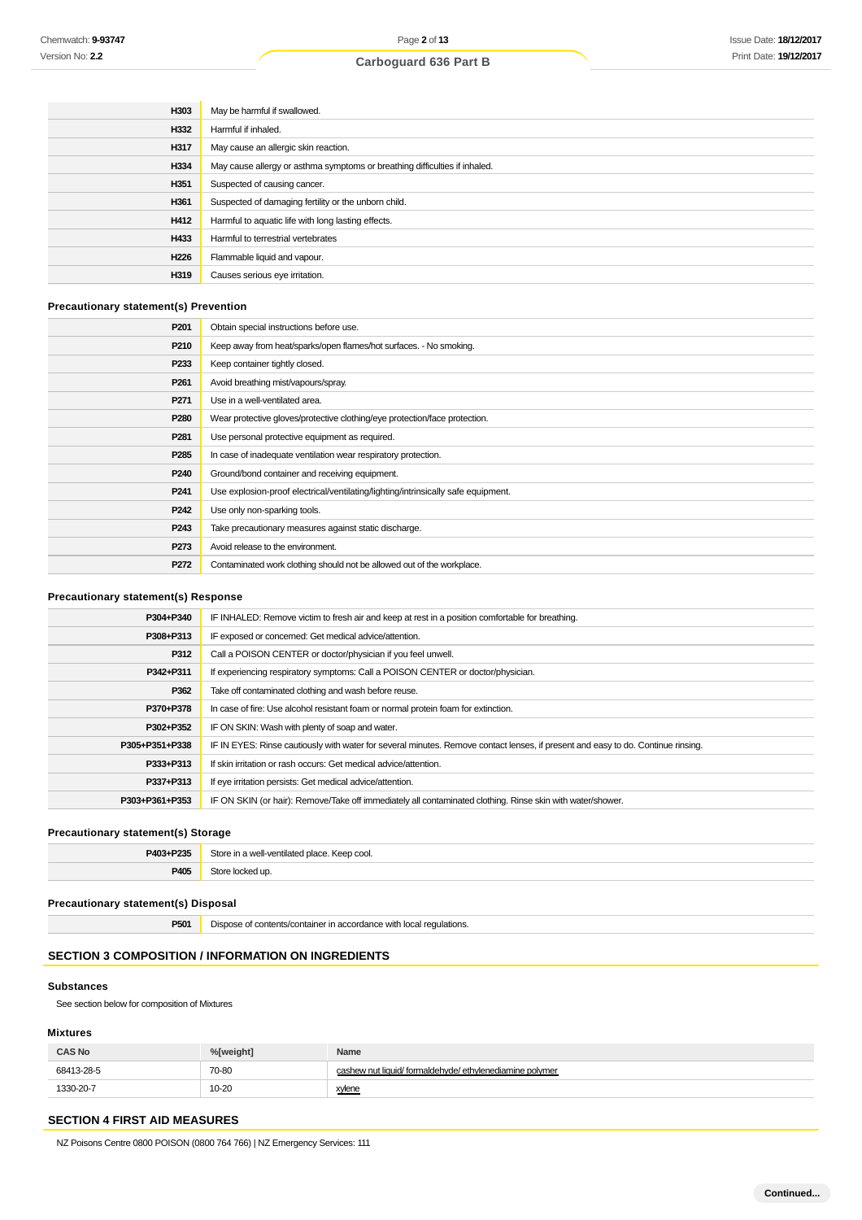| H303 | May be harmful if swallowed.                                               |
|------|----------------------------------------------------------------------------|
| H332 | Harmful if inhaled.                                                        |
| H317 | May cause an allergic skin reaction.                                       |
| H334 | May cause allergy or asthma symptoms or breathing difficulties if inhaled. |
| H351 | Suspected of causing cancer.                                               |
| H361 | Suspected of damaging fertility or the unborn child.                       |
| H412 | Harmful to aquatic life with long lasting effects.                         |
| H433 | Harmful to terrestrial vertebrates                                         |
| H226 | Flammable liquid and vapour.                                               |
| H319 | Causes serious eye irritation.                                             |

### **Precautionary statement(s) Prevention**

| P <sub>201</sub> | Obtain special instructions before use.                                           |
|------------------|-----------------------------------------------------------------------------------|
| P210             | Keep away from heat/sparks/open flames/hot surfaces. - No smoking.                |
| P <sub>233</sub> | Keep container tightly closed.                                                    |
| P <sub>261</sub> | Avoid breathing mist/vapours/spray.                                               |
| P <sub>271</sub> | Use in a well-ventilated area.                                                    |
| P <sub>280</sub> | Wear protective gloves/protective clothing/eye protection/face protection.        |
| P <sub>281</sub> | Use personal protective equipment as required.                                    |
| P <sub>285</sub> | In case of inadequate ventilation wear respiratory protection.                    |
| P <sub>240</sub> | Ground/bond container and receiving equipment.                                    |
| P <sub>241</sub> | Use explosion-proof electrical/ventilating/lighting/intrinsically safe equipment. |
| P <sub>242</sub> | Use only non-sparking tools.                                                      |
| P243             | Take precautionary measures against static discharge.                             |
| P273             | Avoid release to the environment.                                                 |
| P272             | Contaminated work clothing should not be allowed out of the workplace.            |

### **Precautionary statement(s) Response**

| P304+P340      | IF INHALED: Remove victim to fresh air and keep at rest in a position comfortable for breathing.                                 |  |
|----------------|----------------------------------------------------------------------------------------------------------------------------------|--|
| P308+P313      | IF exposed or concerned: Get medical advice/attention.                                                                           |  |
| P312           | Call a POISON CENTER or doctor/physician if you feel unwell.                                                                     |  |
| P342+P311      | If experiencing respiratory symptoms: Call a POISON CENTER or doctor/physician.                                                  |  |
| P362           | Take off contaminated clothing and wash before reuse.                                                                            |  |
| P370+P378      | In case of fire: Use alcohol resistant foam or normal protein foam for extinction.                                               |  |
| P302+P352      | IF ON SKIN: Wash with plenty of soap and water.                                                                                  |  |
| P305+P351+P338 | IF IN EYES: Rinse cautiously with water for several minutes. Remove contact lenses, if present and easy to do. Continue rinsing. |  |
| P333+P313      | If skin irritation or rash occurs: Get medical advice/attention.                                                                 |  |
| P337+P313      | If eye irritation persists: Get medical advice/attention.                                                                        |  |
| P303+P361+P353 | IF ON SKIN (or hair): Remove/Take off immediately all contaminated clothing. Rinse skin with water/shower.                       |  |

### **Precautionary statement(s) Storage**

| P403+P235 | Store in a well-ventilated place. Keep cool. |
|-----------|----------------------------------------------|
| P40       | Store locked up.                             |

### **Precautionary statement(s) Disposal**

| <b>P501</b> | Dispose of contents/container in accordance with local regulations. |
|-------------|---------------------------------------------------------------------|
|-------------|---------------------------------------------------------------------|

### **SECTION 3 COMPOSITION / INFORMATION ON INGREDIENTS**

#### **Substances**

See section below for composition of Mixtures

### **Mixtures**

| <b>CAS No</b> | %[weight] | Name                                                     |
|---------------|-----------|----------------------------------------------------------|
| 68413-28-5    | 70-80     | cashew nut liquid/ formaldehyde/ ethylenediamine polymer |
| 1330-20-7     | 10-20     | xylene                                                   |

# **SECTION 4 FIRST AID MEASURES**

NZ Poisons Centre 0800 POISON (0800 764 766) | NZ Emergency Services: 111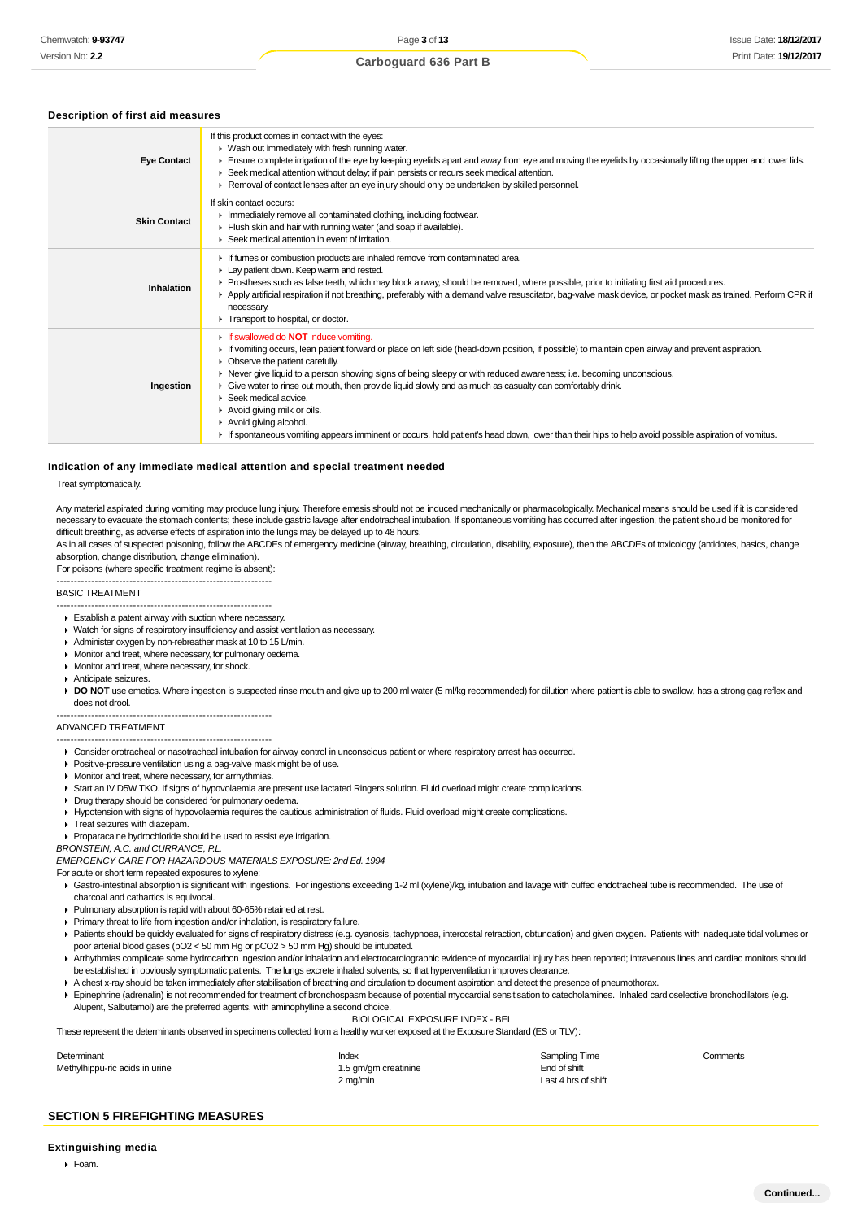#### **Description of first aid measures**

| <b>Eye Contact</b>  | If this product comes in contact with the eyes:<br>• Wash out immediately with fresh running water.<br>Ensure complete irrigation of the eye by keeping eyelids apart and away from eye and moving the eyelids by occasionally lifting the upper and lower lids.<br>► Seek medical attention without delay; if pain persists or recurs seek medical attention.<br>► Removal of contact lenses after an eye injury should only be undertaken by skilled personnel.                                                                                                                                                                                                                                                                |
|---------------------|----------------------------------------------------------------------------------------------------------------------------------------------------------------------------------------------------------------------------------------------------------------------------------------------------------------------------------------------------------------------------------------------------------------------------------------------------------------------------------------------------------------------------------------------------------------------------------------------------------------------------------------------------------------------------------------------------------------------------------|
| <b>Skin Contact</b> | If skin contact occurs:<br>Inmediately remove all contaminated clothing, including footwear.<br>Flush skin and hair with running water (and soap if available).<br>▶ Seek medical attention in event of irritation.                                                                                                                                                                                                                                                                                                                                                                                                                                                                                                              |
| Inhalation          | If fumes or combustion products are inhaled remove from contaminated area.<br>Lay patient down. Keep warm and rested.<br>Prostheses such as false teeth, which may block airway, should be removed, where possible, prior to initiating first aid procedures.<br>▶ Apply artificial respiration if not breathing, preferably with a demand valve resuscitator, bag-valve mask device, or pocket mask as trained. Perform CPR if<br>necessary.<br>Transport to hospital, or doctor.                                                                                                                                                                                                                                               |
| Ingestion           | If swallowed do <b>NOT</b> induce vomiting.<br>If vomiting occurs, lean patient forward or place on left side (head-down position, if possible) to maintain open airway and prevent aspiration.<br>• Observe the patient carefully.<br>► Never give liquid to a person showing signs of being sleepy or with reduced awareness; i.e. becoming unconscious.<br>Give water to rinse out mouth, then provide liquid slowly and as much as casualty can comfortably drink.<br>$\blacktriangleright$ Seek medical advice.<br>Avoid giving milk or oils.<br>Avoid giving alcohol.<br>If spontaneous vomiting appears imminent or occurs, hold patient's head down, lower than their hips to help avoid possible aspiration of vomitus. |

### **Indication of any immediate medical attention and special treatment needed**

#### Treat symptomatically.

Any material aspirated during vomiting may produce lung injury. Therefore emesis should not be induced mechanically or pharmacologically. Mechanical means should be used if it is considered necessary to evacuate the stomach contents; these include gastric lavage after endotracheal intubation. If spontaneous vomiting has occurred after ingestion, the patient should be monitored for difficult breathing, as adverse effects of aspiration into the lungs may be delayed up to 48 hours.

As in all cases of suspected poisoning, follow the ABCDEs of emergency medicine (airway, breathing, circulation, disability, exposure), then the ABCDEs of toxicology (antidotes, basics, change absorption, change distribution, change elimination).

For poisons (where specific treatment regime is absent): --------------------------------------------------------------

#### BASIC TREATMENT

- -------------------------------------------------------------- Establish a patent airway with suction where necessary.
- Watch for signs of respiratory insufficiency and assist ventilation as necessary.
- Administer oxygen by non-rebreather mask at 10 to 15 L/min.
- **Monitor and treat, where necessary, for pulmonary oedema.**
- **Monitor and treat, where necessary, for shock.**
- Anticipate seizures.

DO NOT use emetics. Where ingestion is suspected rinse mouth and give up to 200 ml water (5 ml/kg recommended) for dilution where patient is able to swallow, has a strong gag reflex and does not drool.

#### ADVANCED TREATMENT

#### --------------------------------------------------------------

--------------------------------------------------------------

- Consider orotracheal or nasotracheal intubation for airway control in unconscious patient or where respiratory arrest has occurred.
- Positive-pressure ventilation using a bag-valve mask might be of use.
- **Monitor and treat, where necessary, for arrhythmias.**
- ▶ Start an IV D5W TKO. If signs of hypovolaemia are present use lactated Ringers solution. Fluid overload might create complications.
- **Drug therapy should be considered for pulmonary oedema.**
- Hypotension with signs of hypovolaemia requires the cautious administration of fluids. Fluid overload might create complications.
- **Treat seizures with diazepam.**

Proparacaine hydrochloride should be used to assist eye irrigation.

BRONSTEIN, A.C. and CURRANCE, P.L.

EMERGENCY CARE FOR HAZARDOUS MATERIALS EXPOSURE: 2nd Ed. 1994

For acute or short term repeated exposures to xylene:

- Gastro-intestinal absorption is significant with ingestions. For ingestions exceeding 1-2 ml (xylene)/kg, intubation and lavage with cuffed endotracheal tube is recommended. The use of charcoal and cathartics is equivocal.
- Pulmonary absorption is rapid with about 60-65% retained at rest.
- Primary threat to life from ingestion and/or inhalation, is respiratory failure.
- ▶ Patients should be quickly evaluated for signs of respiratory distress (e.g. cyanosis, tachypnoea, intercostal retraction, obtundation) and given oxygen. Patients with inadequate tidal volumes or poor arterial blood gases (pO2 < 50 mm Hg or pCO2 > 50 mm Hg) should be intubated.
- ▶ Arrhythmias complicate some hydrocarbon ingestion and/or inhalation and electrocardiographic evidence of myocardial injury has been reported; intravenous lines and cardiac monitors should be established in obviously symptomatic patients. The lungs excrete inhaled solvents, so that hyperventilation improves clearance.
- A chest x-ray should be taken immediately after stabilisation of breathing and circulation to document aspiration and detect the presence of pneumothorax.
- Epinephrine (adrenalin) is not recommended for treatment of bronchospasm because of potential myocardial sensitisation to catecholamines. Inhaled cardioselective bronchodilators (e.g. Alupent, Salbutamol) are the preferred agents, with aminophylline a second choice.

BIOLOGICAL EXPOSURE INDEX - BEI

These represent the determinants observed in specimens collected from a healthy worker exposed at the Exposure Standard (ES or TLV):

| Determinant                    | Index                | Sampling Time       | Comments |
|--------------------------------|----------------------|---------------------|----------|
| Methylhippu-ric acids in urine | 1.5 gm/gm creatinine | End of shift        |          |
|                                | 2 ma/min             | Last 4 hrs of shift |          |

#### **SECTION 5 FIREFIGHTING MEASURES**

#### **Extinguishing media**

 $F<sub>o</sub>$ am.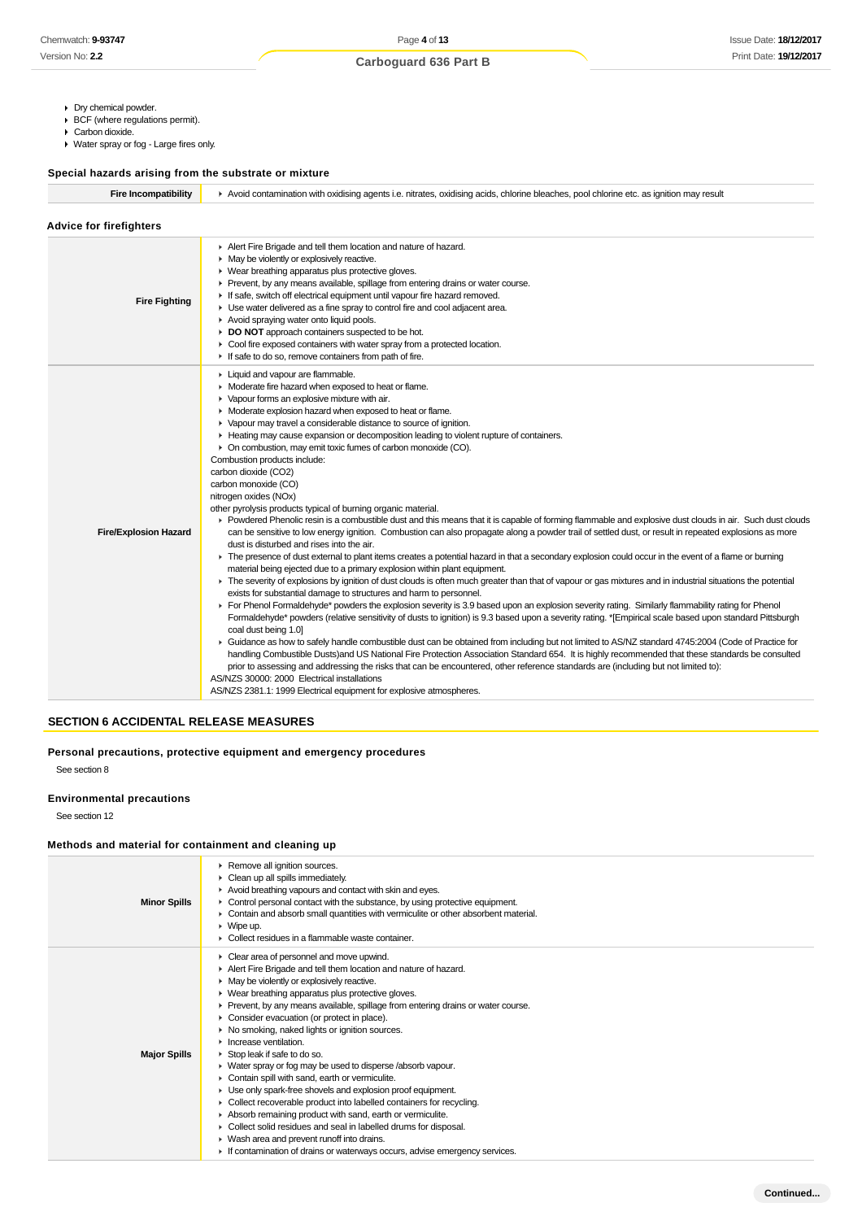- Dry chemical powder.
- BCF (where regulations permit).
- Carbon dioxide.
- Water spray or fog Large fires only.

### **Special hazards arising from the substrate or mixture**

| <b>Fire Incompatibility</b> | Avoid contamination with oxidising agents i.e. nitrates, oxidising acids, chlorine bleaches, pool chlorine etc. as ignition may result |
|-----------------------------|----------------------------------------------------------------------------------------------------------------------------------------|
|                             |                                                                                                                                        |

|  |  |  | <b>Advice for firefighters</b> |  |
|--|--|--|--------------------------------|--|
|--|--|--|--------------------------------|--|

| <b>Fire Fighting</b>         | Alert Fire Brigade and tell them location and nature of hazard.<br>• May be violently or explosively reactive.<br>• Wear breathing apparatus plus protective gloves.<br>• Prevent, by any means available, spillage from entering drains or water course.<br>If safe, switch off electrical equipment until vapour fire hazard removed.<br>• Use water delivered as a fine spray to control fire and cool adjacent area.<br>Avoid spraying water onto liquid pools.<br>DO NOT approach containers suspected to be hot.<br>• Cool fire exposed containers with water spray from a protected location.<br>If safe to do so, remove containers from path of fire.                                                                                                                                                                                                                                                                                                                                                                                                                                                                                                                                                                                                                                                                                                                                                                                                                                                                                                                                                                                                                                                                                                                                                                                                                                                                                                                                                                                                                                                                                                                                                                                                                                                                                                                     |
|------------------------------|------------------------------------------------------------------------------------------------------------------------------------------------------------------------------------------------------------------------------------------------------------------------------------------------------------------------------------------------------------------------------------------------------------------------------------------------------------------------------------------------------------------------------------------------------------------------------------------------------------------------------------------------------------------------------------------------------------------------------------------------------------------------------------------------------------------------------------------------------------------------------------------------------------------------------------------------------------------------------------------------------------------------------------------------------------------------------------------------------------------------------------------------------------------------------------------------------------------------------------------------------------------------------------------------------------------------------------------------------------------------------------------------------------------------------------------------------------------------------------------------------------------------------------------------------------------------------------------------------------------------------------------------------------------------------------------------------------------------------------------------------------------------------------------------------------------------------------------------------------------------------------------------------------------------------------------------------------------------------------------------------------------------------------------------------------------------------------------------------------------------------------------------------------------------------------------------------------------------------------------------------------------------------------------------------------------------------------------------------------------------------------|
| <b>Fire/Explosion Hazard</b> | Liquid and vapour are flammable.<br>• Moderate fire hazard when exposed to heat or flame.<br>• Vapour forms an explosive mixture with air.<br>• Moderate explosion hazard when exposed to heat or flame.<br>• Vapour may travel a considerable distance to source of ignition.<br>► Heating may cause expansion or decomposition leading to violent rupture of containers.<br>• On combustion, may emit toxic fumes of carbon monoxide (CO).<br>Combustion products include:<br>carbon dioxide (CO2)<br>carbon monoxide (CO)<br>nitrogen oxides (NOx)<br>other pyrolysis products typical of burning organic material.<br>▶ Powdered Phenolic resin is a combustible dust and this means that it is capable of forming flammable and explosive dust clouds in air. Such dust clouds<br>can be sensitive to low energy ignition. Combustion can also propagate along a powder trail of settled dust, or result in repeated explosions as more<br>dust is disturbed and rises into the air.<br>• The presence of dust external to plant items creates a potential hazard in that a secondary explosion could occur in the event of a flame or burning<br>material being ejected due to a primary explosion within plant equipment.<br>The severity of explosions by ignition of dust clouds is often much greater than that of vapour or gas mixtures and in industrial situations the potential<br>exists for substantial damage to structures and harm to personnel.<br>For Phenol Formaldehyde* powders the explosion severity is 3.9 based upon an explosion severity rating. Similarly flammability rating for Phenol<br>Formaldehyde* powders (relative sensitivity of dusts to ignition) is 9.3 based upon a severity rating. *[Empirical scale based upon standard Pittsburgh<br>coal dust being 1.0]<br>► Guidance as how to safely handle combustible dust can be obtained from including but not limited to AS/NZ standard 4745:2004 (Code of Practice for<br>handling Combustible Dusts)and US National Fire Protection Association Standard 654. It is highly recommended that these standards be consulted<br>prior to assessing and addressing the risks that can be encountered, other reference standards are (including but not limited to):<br>AS/NZS 30000: 2000 Electrical installations<br>AS/NZS 2381.1: 1999 Electrical equipment for explosive atmospheres. |

### **SECTION 6 ACCIDENTAL RELEASE MEASURES**

### **Personal precautions, protective equipment and emergency procedures**

See section 8

### **Environmental precautions**

See section 12

### **Methods and material for containment and cleaning up**

| <b>Minor Spills</b> | Remove all ignition sources.<br>Clean up all spills immediately.<br>Avoid breathing vapours and contact with skin and eyes.<br>• Control personal contact with the substance, by using protective equipment.<br>• Contain and absorb small quantities with vermiculite or other absorbent material.<br>$\triangleright$ Wipe up.<br>• Collect residues in a flammable waste container.                                                                                                                                                                                                                                                                                                                                                                                                                                                                                                                                                                                                                                            |
|---------------------|-----------------------------------------------------------------------------------------------------------------------------------------------------------------------------------------------------------------------------------------------------------------------------------------------------------------------------------------------------------------------------------------------------------------------------------------------------------------------------------------------------------------------------------------------------------------------------------------------------------------------------------------------------------------------------------------------------------------------------------------------------------------------------------------------------------------------------------------------------------------------------------------------------------------------------------------------------------------------------------------------------------------------------------|
| <b>Major Spills</b> | $\triangleright$ Clear area of personnel and move upwind.<br>Alert Fire Brigade and tell them location and nature of hazard.<br>• May be violently or explosively reactive.<br>• Wear breathing apparatus plus protective gloves.<br>► Prevent, by any means available, spillage from entering drains or water course.<br>• Consider evacuation (or protect in place).<br>• No smoking, naked lights or ignition sources.<br>$\blacktriangleright$ Increase ventilation.<br>Stop leak if safe to do so.<br>• Water spray or fog may be used to disperse /absorb vapour.<br>Contain spill with sand, earth or vermiculite.<br>• Use only spark-free shovels and explosion proof equipment.<br>• Collect recoverable product into labelled containers for recycling.<br>Absorb remaining product with sand, earth or vermiculite.<br>• Collect solid residues and seal in labelled drums for disposal.<br>• Wash area and prevent runoff into drains.<br>If contamination of drains or waterways occurs, advise emergency services. |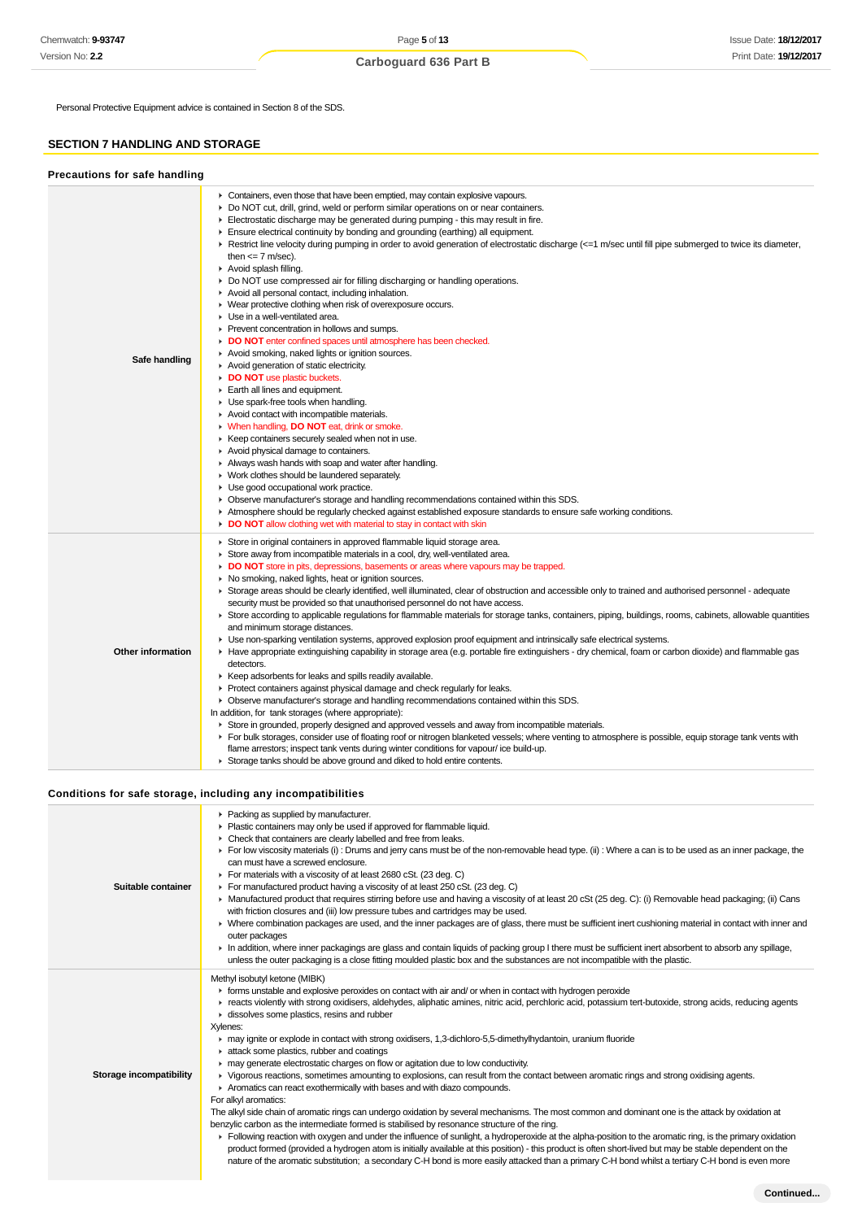Personal Protective Equipment advice is contained in Section 8 of the SDS.

### **SECTION 7 HANDLING AND STORAGE**

| Precautions for safe handling |                                                                                                                                                                                                                                                                                                                                                                                                                                                                                                                                                                                                                                                                                                                                                                                                                                                                                                                                                                                                                                                                                                                                                                                                                                                                                                                                                                                                                                                                                                                                                                                                                                                                                                                                                                                               |
|-------------------------------|-----------------------------------------------------------------------------------------------------------------------------------------------------------------------------------------------------------------------------------------------------------------------------------------------------------------------------------------------------------------------------------------------------------------------------------------------------------------------------------------------------------------------------------------------------------------------------------------------------------------------------------------------------------------------------------------------------------------------------------------------------------------------------------------------------------------------------------------------------------------------------------------------------------------------------------------------------------------------------------------------------------------------------------------------------------------------------------------------------------------------------------------------------------------------------------------------------------------------------------------------------------------------------------------------------------------------------------------------------------------------------------------------------------------------------------------------------------------------------------------------------------------------------------------------------------------------------------------------------------------------------------------------------------------------------------------------------------------------------------------------------------------------------------------------|
| Safe handling                 | • Containers, even those that have been emptied, may contain explosive vapours.<br>► Do NOT cut, drill, grind, weld or perform similar operations on or near containers.<br>Electrostatic discharge may be generated during pumping - this may result in fire.<br>Ensure electrical continuity by bonding and grounding (earthing) all equipment.<br>► Restrict line velocity during pumping in order to avoid generation of electrostatic discharge (<=1 m/sec until fill pipe submerged to twice its diameter,<br>then $\leq$ 7 m/sec).<br>Avoid splash filling.<br>• Do NOT use compressed air for filling discharging or handling operations.<br>Avoid all personal contact, including inhalation.<br>• Wear protective clothing when risk of overexposure occurs.<br>• Use in a well-ventilated area.<br>▶ Prevent concentration in hollows and sumps.<br>DO NOT enter confined spaces until atmosphere has been checked.<br>Avoid smoking, naked lights or ignition sources.<br>Avoid generation of static electricity.<br>DO NOT use plastic buckets.<br>Earth all lines and equipment.<br>• Use spark-free tools when handling.<br>Avoid contact with incompatible materials.<br><b>When handling, DO NOT eat, drink or smoke.</b><br>▶ Keep containers securely sealed when not in use.<br>Avoid physical damage to containers.<br>Always wash hands with soap and water after handling.<br>• Work clothes should be laundered separately.<br>• Use good occupational work practice.<br>• Observe manufacturer's storage and handling recommendations contained within this SDS.<br>Atmosphere should be regularly checked against established exposure standards to ensure safe working conditions.<br>• DO NOT allow clothing wet with material to stay in contact with skin       |
| Other information             | Store in original containers in approved flammable liquid storage area.<br>• Store away from incompatible materials in a cool, dry, well-ventilated area.<br>• DO NOT store in pits, depressions, basements or areas where vapours may be trapped.<br>• No smoking, naked lights, heat or ignition sources.<br>► Storage areas should be clearly identified, well illuminated, clear of obstruction and accessible only to trained and authorised personnel - adequate<br>security must be provided so that unauthorised personnel do not have access.<br>► Store according to applicable regulations for flammable materials for storage tanks, containers, piping, buildings, rooms, cabinets, allowable quantities<br>and minimum storage distances.<br>• Use non-sparking ventilation systems, approved explosion proof equipment and intrinsically safe electrical systems.<br>► Have appropriate extinguishing capability in storage area (e.g. portable fire extinguishers - dry chemical, foam or carbon dioxide) and flammable gas<br>detectors.<br>▶ Keep adsorbents for leaks and spills readily available.<br>▶ Protect containers against physical damage and check regularly for leaks.<br>• Observe manufacturer's storage and handling recommendations contained within this SDS.<br>In addition, for tank storages (where appropriate):<br>► Store in grounded, properly designed and approved vessels and away from incompatible materials.<br>▶ For bulk storages, consider use of floating roof or nitrogen blanketed vessels; where venting to atmosphere is possible, equip storage tank vents with<br>flame arrestors; inspect tank vents during winter conditions for vapour/ice build-up.<br>Storage tanks should be above ground and diked to hold entire contents. |

### **Conditions for safe storage, including any incompatibilities**

| Suitable container      | • Packing as supplied by manufacturer.<br>Plastic containers may only be used if approved for flammable liquid.<br>• Check that containers are clearly labelled and free from leaks.<br>For low viscosity materials (i) : Drums and jerry cans must be of the non-removable head type. (ii) : Where a can is to be used as an inner package, the<br>can must have a screwed enclosure.<br>For materials with a viscosity of at least 2680 cSt. (23 deg. C)<br>For manufactured product having a viscosity of at least 250 cSt. (23 deg. C)                                                                                                                                                                                                                                                                                                                                                                                                                                                                                                                                                                                                                                                                                                                                                                                                                                                                                                          |
|-------------------------|-----------------------------------------------------------------------------------------------------------------------------------------------------------------------------------------------------------------------------------------------------------------------------------------------------------------------------------------------------------------------------------------------------------------------------------------------------------------------------------------------------------------------------------------------------------------------------------------------------------------------------------------------------------------------------------------------------------------------------------------------------------------------------------------------------------------------------------------------------------------------------------------------------------------------------------------------------------------------------------------------------------------------------------------------------------------------------------------------------------------------------------------------------------------------------------------------------------------------------------------------------------------------------------------------------------------------------------------------------------------------------------------------------------------------------------------------------|
|                         | ▶ Manufactured product that requires stirring before use and having a viscosity of at least 20 cSt (25 deg. C): (i) Removable head packaging; (ii) Cans<br>with friction closures and (iii) low pressure tubes and cartridges may be used.<br>▶ Where combination packages are used, and the inner packages are of glass, there must be sufficient inert cushioning material in contact with inner and<br>outer packages<br>In addition, where inner packagings are glass and contain liquids of packing group I there must be sufficient inert absorbent to absorb any spillage,<br>unless the outer packaging is a close fitting moulded plastic box and the substances are not incompatible with the plastic.                                                                                                                                                                                                                                                                                                                                                                                                                                                                                                                                                                                                                                                                                                                                    |
| Storage incompatibility | Methyl isobutyl ketone (MIBK)<br>• forms unstable and explosive peroxides on contact with air and/ or when in contact with hydrogen peroxide<br>F reacts violently with strong oxidisers, aldehydes, aliphatic amines, nitric acid, perchloric acid, potassium tert-butoxide, strong acids, reducing agents<br>dissolves some plastics, resins and rubber<br>Xylenes:<br>may ignite or explode in contact with strong oxidisers, 1,3-dichloro-5,5-dimethylhydantoin, uranium fluoride<br>attack some plastics, rubber and coatings<br>may generate electrostatic charges on flow or agitation due to low conductivity.<br>► Vigorous reactions, sometimes amounting to explosions, can result from the contact between aromatic rings and strong oxidising agents.<br>Aromatics can react exothermically with bases and with diazo compounds.<br>For alkyl aromatics:<br>The alkyl side chain of aromatic rings can undergo oxidation by several mechanisms. The most common and dominant one is the attack by oxidation at<br>benzylic carbon as the intermediate formed is stabilised by resonance structure of the ring.<br>Following reaction with oxygen and under the influence of sunlight, a hydroperoxide at the alpha-position to the aromatic ring, is the primary oxidation<br>product formed (provided a hydrogen atom is initially available at this position) - this product is often short-lived but may be stable dependent on the |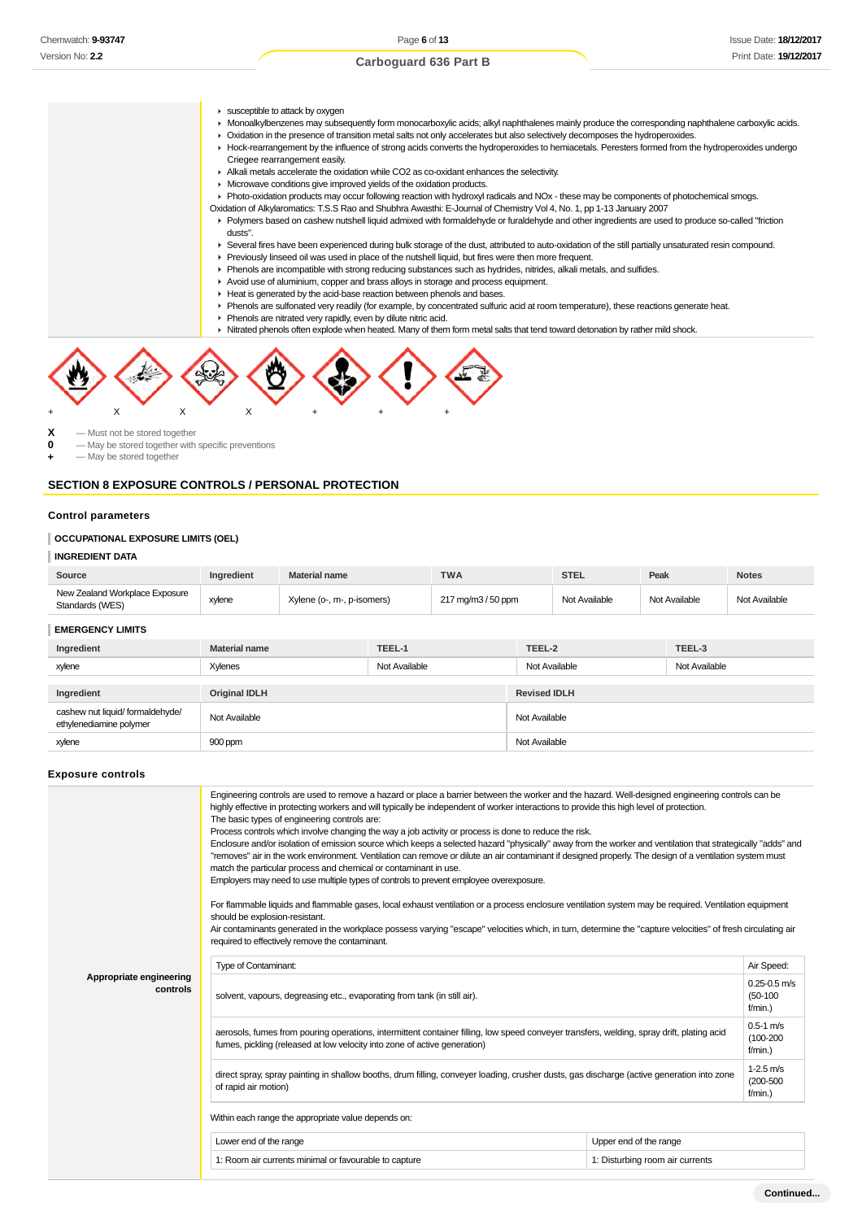- **E** susceptible to attack by oxygen
- ► Monoalkylbenzenes may subsequently form monocarboxylic acids; alkyl naphthalenes mainly produce the corresponding naphthalene carboxylic acids.
- Oxidation in the presence of transition metal salts not only accelerates but also selectively decomposes the hydroperoxides.
- Hock-rearrangement by the influence of strong acids converts the hydroperoxides to hemiacetals. Peresters formed from the hydroperoxides undergo Criegee rearrangement easily.
	- Alkali metals accelerate the oxidation while CO2 as co-oxidant enhances the selectivity.
	- Microwave conditions give improved yields of the oxidation products.
	- Photo-oxidation products may occur following reaction with hydroxyl radicals and NOx these may be components of photochemical smogs.
	- Oxidation of Alkylaromatics: T.S.S Rao and Shubhra Awasthi: E-Journal of Chemistry Vol 4, No. 1, pp 1-13 January 2007
- Polymers based on cashew nutshell liquid admixed with formaldehyde or furaldehyde and other ingredients are used to produce so-called "friction dusts".
	- Several fires have been experienced during bulk storage of the dust, attributed to auto-oxidation of the still partially unsaturated resin compound.
	- Previously linseed oil was used in place of the nutshell liquid, but fires were then more frequent.
	- Phenols are incompatible with strong reducing substances such as hydrides, nitrides, alkali metals, and sulfides.
	- Avoid use of aluminium, copper and brass alloys in storage and process equipment.
	- Heat is generated by the acid-base reaction between phenols and bases.
- Phenols are sulfonated very readily (for example, by concentrated sulfuric acid at room temperature), these reactions generate heat.
	- Phenols are nitrated very rapidly, even by dilute nitric acid.
	- Nitrated phenols often explode when heated. Many of them form metal salts that tend toward detonation by rather mild shock.



**X** — Must not be stored together

**0** — May be stored together with specific preventions

**+** — May be stored together

### **SECTION 8 EXPOSURE CONTROLS / PERSONAL PROTECTION**

### **Control parameters**

#### **OCCUPATIONAL EXPOSURE LIMITS (OEL)**

### **INGREDIENT DATA**

| Source                                            | <b>Ingredient</b> | <b>Material name</b>       | <b>TWA</b>         | STEL          | Peak          | <b>Notes</b>  |
|---------------------------------------------------|-------------------|----------------------------|--------------------|---------------|---------------|---------------|
| New Zealand Workplace Exposure<br>Standards (WES) | xylene            | Xylene (o-, m-, p-isomers) | 217 mg/m3 / 50 ppm | Not Available | Not Available | Not Available |

#### **EMERGENCY LIMITS**

| Ingredient                                                  | <b>Material name</b> | TEEL-1        | TEEL-2              | TEEL-3        |
|-------------------------------------------------------------|----------------------|---------------|---------------------|---------------|
| xylene                                                      | Xylenes              | Not Available | Not Available       | Not Available |
|                                                             |                      |               |                     |               |
| Ingredient                                                  | <b>Original IDLH</b> |               | <b>Revised IDLH</b> |               |
| cashew nut liquid/ formaldehyde/<br>ethylenediamine polymer | Not Available        |               | Not Available       |               |
| xylene                                                      | 900 ppm              |               | Not Available       |               |

#### **Exposure controls**

|                                     | Engineering controls are used to remove a hazard or place a barrier between the worker and the hazard. Well-designed engineering controls can be<br>highly effective in protecting workers and will typically be independent of worker interactions to provide this high level of protection.<br>The basic types of engineering controls are:<br>Process controls which involve changing the way a job activity or process is done to reduce the risk.<br>Enclosure and/or isolation of emission source which keeps a selected hazard "physically" away from the worker and ventilation that strategically "adds" and<br>"removes" air in the work environment. Ventilation can remove or dilute an air contaminant if designed properly. The design of a ventilation system must<br>match the particular process and chemical or contaminant in use.<br>Employers may need to use multiple types of controls to prevent employee overexposure.<br>For flammable liquids and flammable gases, local exhaust ventilation or a process enclosure ventilation system may be required. Ventilation equipment<br>should be explosion-resistant.<br>Air contaminants generated in the workplace possess varying "escape" velocities which, in turn, determine the "capture velocities" of fresh circulating air<br>required to effectively remove the contaminant. |                        |  |  |  |
|-------------------------------------|--------------------------------------------------------------------------------------------------------------------------------------------------------------------------------------------------------------------------------------------------------------------------------------------------------------------------------------------------------------------------------------------------------------------------------------------------------------------------------------------------------------------------------------------------------------------------------------------------------------------------------------------------------------------------------------------------------------------------------------------------------------------------------------------------------------------------------------------------------------------------------------------------------------------------------------------------------------------------------------------------------------------------------------------------------------------------------------------------------------------------------------------------------------------------------------------------------------------------------------------------------------------------------------------------------------------------------------------------------------|------------------------|--|--|--|
|                                     | <b>Type of Contaminant:</b>                                                                                                                                                                                                                                                                                                                                                                                                                                                                                                                                                                                                                                                                                                                                                                                                                                                                                                                                                                                                                                                                                                                                                                                                                                                                                                                                  |                        |  |  |  |
| Appropriate engineering<br>controls | solvent, vapours, degreasing etc., evaporating from tank (in still air).                                                                                                                                                                                                                                                                                                                                                                                                                                                                                                                                                                                                                                                                                                                                                                                                                                                                                                                                                                                                                                                                                                                                                                                                                                                                                     |                        |  |  |  |
|                                     | $0.5 - 1$ m/s<br>aerosols, fumes from pouring operations, intermittent container filling, low speed conveyer transfers, welding, spray drift, plating acid<br>$(100 - 200)$<br>fumes, pickling (released at low velocity into zone of active generation)<br>$f/min.$ )                                                                                                                                                                                                                                                                                                                                                                                                                                                                                                                                                                                                                                                                                                                                                                                                                                                                                                                                                                                                                                                                                       |                        |  |  |  |
|                                     | direct spray, spray painting in shallow booths, drum filling, conveyer loading, crusher dusts, gas discharge (active generation into zone<br>of rapid air motion)                                                                                                                                                                                                                                                                                                                                                                                                                                                                                                                                                                                                                                                                                                                                                                                                                                                                                                                                                                                                                                                                                                                                                                                            |                        |  |  |  |
|                                     | Within each range the appropriate value depends on:                                                                                                                                                                                                                                                                                                                                                                                                                                                                                                                                                                                                                                                                                                                                                                                                                                                                                                                                                                                                                                                                                                                                                                                                                                                                                                          |                        |  |  |  |
|                                     | Lower end of the range                                                                                                                                                                                                                                                                                                                                                                                                                                                                                                                                                                                                                                                                                                                                                                                                                                                                                                                                                                                                                                                                                                                                                                                                                                                                                                                                       | Upper end of the range |  |  |  |
|                                     | 1: Room air currents minimal or favourable to capture<br>1: Disturbing room air currents                                                                                                                                                                                                                                                                                                                                                                                                                                                                                                                                                                                                                                                                                                                                                                                                                                                                                                                                                                                                                                                                                                                                                                                                                                                                     |                        |  |  |  |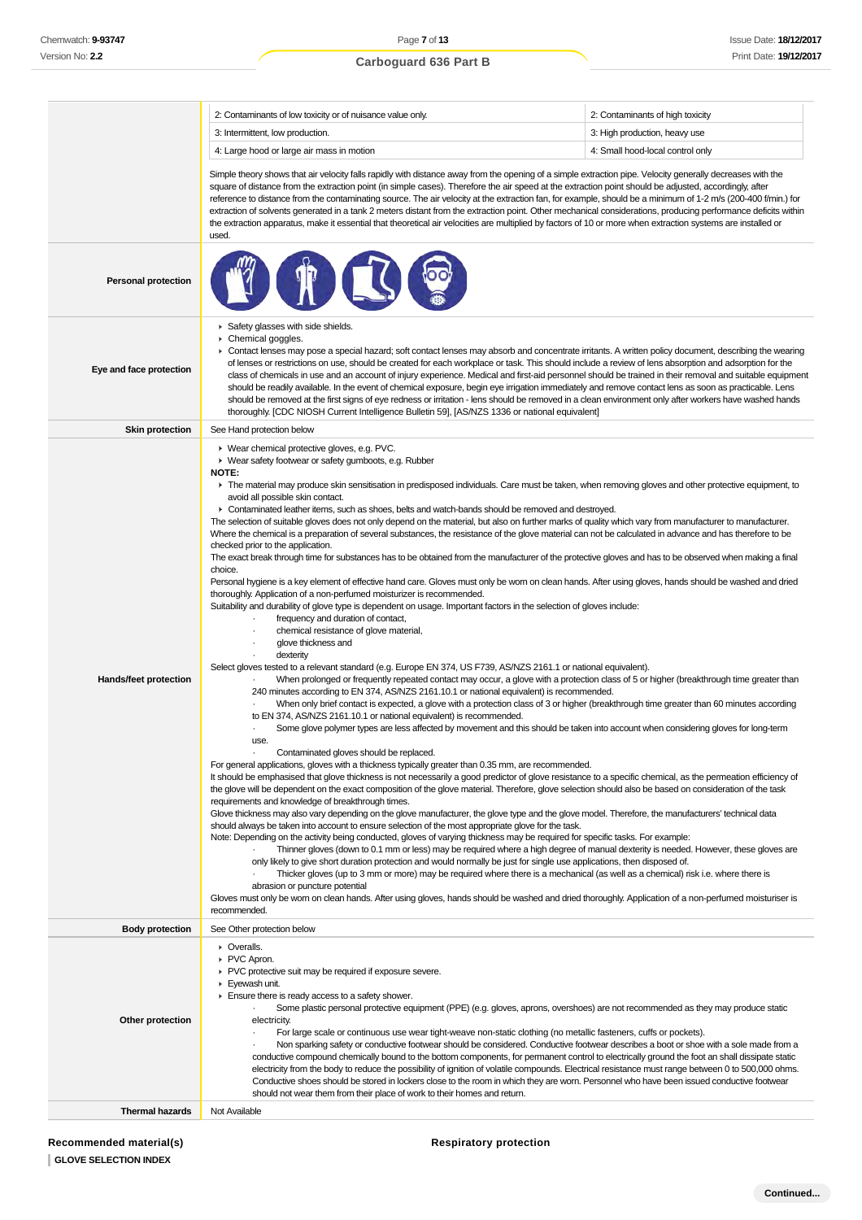### **Carboguard 636 Part B**

|                            | 2: Contaminants of low toxicity or of nuisance value only.                                                                                                                                                                                                                                                                                                                                                                                                                                                                                                                                                                                                                                                                                                                                                                                                                                                                                                                                                                                                                                                                                                                                                                                                                                                                                                                                                                                                                                                                                                                                                                                                                                                                                                                                                                                                                                                                                                                                                                                                                                                                                                                                                                                                                                                                                                                                                                                                                                                                                                                                                                                                                                                                                                                                                                                                                                                                                                                                                             | 2: Contaminants of high toxicity                                                                                                                                                                                                                                                                                                                                                                                                                                                                                                                                                                                                                                                                      |
|----------------------------|------------------------------------------------------------------------------------------------------------------------------------------------------------------------------------------------------------------------------------------------------------------------------------------------------------------------------------------------------------------------------------------------------------------------------------------------------------------------------------------------------------------------------------------------------------------------------------------------------------------------------------------------------------------------------------------------------------------------------------------------------------------------------------------------------------------------------------------------------------------------------------------------------------------------------------------------------------------------------------------------------------------------------------------------------------------------------------------------------------------------------------------------------------------------------------------------------------------------------------------------------------------------------------------------------------------------------------------------------------------------------------------------------------------------------------------------------------------------------------------------------------------------------------------------------------------------------------------------------------------------------------------------------------------------------------------------------------------------------------------------------------------------------------------------------------------------------------------------------------------------------------------------------------------------------------------------------------------------------------------------------------------------------------------------------------------------------------------------------------------------------------------------------------------------------------------------------------------------------------------------------------------------------------------------------------------------------------------------------------------------------------------------------------------------------------------------------------------------------------------------------------------------------------------------------------------------------------------------------------------------------------------------------------------------------------------------------------------------------------------------------------------------------------------------------------------------------------------------------------------------------------------------------------------------------------------------------------------------------------------------------------------------|-------------------------------------------------------------------------------------------------------------------------------------------------------------------------------------------------------------------------------------------------------------------------------------------------------------------------------------------------------------------------------------------------------------------------------------------------------------------------------------------------------------------------------------------------------------------------------------------------------------------------------------------------------------------------------------------------------|
|                            | 3: Intermittent, low production.                                                                                                                                                                                                                                                                                                                                                                                                                                                                                                                                                                                                                                                                                                                                                                                                                                                                                                                                                                                                                                                                                                                                                                                                                                                                                                                                                                                                                                                                                                                                                                                                                                                                                                                                                                                                                                                                                                                                                                                                                                                                                                                                                                                                                                                                                                                                                                                                                                                                                                                                                                                                                                                                                                                                                                                                                                                                                                                                                                                       | 3: High production, heavy use                                                                                                                                                                                                                                                                                                                                                                                                                                                                                                                                                                                                                                                                         |
|                            | 4: Large hood or large air mass in motion                                                                                                                                                                                                                                                                                                                                                                                                                                                                                                                                                                                                                                                                                                                                                                                                                                                                                                                                                                                                                                                                                                                                                                                                                                                                                                                                                                                                                                                                                                                                                                                                                                                                                                                                                                                                                                                                                                                                                                                                                                                                                                                                                                                                                                                                                                                                                                                                                                                                                                                                                                                                                                                                                                                                                                                                                                                                                                                                                                              | 4: Small hood-local control only                                                                                                                                                                                                                                                                                                                                                                                                                                                                                                                                                                                                                                                                      |
| <b>Personal protection</b> | Simple theory shows that air velocity falls rapidly with distance away from the opening of a simple extraction pipe. Velocity generally decreases with the<br>square of distance from the extraction point (in simple cases). Therefore the air speed at the extraction point should be adjusted, accordingly, after<br>reference to distance from the contaminating source. The air velocity at the extraction fan, for example, should be a minimum of 1-2 m/s (200-400 f/min.) for<br>extraction of solvents generated in a tank 2 meters distant from the extraction point. Other mechanical considerations, producing performance deficits within<br>the extraction apparatus, make it essential that theoretical air velocities are multiplied by factors of 10 or more when extraction systems are installed or<br>used.                                                                                                                                                                                                                                                                                                                                                                                                                                                                                                                                                                                                                                                                                                                                                                                                                                                                                                                                                                                                                                                                                                                                                                                                                                                                                                                                                                                                                                                                                                                                                                                                                                                                                                                                                                                                                                                                                                                                                                                                                                                                                                                                                                                        |                                                                                                                                                                                                                                                                                                                                                                                                                                                                                                                                                                                                                                                                                                       |
|                            |                                                                                                                                                                                                                                                                                                                                                                                                                                                                                                                                                                                                                                                                                                                                                                                                                                                                                                                                                                                                                                                                                                                                                                                                                                                                                                                                                                                                                                                                                                                                                                                                                                                                                                                                                                                                                                                                                                                                                                                                                                                                                                                                                                                                                                                                                                                                                                                                                                                                                                                                                                                                                                                                                                                                                                                                                                                                                                                                                                                                                        |                                                                                                                                                                                                                                                                                                                                                                                                                                                                                                                                                                                                                                                                                                       |
| Eye and face protection    | Safety glasses with side shields.<br>▶ Chemical goggles.<br>▶ Contact lenses may pose a special hazard; soft contact lenses may absorb and concentrate irritants. A written policy document, describing the wearing<br>of lenses or restrictions on use, should be created for each workplace or task. This should include a review of lens absorption and adsorption for the<br>should be readily available. In the event of chemical exposure, begin eye irrigation immediately and remove contact lens as soon as practicable. Lens<br>thoroughly. [CDC NIOSH Current Intelligence Bulletin 59], [AS/NZS 1336 or national equivalent]                                                                                                                                                                                                                                                                                                                                                                                                                                                                                                                                                                                                                                                                                                                                                                                                                                                                                                                                                                                                                                                                                                                                                                                                                                                                                                                                                                                                                                                                                                                                                                                                                                                                                                                                                                                                                                                                                                                                                                                                                                                                                                                                                                                                                                                                                                                                                                               | class of chemicals in use and an account of injury experience. Medical and first-aid personnel should be trained in their removal and suitable equipment<br>should be removed at the first signs of eye redness or irritation - lens should be removed in a clean environment only after workers have washed hands                                                                                                                                                                                                                                                                                                                                                                                    |
| <b>Skin protection</b>     | See Hand protection below                                                                                                                                                                                                                                                                                                                                                                                                                                                                                                                                                                                                                                                                                                                                                                                                                                                                                                                                                                                                                                                                                                                                                                                                                                                                                                                                                                                                                                                                                                                                                                                                                                                                                                                                                                                                                                                                                                                                                                                                                                                                                                                                                                                                                                                                                                                                                                                                                                                                                                                                                                                                                                                                                                                                                                                                                                                                                                                                                                                              |                                                                                                                                                                                                                                                                                                                                                                                                                                                                                                                                                                                                                                                                                                       |
| Hands/feet protection      | ▶ Wear chemical protective gloves, e.g. PVC.<br>• Wear safety footwear or safety gumboots, e.g. Rubber<br><b>NOTE:</b><br>The material may produce skin sensitisation in predisposed individuals. Care must be taken, when removing gloves and other protective equipment, to<br>avoid all possible skin contact.<br>• Contaminated leather items, such as shoes, belts and watch-bands should be removed and destroyed.<br>The selection of suitable gloves does not only depend on the material, but also on further marks of quality which vary from manufacturer to manufacturer.<br>Where the chemical is a preparation of several substances, the resistance of the glove material can not be calculated in advance and has therefore to be<br>checked prior to the application.<br>The exact break through time for substances has to be obtained from the manufacturer of the protective gloves and has to be observed when making a final<br>choice.<br>Personal hygiene is a key element of effective hand care. Gloves must only be worn on clean hands. After using gloves, hands should be washed and dried<br>thoroughly. Application of a non-perfumed moisturizer is recommended.<br>Suitability and durability of glove type is dependent on usage. Important factors in the selection of gloves include:<br>frequency and duration of contact,<br>chemical resistance of glove material,<br>glove thickness and<br>dexterity<br>Select gloves tested to a relevant standard (e.g. Europe EN 374, US F739, AS/NZS 2161.1 or national equivalent).<br>240 minutes according to EN 374, AS/NZS 2161.10.1 or national equivalent) is recommended.<br>to EN 374, AS/NZS 2161.10.1 or national equivalent) is recommended.<br>use.<br>Contaminated gloves should be replaced.<br>For general applications, gloves with a thickness typically greater than 0.35 mm, are recommended.<br>It should be emphasised that glove thickness is not necessarily a good predictor of glove resistance to a specific chemical, as the permeation efficiency of<br>the glove will be dependent on the exact composition of the glove material. Therefore, glove selection should also be based on consideration of the task<br>requirements and knowledge of breakthrough times.<br>Glove thickness may also vary depending on the glove manufacturer, the glove type and the glove model. Therefore, the manufacturers' technical data<br>should always be taken into account to ensure selection of the most appropriate glove for the task.<br>Note: Depending on the activity being conducted, gloves of varying thickness may be required for specific tasks. For example:<br>only likely to give short duration protection and would normally be just for single use applications, then disposed of.<br>abrasion or puncture potential<br>Gloves must only be worn on clean hands. After using gloves, hands should be washed and dried thoroughly. Application of a non-perfumed moisturiser is<br>recommended. | When prolonged or frequently repeated contact may occur, a glove with a protection class of 5 or higher (breakthrough time greater than<br>When only brief contact is expected, a glove with a protection class of 3 or higher (breakthrough time greater than 60 minutes according<br>Some glove polymer types are less affected by movement and this should be taken into account when considering gloves for long-term<br>Thinner gloves (down to 0.1 mm or less) may be required where a high degree of manual dexterity is needed. However, these gloves are<br>Thicker gloves (up to 3 mm or more) may be required where there is a mechanical (as well as a chemical) risk i.e. where there is |
| <b>Body protection</b>     | See Other protection below                                                                                                                                                                                                                                                                                                                                                                                                                                                                                                                                                                                                                                                                                                                                                                                                                                                                                                                                                                                                                                                                                                                                                                                                                                                                                                                                                                                                                                                                                                                                                                                                                                                                                                                                                                                                                                                                                                                                                                                                                                                                                                                                                                                                                                                                                                                                                                                                                                                                                                                                                                                                                                                                                                                                                                                                                                                                                                                                                                                             |                                                                                                                                                                                                                                                                                                                                                                                                                                                                                                                                                                                                                                                                                                       |
| Other protection           | • Overalls.<br>▶ PVC Apron.<br>• PVC protective suit may be required if exposure severe.<br>Eyewash unit.<br>Ensure there is ready access to a safety shower.<br>Some plastic personal protective equipment (PPE) (e.g. gloves, aprons, overshoes) are not recommended as they may produce static<br>electricity.<br>For large scale or continuous use wear tight-weave non-static clothing (no metallic fasteners, cuffs or pockets).<br>Non sparking safety or conductive footwear should be considered. Conductive footwear describes a boot or shoe with a sole made from a<br>conductive compound chemically bound to the bottom components, for permanent control to electrically ground the foot an shall dissipate static<br>electricity from the body to reduce the possibility of ignition of volatile compounds. Electrical resistance must range between 0 to 500,000 ohms.<br>Conductive shoes should be stored in lockers close to the room in which they are worn. Personnel who have been issued conductive footwear                                                                                                                                                                                                                                                                                                                                                                                                                                                                                                                                                                                                                                                                                                                                                                                                                                                                                                                                                                                                                                                                                                                                                                                                                                                                                                                                                                                                                                                                                                                                                                                                                                                                                                                                                                                                                                                                                                                                                                                   |                                                                                                                                                                                                                                                                                                                                                                                                                                                                                                                                                                                                                                                                                                       |
| Thermal hazards            | should not wear them from their place of work to their homes and return.<br>Not Available                                                                                                                                                                                                                                                                                                                                                                                                                                                                                                                                                                                                                                                                                                                                                                                                                                                                                                                                                                                                                                                                                                                                                                                                                                                                                                                                                                                                                                                                                                                                                                                                                                                                                                                                                                                                                                                                                                                                                                                                                                                                                                                                                                                                                                                                                                                                                                                                                                                                                                                                                                                                                                                                                                                                                                                                                                                                                                                              |                                                                                                                                                                                                                                                                                                                                                                                                                                                                                                                                                                                                                                                                                                       |

### **Respiratory protection**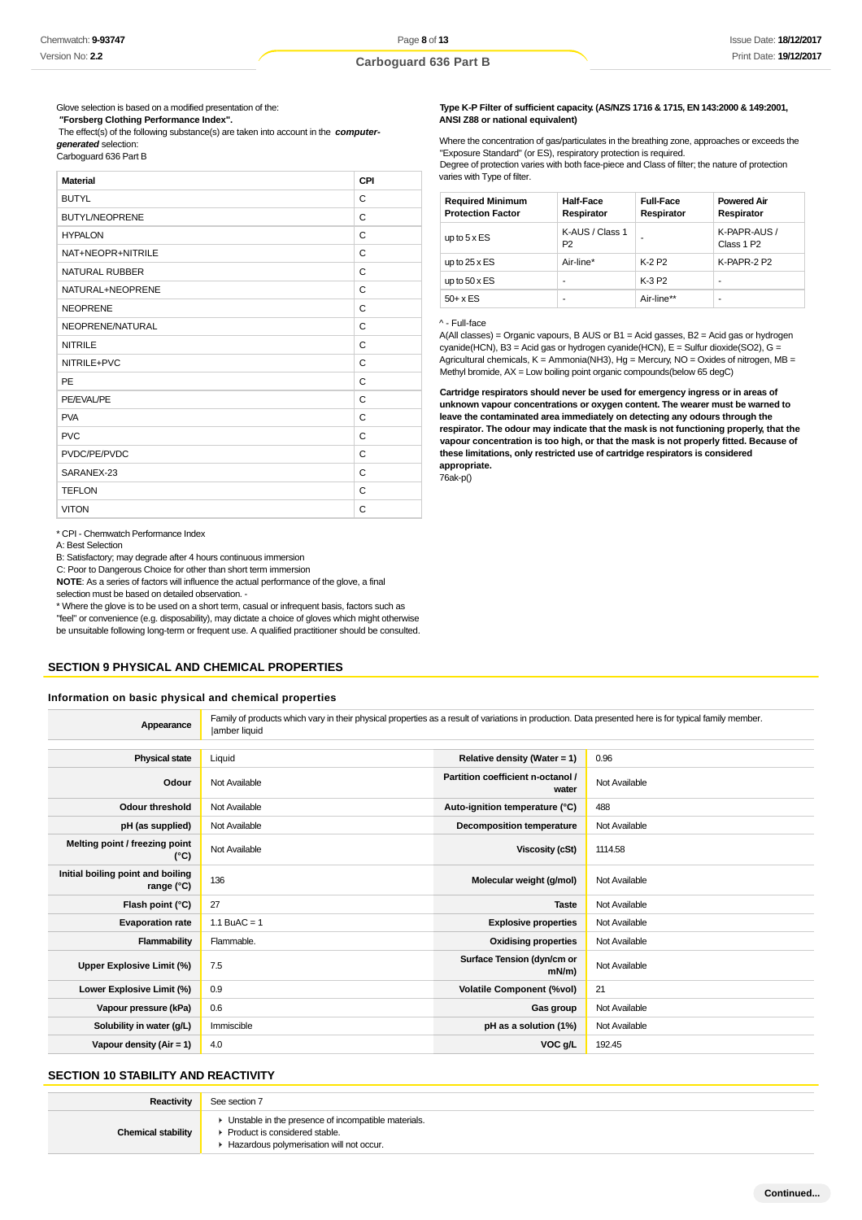Glove selection is based on a modified presentation of the:  **"Forsberg Clothing Performance Index".**

 The effect(s) of the following substance(s) are taken into account in the **computergenerated** selection:

Carboguard 636 Part B

| <b>Material</b>       | CPI          |
|-----------------------|--------------|
| <b>BUTYL</b>          | C            |
| <b>BUTYL/NEOPRENE</b> | C            |
| <b>HYPALON</b>        | $\mathsf{C}$ |
| NAT+NEOPR+NITRILE     | $\mathsf{C}$ |
| <b>NATURAL RUBBER</b> | $\mathsf{C}$ |
| NATURAL+NEOPRENE      | C            |
| <b>NEOPRENE</b>       | C            |
| NEOPRENE/NATURAL      | C            |
| <b>NITRILE</b>        | C            |
| NITRILE+PVC           | $\mathsf{C}$ |
| <b>PE</b>             | $\mathsf{C}$ |
| PE/EVAL/PE            | C            |
| <b>PVA</b>            | $\mathsf{C}$ |
| <b>PVC</b>            | $\mathsf{C}$ |
| PVDC/PE/PVDC          | C            |
| SARANEX-23            | $\mathsf{C}$ |
| <b>TEFLON</b>         | C            |
| <b>VITON</b>          | C            |

\* CPI - Chemwatch Performance Index

A: Best Selection

B: Satisfactory; may degrade after 4 hours continuous immersion

C: Poor to Dangerous Choice for other than short term immersion

**NOTE**: As a series of factors will influence the actual performance of the glove, a final selection must be based on detailed observation. -

\* Where the glove is to be used on a short term, casual or infrequent basis, factors such as

"feel" or convenience (e.g. disposability), may dictate a choice of gloves which might otherwise be unsuitable following long-term or frequent use. A qualified practitioner should be consulted.

### **SECTION 9 PHYSICAL AND CHEMICAL PROPERTIES**

#### **Information on basic physical and chemical properties**

**Appearance** Family of products which vary in their physical properties as a result of variations in production. Data presented here is for typical family member. |amber liquid

| <b>Physical state</b>                             | Liquid         | Relative density (Water = 1)               | 0.96          |
|---------------------------------------------------|----------------|--------------------------------------------|---------------|
| Odour                                             | Not Available  | Partition coefficient n-octanol /<br>water | Not Available |
| Odour threshold                                   | Not Available  | Auto-ignition temperature (°C)             | 488           |
| pH (as supplied)                                  | Not Available  | <b>Decomposition temperature</b>           | Not Available |
| Melting point / freezing point<br>$(^{\circ}C)$   | Not Available  | <b>Viscosity (cSt)</b>                     | 1114.58       |
| Initial boiling point and boiling<br>range $(°C)$ | 136            | Molecular weight (g/mol)                   | Not Available |
| Flash point (°C)                                  | 27             | <b>Taste</b>                               | Not Available |
| <b>Evaporation rate</b>                           | 1.1 BuAC = $1$ | <b>Explosive properties</b>                | Not Available |
| Flammability                                      | Flammable.     | <b>Oxidising properties</b>                | Not Available |
| Upper Explosive Limit (%)                         | 7.5            | Surface Tension (dyn/cm or<br>$mN/m$ )     | Not Available |
| Lower Explosive Limit (%)                         | 0.9            | <b>Volatile Component (%vol)</b>           | 21            |
| Vapour pressure (kPa)                             | 0.6            | Gas group                                  | Not Available |
| Solubility in water (g/L)                         | Immiscible     | pH as a solution (1%)                      | Not Available |
| Vapour density $(Air = 1)$                        | 4.0            | VOC <sub>g</sub> /L                        | 192.45        |

### **SECTION 10 STABILITY AND REACTIVITY**

| <b>Reactivity</b>         | See section 7                                                                                                                        |
|---------------------------|--------------------------------------------------------------------------------------------------------------------------------------|
| <b>Chemical stability</b> | • Unstable in the presence of incompatible materials.<br>▶ Product is considered stable.<br>Hazardous polymerisation will not occur. |

#### **Type K-P Filter of sufficient capacity. (AS/NZS 1716 & 1715, EN 143:2000 & 149:2001, ANSI Z88 or national equivalent)**

Where the concentration of gas/particulates in the breathing zone, approaches or exceeds the "Exposure Standard" (or ES), respiratory protection is required. Degree of protection varies with both face-piece and Class of filter; the nature of protection varies with Type of filter.

| <b>Required Minimum</b><br><b>Protection Factor</b> | <b>Half-Face</b><br>Respirator    | <b>Full-Face</b><br>Respirator | <b>Powered Air</b><br>Respirator       |
|-----------------------------------------------------|-----------------------------------|--------------------------------|----------------------------------------|
| up to $5 \times ES$                                 | K-AUS / Class 1<br>P <sub>2</sub> |                                | K-PAPR-AUS /<br>Class 1 P <sub>2</sub> |
| up to $25 \times ES$                                | Air-line*                         | K-2 P <sub>2</sub>             | K-PAPR-2 P2                            |
| up to $50 \times ES$                                | -                                 | K-3 P2                         | ۰                                      |
| $50+ x ES$                                          | -                                 | Air-line**                     |                                        |

#### ^ - Full-face

A(All classes) = Organic vapours, B AUS or B1 = Acid gasses, B2 = Acid gas or hydrogen cyanide(HCN), B3 = Acid gas or hydrogen cyanide(HCN), E = Sulfur dioxide(SO2), G = Agricultural chemicals, K = Ammonia(NH3), Hg = Mercury, NO = Oxides of nitrogen, MB = Methyl bromide, AX = Low boiling point organic compounds(below 65 degC)

**Cartridge respirators should never be used for emergency ingress or in areas of unknown vapour concentrations or oxygen content. The wearer must be warned to leave the contaminated area immediately on detecting any odours through the respirator. The odour may indicate that the mask is not functioning properly, that the vapour concentration is too high, or that the mask is not properly fitted. Because of these limitations, only restricted use of cartridge respirators is considered appropriate.**

76ak-p()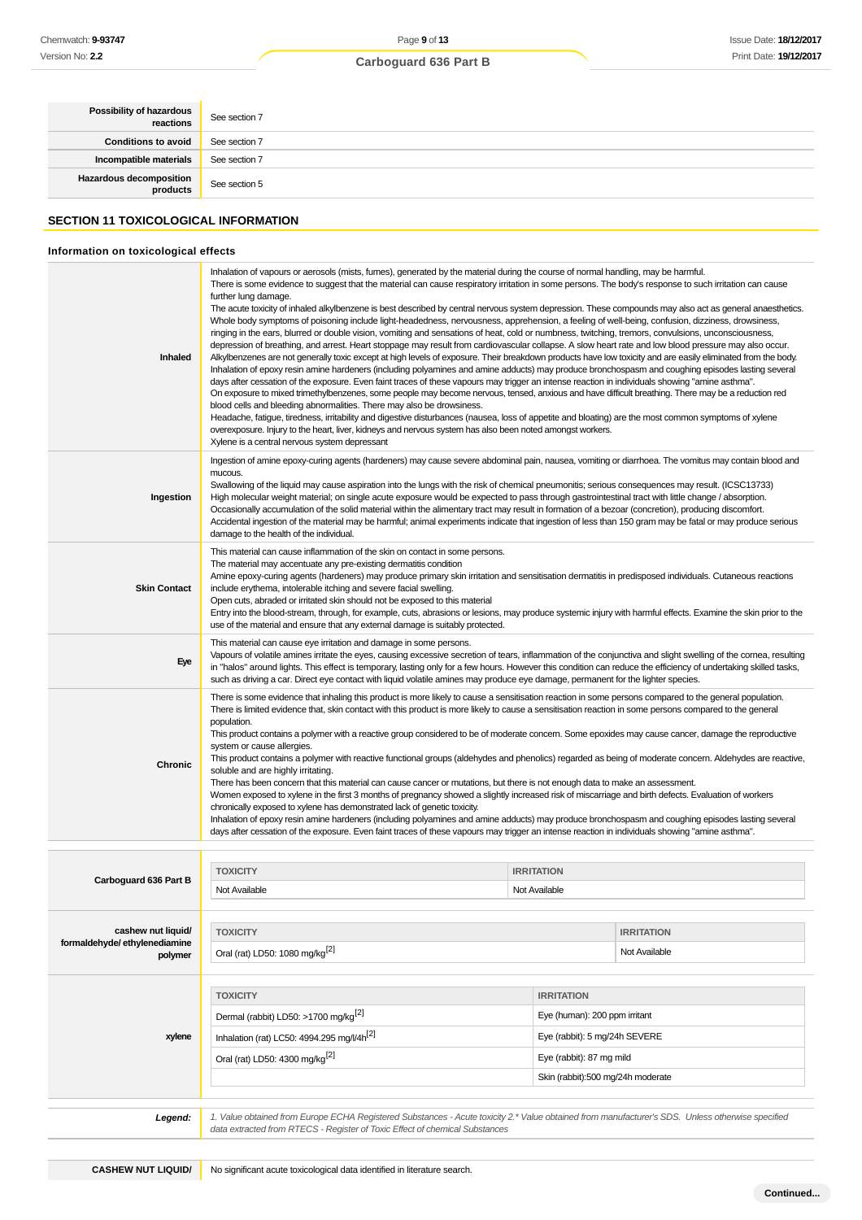| <b>Possibility of hazardous</b> | See section 7 |
|---------------------------------|---------------|
| <b>Conditions to avoid</b>      | See section 7 |
| Incompatible materials          | See section 7 |
| Hazardous decomposition         | See section 5 |
|                                 |               |

## **SECTION 11 TOXICOLOGICAL INFORMATION**

### **Information on toxicological effects**

| Inhaled                                                       | Inhalation of vapours or aerosols (mists, fumes), generated by the material during the course of normal handling, may be harmful.<br>There is some evidence to suggest that the material can cause respiratory irritation in some persons. The body's response to such irritation can cause<br>further lung damage.<br>The acute toxicity of inhaled alkylbenzene is best described by central nervous system depression. These compounds may also act as general anaesthetics.<br>Whole body symptoms of poisoning include light-headedness, nervousness, apprehension, a feeling of well-being, confusion, dizziness, drowsiness,<br>ringing in the ears, blurred or double vision, vomiting and sensations of heat, cold or numbness, twitching, tremors, convulsions, unconsciousness,<br>depression of breathing, and arrest. Heart stoppage may result from cardiovascular collapse. A slow heart rate and low blood pressure may also occur.<br>Alkylbenzenes are not generally toxic except at high levels of exposure. Their breakdown products have low toxicity and are easily eliminated from the body.<br>Inhalation of epoxy resin amine hardeners (including polyamines and amine adducts) may produce bronchospasm and coughing episodes lasting several<br>days after cessation of the exposure. Even faint traces of these vapours may trigger an intense reaction in individuals showing "amine asthma".<br>On exposure to mixed trimethylbenzenes, some people may become nervous, tensed, anxious and have difficult breathing. There may be a reduction red<br>blood cells and bleeding abnormalities. There may also be drowsiness.<br>Headache, fatigue, tiredness, irritability and digestive disturbances (nausea, loss of appetite and bloating) are the most common symptoms of xylene<br>overexposure. Injury to the heart, liver, kidneys and nervous system has also been noted amongst workers.<br>Xylene is a central nervous system depressant |  |                                    |
|---------------------------------------------------------------|----------------------------------------------------------------------------------------------------------------------------------------------------------------------------------------------------------------------------------------------------------------------------------------------------------------------------------------------------------------------------------------------------------------------------------------------------------------------------------------------------------------------------------------------------------------------------------------------------------------------------------------------------------------------------------------------------------------------------------------------------------------------------------------------------------------------------------------------------------------------------------------------------------------------------------------------------------------------------------------------------------------------------------------------------------------------------------------------------------------------------------------------------------------------------------------------------------------------------------------------------------------------------------------------------------------------------------------------------------------------------------------------------------------------------------------------------------------------------------------------------------------------------------------------------------------------------------------------------------------------------------------------------------------------------------------------------------------------------------------------------------------------------------------------------------------------------------------------------------------------------------------------------------------------------------------------------------------------------------|--|------------------------------------|
| Ingestion                                                     | Ingestion of amine epoxy-curing agents (hardeners) may cause severe abdominal pain, nausea, vomiting or diarrhoea. The vomitus may contain blood and<br>mucous.<br>Swallowing of the liquid may cause aspiration into the lungs with the risk of chemical pneumonitis; serious consequences may result. (ICSC13733)<br>High molecular weight material; on single acute exposure would be expected to pass through gastrointestinal tract with little change / absorption.<br>Occasionally accumulation of the solid material within the alimentary tract may result in formation of a bezoar (concretion), producing discomfort.<br>Accidental ingestion of the material may be harmful; animal experiments indicate that ingestion of less than 150 gram may be fatal or may produce serious<br>damage to the health of the individual.                                                                                                                                                                                                                                                                                                                                                                                                                                                                                                                                                                                                                                                                                                                                                                                                                                                                                                                                                                                                                                                                                                                                         |  |                                    |
| <b>Skin Contact</b>                                           | This material can cause inflammation of the skin on contact in some persons.<br>The material may accentuate any pre-existing dermatitis condition<br>Amine epoxy-curing agents (hardeners) may produce primary skin irritation and sensitisation dermatitis in predisposed individuals. Cutaneous reactions<br>include erythema, intolerable itching and severe facial swelling.<br>Open cuts, abraded or irritated skin should not be exposed to this material<br>Entry into the blood-stream, through, for example, cuts, abrasions or lesions, may produce systemic injury with harmful effects. Examine the skin prior to the<br>use of the material and ensure that any external damage is suitably protected.                                                                                                                                                                                                                                                                                                                                                                                                                                                                                                                                                                                                                                                                                                                                                                                                                                                                                                                                                                                                                                                                                                                                                                                                                                                              |  |                                    |
| Eye                                                           | This material can cause eye irritation and damage in some persons.<br>Vapours of volatile amines irritate the eyes, causing excessive secretion of tears, inflammation of the conjunctiva and slight swelling of the cornea, resulting<br>in "halos" around lights. This effect is temporary, lasting only for a few hours. However this condition can reduce the efficiency of undertaking skilled tasks,<br>such as driving a car. Direct eye contact with liquid volatile amines may produce eye damage, permanent for the lighter species.                                                                                                                                                                                                                                                                                                                                                                                                                                                                                                                                                                                                                                                                                                                                                                                                                                                                                                                                                                                                                                                                                                                                                                                                                                                                                                                                                                                                                                   |  |                                    |
| Chronic                                                       | There is some evidence that inhaling this product is more likely to cause a sensitisation reaction in some persons compared to the general population.<br>There is limited evidence that, skin contact with this product is more likely to cause a sensitisation reaction in some persons compared to the general<br>population.<br>This product contains a polymer with a reactive group considered to be of moderate concern. Some epoxides may cause cancer, damage the reproductive<br>system or cause allergies.<br>This product contains a polymer with reactive functional groups (aldehydes and phenolics) regarded as being of moderate concern. Aldehydes are reactive,<br>soluble and are highly irritating.<br>There has been concern that this material can cause cancer or mutations, but there is not enough data to make an assessment.<br>Women exposed to xylene in the first 3 months of pregnancy showed a slightly increased risk of miscarriage and birth defects. Evaluation of workers<br>chronically exposed to xylene has demonstrated lack of genetic toxicity.<br>Inhalation of epoxy resin amine hardeners (including polyamines and amine adducts) may produce bronchospasm and coughing episodes lasting several<br>days after cessation of the exposure. Even faint traces of these vapours may trigger an intense reaction in individuals showing "amine asthma".                                                                                                                                                                                                                                                                                                                                                                                                                                                                                                                                                                               |  |                                    |
|                                                               |                                                                                                                                                                                                                                                                                                                                                                                                                                                                                                                                                                                                                                                                                                                                                                                                                                                                                                                                                                                                                                                                                                                                                                                                                                                                                                                                                                                                                                                                                                                                                                                                                                                                                                                                                                                                                                                                                                                                                                                  |  |                                    |
| Carboguard 636 Part B                                         | <b>TOXICITY</b><br><b>IRRITATION</b><br>Not Available<br>Not Available                                                                                                                                                                                                                                                                                                                                                                                                                                                                                                                                                                                                                                                                                                                                                                                                                                                                                                                                                                                                                                                                                                                                                                                                                                                                                                                                                                                                                                                                                                                                                                                                                                                                                                                                                                                                                                                                                                           |  |                                    |
| cashew nut liquid/<br>formaldehyde/ethylenediamine<br>polymer | <b>TOXICITY</b><br>Oral (rat) LD50: 1080 mg/kg <sup>[2]</sup>                                                                                                                                                                                                                                                                                                                                                                                                                                                                                                                                                                                                                                                                                                                                                                                                                                                                                                                                                                                                                                                                                                                                                                                                                                                                                                                                                                                                                                                                                                                                                                                                                                                                                                                                                                                                                                                                                                                    |  | <b>IRRITATION</b><br>Not Available |
| xylene                                                        | <b>TOXICITY</b><br><b>IRRITATION</b><br>Dermal (rabbit) LD50: >1700 mg/kg <sup>[2]</sup><br>Eye (human): 200 ppm irritant<br>Inhalation (rat) LC50: 4994.295 mg/l/4h <sup>[2]</sup><br>Eye (rabbit): 5 mg/24h SEVERE<br>Oral (rat) LD50: 4300 mg/kg <sup>[2]</sup><br>Eye (rabbit): 87 mg mild<br>Skin (rabbit):500 mg/24h moderate                                                                                                                                                                                                                                                                                                                                                                                                                                                                                                                                                                                                                                                                                                                                                                                                                                                                                                                                                                                                                                                                                                                                                                                                                                                                                                                                                                                                                                                                                                                                                                                                                                              |  |                                    |
| Legend:                                                       | 1. Value obtained from Europe ECHA Registered Substances - Acute toxicity 2.* Value obtained from manufacturer's SDS. Unless otherwise specified<br>data extracted from RTECS - Register of Toxic Effect of chemical Substances                                                                                                                                                                                                                                                                                                                                                                                                                                                                                                                                                                                                                                                                                                                                                                                                                                                                                                                                                                                                                                                                                                                                                                                                                                                                                                                                                                                                                                                                                                                                                                                                                                                                                                                                                  |  |                                    |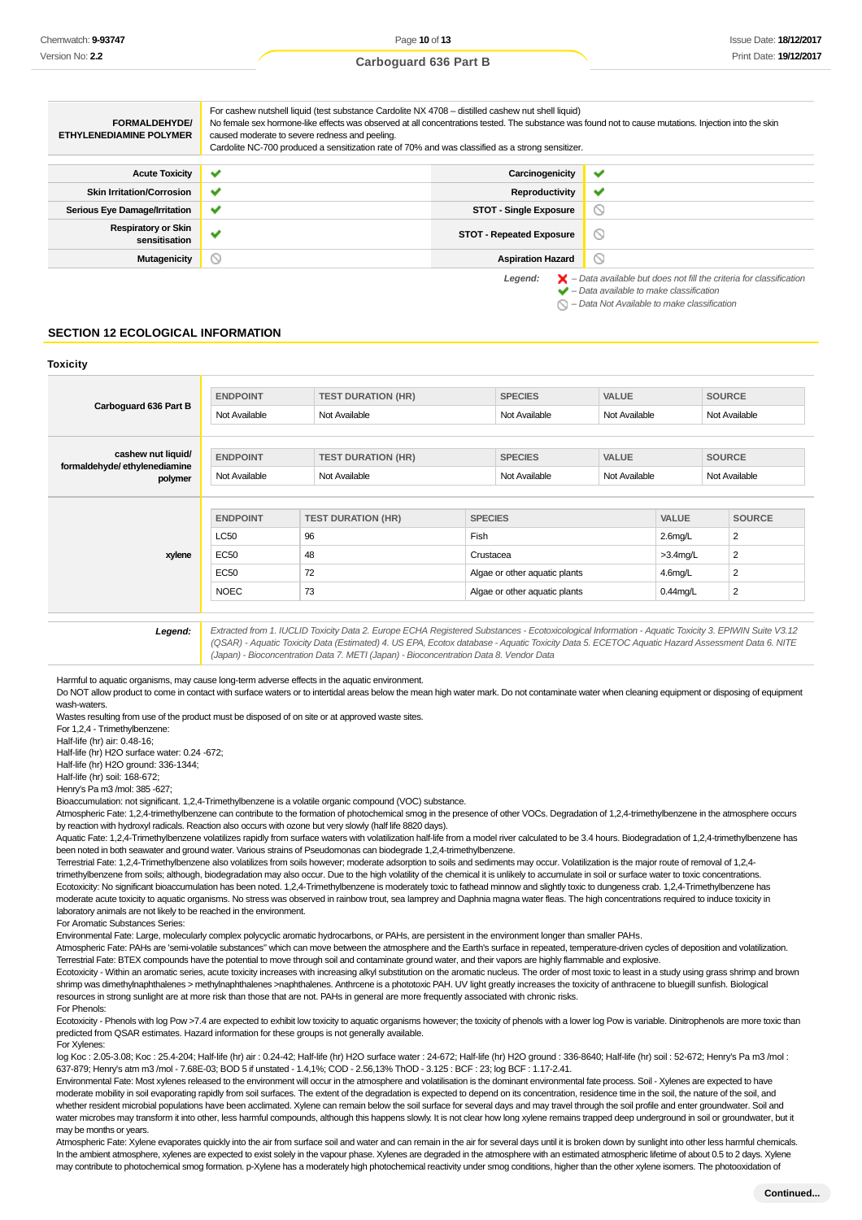Page **10** of **13 Carboguard 636 Part B**

#### For cashew nutshell liquid (test substance Cardolite NX 4708 – distilled cashew nut shell liquid) **FORMALDEHYDE/** No female sex hormone-like effects was observed at all concentrations tested. The substance was found not to cause mutations. Injection into the skin **ETHYLENEDIAMINE POLYMER** caused moderate to severe redness and peeling. Cardolite NC-700 produced a sensitization rate of 70% and was classified as a strong sensitizer. **Acute Toxicity Carcinogenicity** w **Skin Irritation/Corrosion ● ◆ Productivity** Productivity U **Serious Eye Damage/Irritation STOT** - Single Exposure  $\circ$ **Respiratory or Skin**  $\circ$ **sensitisation v sensitisation sensitisation sensitisation sensitisation v Mutagenicity Aspiration Hazard**  $\circ$ Legend:  $\blacktriangleright$  - Data available but does not fill the criteria for classification  $\blacktriangleright$  – Data available to make classification

#### $\bigcirc$  – Data Not Available to make classification

### **SECTION 12 ECOLOGICAL INFORMATION**

#### **Toxicity**

| Carboguard 636 Part B                                         | <b>ENDPOINT</b><br>Not Available | <b>TEST DURATION (HR)</b><br>Not Available |                   | <b>SPECIES</b><br>Not Available | <b>VALUE</b><br>Not Available |                           | <b>SOURCE</b><br>Not Available |  |
|---------------------------------------------------------------|----------------------------------|--------------------------------------------|-------------------|---------------------------------|-------------------------------|---------------------------|--------------------------------|--|
| cashew nut liquid/<br>formaldehyde/ethylenediamine<br>polymer | <b>ENDPOINT</b><br>Not Available | <b>TEST DURATION (HR)</b><br>Not Available |                   | <b>SPECIES</b><br>Not Available | <b>VALUE</b><br>Not Available |                           | <b>SOURCE</b><br>Not Available |  |
|                                                               | <b>ENDPOINT</b>                  | <b>TEST DURATION (HR)</b>                  | <b>SPECIES</b>    |                                 |                               | <b>VALUE</b>              | <b>SOURCE</b>                  |  |
| xylene                                                        | <b>LC50</b><br>EC50              | 96<br>48                                   | Fish<br>Crustacea |                                 |                               | $2.6$ mg/L<br>$>3.4$ mg/L | 2<br>2                         |  |
|                                                               | <b>EC50</b>                      | 72                                         |                   | Algae or other aquatic plants   |                               | $4.6$ mg/L                | 2                              |  |
|                                                               | <b>NOEC</b>                      | 73                                         |                   | Algae or other aquatic plants   |                               | $0.44$ mg/L               | $\overline{2}$                 |  |

**Legend:** Extracted from 1. IUCLID Toxicity Data 2. Europe ECHA Registered Substances - Ecotoxicological Information - Aquatic Toxicity 3. EPIWIN Suite V3.12 (QSAR) - Aquatic Toxicity Data (Estimated) 4. US EPA, Ecotox database - Aquatic Toxicity Data 5. ECETOC Aquatic Hazard Assessment Data 6. NITE (Japan) - Bioconcentration Data 7. METI (Japan) - Bioconcentration Data 8. Vendor Data

Harmful to aquatic organisms, may cause long-term adverse effects in the aquatic environment.

Do NOT allow product to come in contact with surface waters or to intertidal areas below the mean high water mark. Do not contaminate water when cleaning equipment or disposing of equipment wash-waters.

Wastes resulting from use of the product must be disposed of on site or at approved waste sites. For 1,2,4 - Trimethylbenzene:

Half-life (hr) air: 0.48-16;

Half-life (hr) H2O surface water: 0.24 -672; Half-life (hr) H2O ground: 336-1344;

Half-life (hr) soil: 168-672;

Henry's Pa m3 /mol: 385 -627;

Bioaccumulation: not significant. 1,2,4-Trimethylbenzene is a volatile organic compound (VOC) substance.

Atmospheric Fate: 1,2,4-trimethylbenzene can contribute to the formation of photochemical smog in the presence of other VOCs. Degradation of 1,2,4-trimethylbenzene in the atmosphere occurs by reaction with hydroxyl radicals. Reaction also occurs with ozone but very slowly (half life 8820 days).

Aquatic Fate: 1,2,4-Trimethylbenzene volatilizes rapidly from surface waters with volatilization half-life from a model river calculated to be 3.4 hours. Biodegradation of 1,2,4-trimethylbenzene has been noted in both seawater and ground water. Various strains of Pseudomonas can biodegrade 1,2,4-trimethylbenzene.

Terrestrial Fate: 1,2,4-Trimethylbenzene also volatilizes from soils however; moderate adsorption to soils and sediments may occur. Volatilization is the major route of removal of 1,2,4 trimethylbenzene from soils; although, biodegradation may also occur. Due to the high volatility of the chemical it is unlikely to accumulate in soil or surface water to toxic concentrations. Ecotoxicity: No significant bioaccumulation has been noted. 1,2,4-Trimethylbenzene is moderately toxic to fathead minnow and slightly toxic to dungeness crab. 1,2,4-Trimethylbenzene has moderate acute toxicity to aquatic organisms. No stress was observed in rainbow trout, sea lamprey and Daphnia magna water fleas. The high concentrations required to induce toxicity in laboratory animals are not likely to be reached in the environment.

For Aromatic Substances Series:

Environmental Fate: Large, molecularly complex polycyclic aromatic hydrocarbons, or PAHs, are persistent in the environment longer than smaller PAHs.

Atmospheric Fate: PAHs are 'semi-volatile substances" which can move between the atmosphere and the Earth's surface in repeated, temperature-driven cycles of deposition and volatilization. Terrestrial Fate: BTEX compounds have the potential to move through soil and contaminate ground water, and their vapors are highly flammable and explosive.

Ecotoxicity - Within an aromatic series, acute toxicity increases with increasing alkyl substitution on the aromatic nucleus. The order of most toxic to least in a study using grass shrimp and brown shrimp was dimethylnaphthalenes > methylnaphthalenes >naphthalenes. Anthrcene is a phototoxic PAH. UV light greatly increases the toxicity of anthracene to bluegill sunfish. Biological resources in strong sunlight are at more risk than those that are not. PAHs in general are more frequently associated with chronic risks. For Phenols:

Ecotoxicity - Phenols with log Pow >7.4 are expected to exhibit low toxicity to aquatic organisms however; the toxicity of phenols with a lower log Pow is variable. Dinitrophenols are more toxic than predicted from QSAR estimates. Hazard information for these groups is not generally available. For Xylenes:

log Koc : 2.05-3.08; Koc : 25.4-204; Half-life (hr) air : 0.24-42; Half-life (hr) H2O surface water : 24-672; Half-life (hr) H2O ground : 336-8640; Half-life (hr) soil : 52-672; Henry's Pa m3 /mol : 637-879; Henry's atm m3 /mol - 7.68E-03; BOD 5 if unstated - 1.4,1%; COD - 2.56,13% ThOD - 3.125 : BCF : 23; log BCF : 1.17-2.41.

Environmental Fate: Most xylenes released to the environment will occur in the atmosphere and volatilisation is the dominant environmental fate process. Soil - Xylenes are expected to have moderate mobility in soil evaporating rapidly from soil surfaces. The extent of the degradation is expected to depend on its concentration, residence time in the soil, the nature of the soil, and whether resident microbial populations have been acclimated. Xylene can remain below the soil surface for several days and may travel through the soil profile and enter groundwater. Soil and water microbes may transform it into other, less harmful compounds, although this happens slowly. It is not clear how long xylene remains trapped deep underground in soil or groundwater, but it may be months or years.

Atmospheric Fate: Xylene evaporates quickly into the air from surface soil and water and can remain in the air for several days until it is broken down by sunlight into other less harmful chemicals. In the ambient atmosphere, xylenes are expected to exist solely in the vapour phase. Xylenes are degraded in the atmosphere with an estimated atmospheric lifetime of about 0.5 to 2 days. Xylene may contribute to photochemical smog formation. p-Xylene has a moderately high photochemical reactivity under smog conditions, higher than the other xylene isomers. The photooxidation of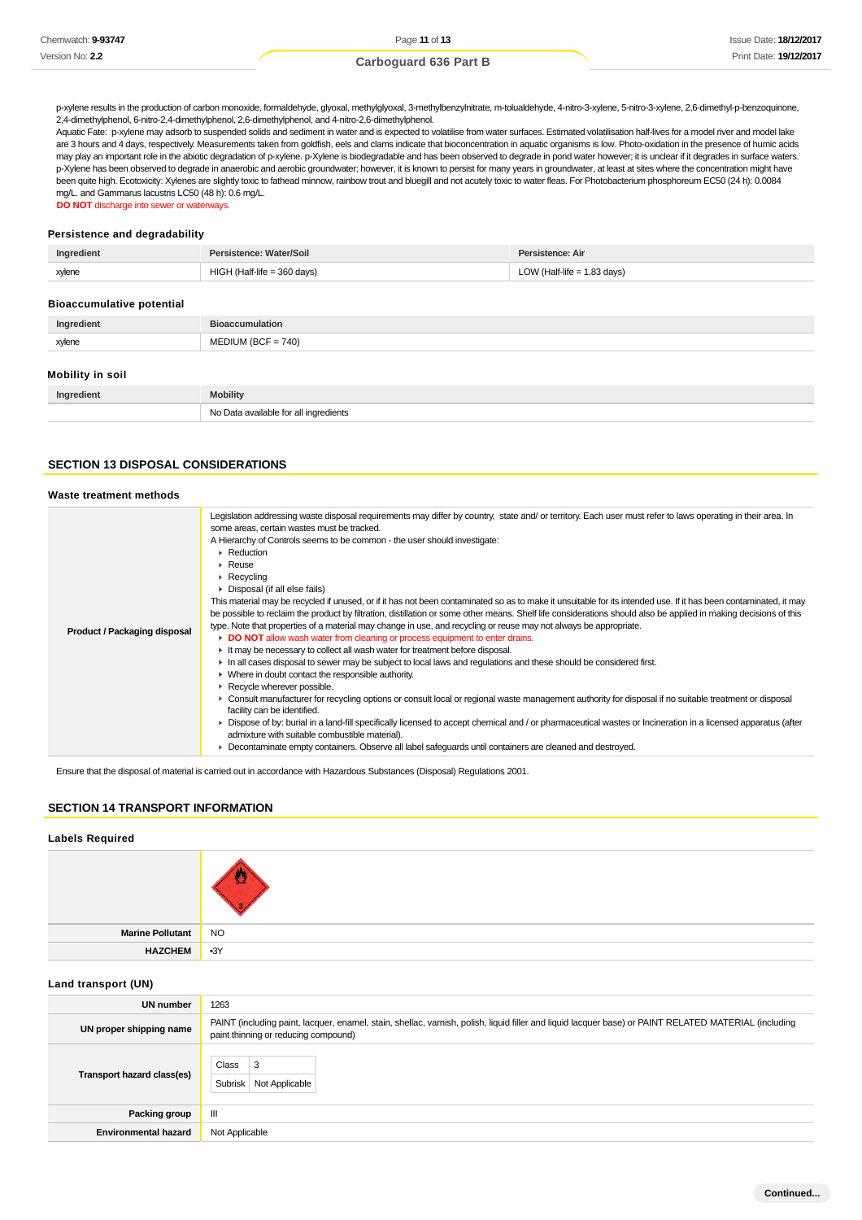p-xylene results in the production of carbon monoxide, formaldehyde, glyoxal, methylglyoxal, 3-methylbenzylnitrate, m-tolualdehyde, 4-nitro-3-xylene, 5-nitro-3-xylene, 2,6-dimethyl-p-benzoquinone, 2,4-dimethylphenol, 6-nitro-2,4-dimethylphenol, 2,6-dimethylphenol, and 4-nitro-2,6-dimethylphenol.

Aquatic Fate: p-xylene may adsorb to suspended solids and sediment in water and is expected to volatilise from water surfaces. Estimated volatilisation half-lives for a model river and model lake are 3 hours and 4 days, respectively. Measurements taken from goldfish, eels and clams indicate that bioconcentration in aquatic organisms is low. Photo-oxidation in the presence of humic acids may play an important role in the abiotic degradation of p-xylene. p-Xylene is biodegradable and has been observed to degrade in pond water however; it is unclear if it degrades in surface waters. p-Xylene has been observed to degrade in anaerobic and aerobic groundwater; however, it is known to persist for many years in groundwater, at least at sites where the concentration might have been quite high. Ecotoxicity: Xylenes are slightly toxic to fathead minnow, rainbow trout and bluegill and not acutely toxic to water fleas. For Photobacterium phosphoreum EC50 (24 h): 0.0084 mg/L. and Gammarus lacustris LC50 (48 h): 0.6 mg/L. **DO NOT** discharge into sewer or waterways.

#### **Persistence and degradability**

| Ingredient | Persistence: Water/Soil       | Persistence: Air              |
|------------|-------------------------------|-------------------------------|
| xylene     | $HIGH$ (Half-life = 360 days) | LOW (Half-life $= 1.83$ days) |

#### **Bioaccumulative potential**

| <b>Biodoodinatativo potontiai</b> |                        |
|-----------------------------------|------------------------|
| Ingredient                        | <b>Bioaccumulation</b> |
| xylene                            | $MEDIUM (BCF = 740)$   |
|                                   |                        |

### **Mobility in soil**

| Ingredient | <b>Mobility</b>                       |
|------------|---------------------------------------|
|            | No Data available for all ingredients |

### **SECTION 13 DISPOSAL CONSIDERATIONS**

| Waste treatment methods      |                                                                                                                                                                                                                                                                                                                                                                                                                                                                                                                                                                                                                                                                                                                                                                                                                                                                                                                                                                                                                                                                                                                                                                                                                                                                                                                                                                                                                                                                                                                                                                                                                                                                                                                                                                                                           |
|------------------------------|-----------------------------------------------------------------------------------------------------------------------------------------------------------------------------------------------------------------------------------------------------------------------------------------------------------------------------------------------------------------------------------------------------------------------------------------------------------------------------------------------------------------------------------------------------------------------------------------------------------------------------------------------------------------------------------------------------------------------------------------------------------------------------------------------------------------------------------------------------------------------------------------------------------------------------------------------------------------------------------------------------------------------------------------------------------------------------------------------------------------------------------------------------------------------------------------------------------------------------------------------------------------------------------------------------------------------------------------------------------------------------------------------------------------------------------------------------------------------------------------------------------------------------------------------------------------------------------------------------------------------------------------------------------------------------------------------------------------------------------------------------------------------------------------------------------|
| Product / Packaging disposal | Legislation addressing waste disposal requirements may differ by country, state and/ or territory. Each user must refer to laws operating in their area. In<br>some areas, certain wastes must be tracked.<br>A Hierarchy of Controls seems to be common - the user should investigate:<br>$\blacktriangleright$ Reduction<br>$\triangleright$ Reuse<br>$\triangleright$ Recycling<br>Disposal (if all else fails)<br>This material may be recycled if unused, or if it has not been contaminated so as to make it unsuitable for its intended use. If it has been contaminated, it may<br>be possible to reclaim the product by filtration, distillation or some other means. Shelf life considerations should also be applied in making decisions of this<br>type. Note that properties of a material may change in use, and recycling or reuse may not always be appropriate.<br>• DO NOT allow wash water from cleaning or process equipment to enter drains.<br>It may be necessary to collect all wash water for treatment before disposal.<br>In all cases disposal to sewer may be subject to local laws and regulations and these should be considered first.<br>$\blacktriangleright$ Where in doubt contact the responsible authority.<br>Recycle wherever possible.<br>► Consult manufacturer for recycling options or consult local or regional waste management authority for disposal if no suitable treatment or disposal<br>facility can be identified.<br>▶ Dispose of by: burial in a land-fill specifically licensed to accept chemical and / or pharmaceutical wastes or Incineration in a licensed apparatus (after<br>admixture with suitable combustible material).<br>• Decontaminate empty containers. Observe all label safeguards until containers are cleaned and destroyed. |

Ensure that the disposal of material is carried out in accordance with Hazardous Substances (Disposal) Regulations 2001.

### **SECTION 14 TRANSPORT INFORMATION**

### **Labels Required**

| Marine Pollutant NO |  |
|---------------------|--|
| HAZCHEM 3Y          |  |

### **Land transport (UN)**

| UN number                   | 1263                                                                                                                                                                                          |  |  |
|-----------------------------|-----------------------------------------------------------------------------------------------------------------------------------------------------------------------------------------------|--|--|
| UN proper shipping name     | PAINT (including paint, lacquer, enamel, stain, shellac, varnish, polish, liquid filler and liquid lacquer base) or PAINT RELATED MATERIAL (including<br>paint thinning or reducing compound) |  |  |
| Transport hazard class(es)  | Class<br>3<br><b>Subrisk</b><br>Not Applicable                                                                                                                                                |  |  |
| <b>Packing group</b>        | Ш                                                                                                                                                                                             |  |  |
| <b>Environmental hazard</b> | Not Applicable                                                                                                                                                                                |  |  |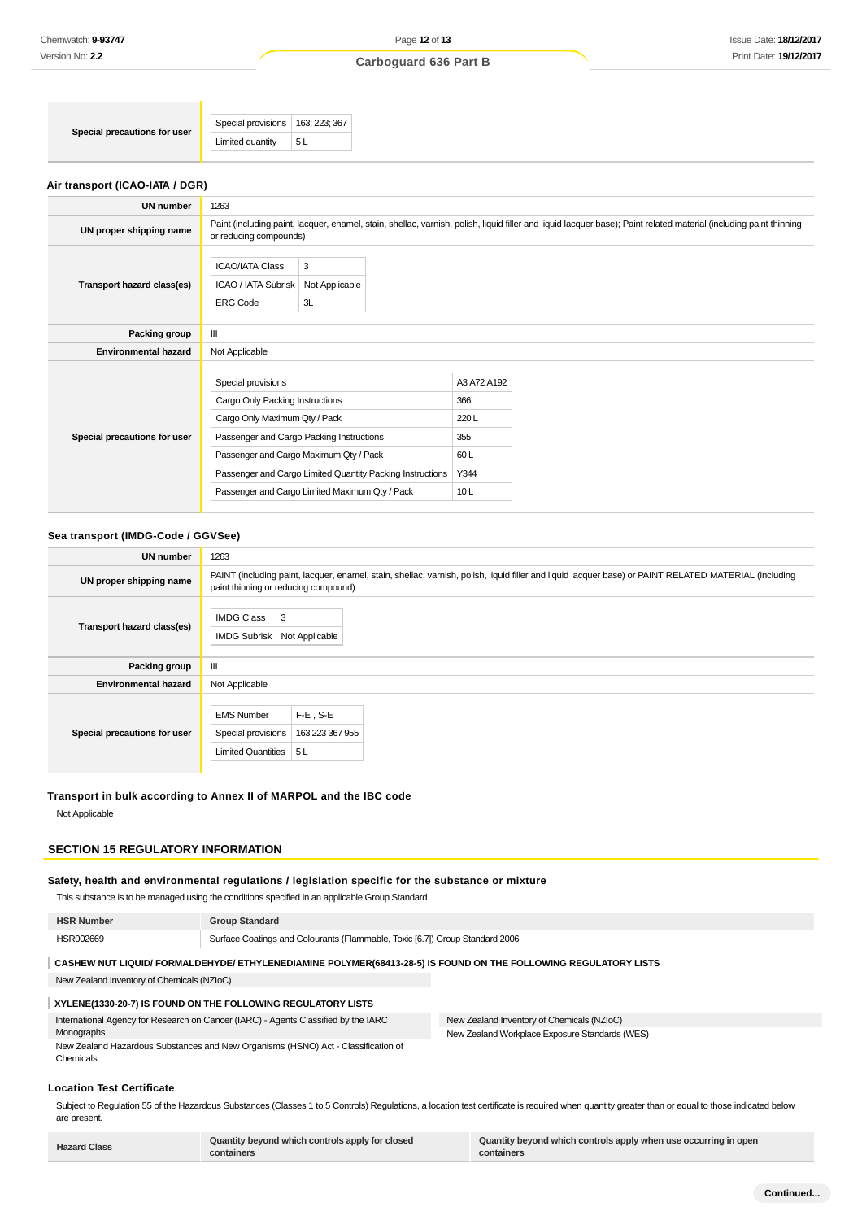| Special precautions for user    | Special provisions                                                                                                                 | 163; 223; 367             |                                                           |                                   |                                                                                                                                                                    |
|---------------------------------|------------------------------------------------------------------------------------------------------------------------------------|---------------------------|-----------------------------------------------------------|-----------------------------------|--------------------------------------------------------------------------------------------------------------------------------------------------------------------|
|                                 | Limited quantity                                                                                                                   | 5L                        |                                                           |                                   |                                                                                                                                                                    |
| Air transport (ICAO-IATA / DGR) |                                                                                                                                    |                           |                                                           |                                   |                                                                                                                                                                    |
| <b>UN number</b>                | 1263                                                                                                                               |                           |                                                           |                                   |                                                                                                                                                                    |
| UN proper shipping name         | or reducing compounds)                                                                                                             |                           |                                                           |                                   | Paint (including paint, lacquer, enamel, stain, shellac, varnish, polish, liquid filler and liquid lacquer base); Paint related material (including paint thinning |
| Transport hazard class(es)      | <b>ICAO/IATA Class</b><br>ICAO / IATA Subrisk<br><b>ERG Code</b>                                                                   | 3<br>Not Applicable<br>3L |                                                           |                                   |                                                                                                                                                                    |
| Packing group                   | Ш                                                                                                                                  |                           |                                                           |                                   |                                                                                                                                                                    |
| <b>Environmental hazard</b>     | Not Applicable                                                                                                                     |                           |                                                           |                                   |                                                                                                                                                                    |
| Special precautions for user    | Special provisions<br>Cargo Only Packing Instructions<br>Cargo Only Maximum Qty / Pack<br>Passenger and Cargo Packing Instructions |                           |                                                           | A3 A72 A192<br>366<br>220L<br>355 |                                                                                                                                                                    |
|                                 | Passenger and Cargo Maximum Qty / Pack                                                                                             |                           |                                                           | 60L                               |                                                                                                                                                                    |
|                                 |                                                                                                                                    |                           | Passenger and Cargo Limited Quantity Packing Instructions | Y344                              |                                                                                                                                                                    |

Passenger and Cargo Limited Maximum Qty / Pack 10 L

### **Sea transport (IMDG-Code / GGVSee)**

| UN number                    | 1263                                                                                                                                                                                          |  |  |
|------------------------------|-----------------------------------------------------------------------------------------------------------------------------------------------------------------------------------------------|--|--|
| UN proper shipping name      | PAINT (including paint, lacquer, enamel, stain, shellac, varnish, polish, liquid filler and liquid lacquer base) or PAINT RELATED MATERIAL (including<br>paint thinning or reducing compound) |  |  |
| Transport hazard class(es)   | <b>IMDG Class</b><br>3<br><b>IMDG Subrisk</b><br>Not Applicable                                                                                                                               |  |  |
| Packing group                | Ш                                                                                                                                                                                             |  |  |
| <b>Environmental hazard</b>  | Not Applicable                                                                                                                                                                                |  |  |
| Special precautions for user | $F-E$ , S-E<br><b>EMS Number</b><br>Special provisions<br>163 223 367 955<br>Limited Quantities<br>5L                                                                                         |  |  |

### **Transport in bulk according to Annex II of MARPOL and the IBC code**

Not Applicable

### **SECTION 15 REGULATORY INFORMATION**

### **Safety, health and environmental regulations / legislation specific for the substance or mixture**

This substance is to be managed using the conditions specified in an applicable Group Standard

| <b>HSR Number</b> | <b>Group Standard</b>                                                        |
|-------------------|------------------------------------------------------------------------------|
| HSR002669         | Surface Coatings and Colourants (Flammable, Toxic [6.7]) Group Standard 2006 |

# **CASHEW NUT LIQUID/ FORMALDEHYDE/ ETHYLENEDIAMINE POLYMER(68413-28-5) IS FOUND ON THE FOLLOWING REGULATORY LISTS**

New Zealand Inventory of Chemicals (NZIoC)

### **XYLENE(1330-20-7) IS FOUND ON THE FOLLOWING REGULATORY LISTS**

International Agency for Research on Cancer (IARC) - Agents Classified by the IARC Monographs New Zealand Hazardous Substances and New Organisms (HSNO) Act - Classification of New Zealand Inventory of Chemicals (NZIoC) New Zealand Workplace Exposure Standards (WES)

### **Location Test Certificate**

Chemicals

Subject to Regulation 55 of the Hazardous Substances (Classes 1 to 5 Controls) Regulations, a location test certificate is required when quantity greater than or equal to those indicated below are present.

| <b>Hazard Class</b> | Quantity beyond which controls apply for closed | Quantity beyond which controls apply when use occurring in open |
|---------------------|-------------------------------------------------|-----------------------------------------------------------------|
|                     | containers                                      | containers                                                      |